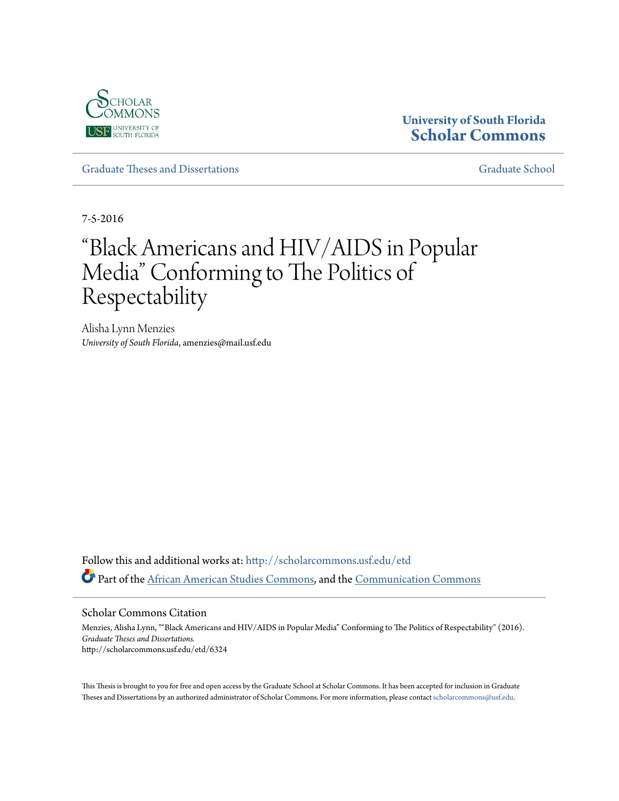

## **University of South Florida [Scholar Commons](http://scholarcommons.usf.edu?utm_source=scholarcommons.usf.edu%2Fetd%2F6324&utm_medium=PDF&utm_campaign=PDFCoverPages)**

[Graduate Theses and Dissertations](http://scholarcommons.usf.edu/etd?utm_source=scholarcommons.usf.edu%2Fetd%2F6324&utm_medium=PDF&utm_campaign=PDFCoverPages) [Graduate School](http://scholarcommons.usf.edu/grad?utm_source=scholarcommons.usf.edu%2Fetd%2F6324&utm_medium=PDF&utm_campaign=PDFCoverPages)

7-5-2016

# "Black Americans and HIV/AIDS in Popular Media" Conforming to The Politics of Respectability

Alisha Lynn Menzies *University of South Florida*, amenzies@mail.usf.edu

Follow this and additional works at: [http://scholarcommons.usf.edu/etd](http://scholarcommons.usf.edu/etd?utm_source=scholarcommons.usf.edu%2Fetd%2F6324&utm_medium=PDF&utm_campaign=PDFCoverPages) Part of the [African American Studies Commons,](http://network.bepress.com/hgg/discipline/567?utm_source=scholarcommons.usf.edu%2Fetd%2F6324&utm_medium=PDF&utm_campaign=PDFCoverPages) and the [Communication Commons](http://network.bepress.com/hgg/discipline/325?utm_source=scholarcommons.usf.edu%2Fetd%2F6324&utm_medium=PDF&utm_campaign=PDFCoverPages)

Scholar Commons Citation

Menzies, Alisha Lynn, ""Black Americans and HIV/AIDS in Popular Media" Conforming to The Politics of Respectability" (2016). *Graduate Theses and Dissertations.* http://scholarcommons.usf.edu/etd/6324

This Thesis is brought to you for free and open access by the Graduate School at Scholar Commons. It has been accepted for inclusion in Graduate Theses and Dissertations by an authorized administrator of Scholar Commons. For more information, please contact [scholarcommons@usf.edu.](mailto:scholarcommons@usf.edu)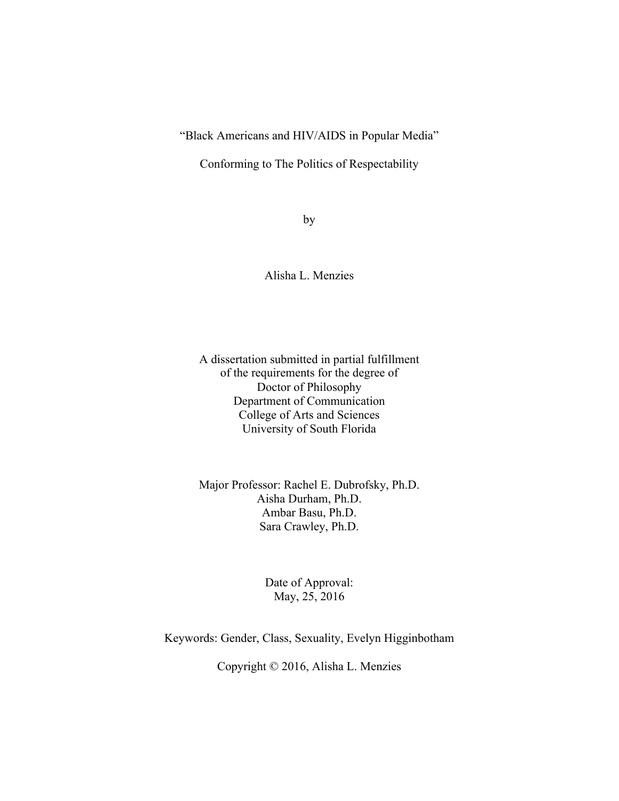### "Black Americans and HIV/AIDS in Popular Media"

Conforming to The Politics of Respectability

by

Alisha L. Menzies

A dissertation submitted in partial fulfillment of the requirements for the degree of Doctor of Philosophy Department of Communication College of Arts and Sciences University of South Florida

Major Professor: Rachel E. Dubrofsky, Ph.D. Aisha Durham, Ph.D. Ambar Basu, Ph.D. Sara Crawley, Ph.D.

> Date of Approval: May, 25, 2016

Keywords: Gender, Class, Sexuality, Evelyn Higginbotham

Copyright © 2016, Alisha L. Menzies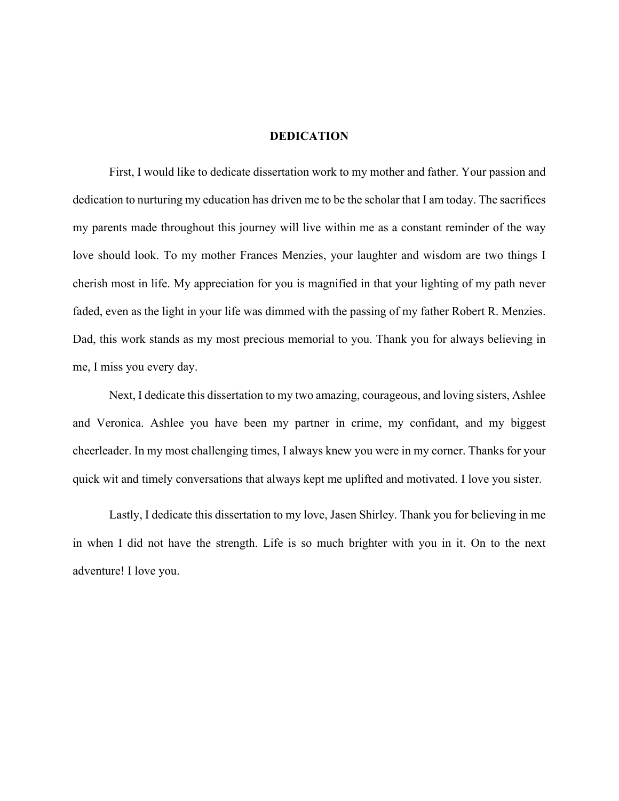#### **DEDICATION**

First, I would like to dedicate dissertation work to my mother and father. Your passion and dedication to nurturing my education has driven me to be the scholar that I am today. The sacrifices my parents made throughout this journey will live within me as a constant reminder of the way love should look. To my mother Frances Menzies, your laughter and wisdom are two things I cherish most in life. My appreciation for you is magnified in that your lighting of my path never faded, even as the light in your life was dimmed with the passing of my father Robert R. Menzies. Dad, this work stands as my most precious memorial to you. Thank you for always believing in me, I miss you every day.

Next, I dedicate this dissertation to my two amazing, courageous, and loving sisters, Ashlee and Veronica. Ashlee you have been my partner in crime, my confidant, and my biggest cheerleader. In my most challenging times, I always knew you were in my corner. Thanks for your quick wit and timely conversations that always kept me uplifted and motivated. I love you sister.

Lastly, I dedicate this dissertation to my love, Jasen Shirley. Thank you for believing in me in when I did not have the strength. Life is so much brighter with you in it. On to the next adventure! I love you.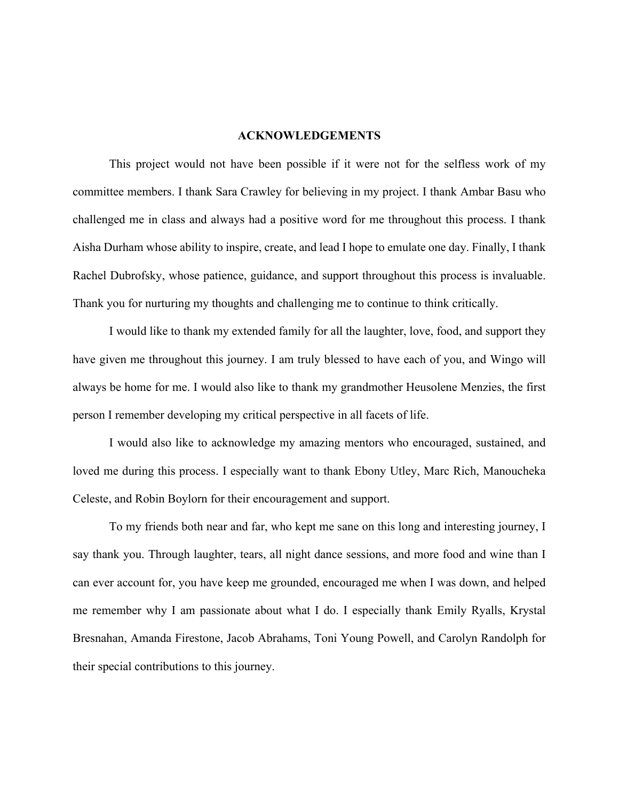#### **ACKNOWLEDGEMENTS**

This project would not have been possible if it were not for the selfless work of my committee members. I thank Sara Crawley for believing in my project. I thank Ambar Basu who challenged me in class and always had a positive word for me throughout this process. I thank Aisha Durham whose ability to inspire, create, and lead I hope to emulate one day. Finally, I thank Rachel Dubrofsky, whose patience, guidance, and support throughout this process is invaluable. Thank you for nurturing my thoughts and challenging me to continue to think critically.

I would like to thank my extended family for all the laughter, love, food, and support they have given me throughout this journey. I am truly blessed to have each of you, and Wingo will always be home for me. I would also like to thank my grandmother Heusolene Menzies, the first person I remember developing my critical perspective in all facets of life.

I would also like to acknowledge my amazing mentors who encouraged, sustained, and loved me during this process. I especially want to thank Ebony Utley, Marc Rich, Manoucheka Celeste, and Robin Boylorn for their encouragement and support.

To my friends both near and far, who kept me sane on this long and interesting journey, I say thank you. Through laughter, tears, all night dance sessions, and more food and wine than I can ever account for, you have keep me grounded, encouraged me when I was down, and helped me remember why I am passionate about what I do. I especially thank Emily Ryalls, Krystal Bresnahan, Amanda Firestone, Jacob Abrahams, Toni Young Powell, and Carolyn Randolph for their special contributions to this journey.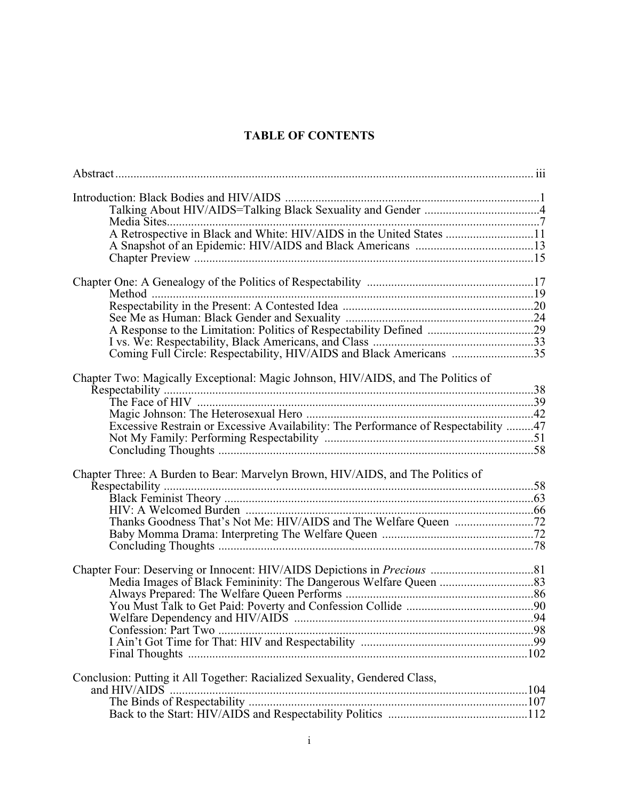## **TABLE OF CONTENTS**

| A Retrospective in Black and White: HIV/AIDS in the United States 11               |  |
|------------------------------------------------------------------------------------|--|
|                                                                                    |  |
|                                                                                    |  |
|                                                                                    |  |
| Method                                                                             |  |
|                                                                                    |  |
|                                                                                    |  |
| A Response to the Limitation: Politics of Respectability Defined 29                |  |
|                                                                                    |  |
| Coming Full Circle: Respectability, HIV/AIDS and Black Americans 35                |  |
|                                                                                    |  |
| Chapter Two: Magically Exceptional: Magic Johnson, HIV/AIDS, and The Politics of   |  |
|                                                                                    |  |
|                                                                                    |  |
|                                                                                    |  |
| Excessive Restrain or Excessive Availability: The Performance of Respectability 47 |  |
|                                                                                    |  |
|                                                                                    |  |
| Chapter Three: A Burden to Bear: Marvelyn Brown, HIV/AIDS, and The Politics of     |  |
|                                                                                    |  |
|                                                                                    |  |
|                                                                                    |  |
|                                                                                    |  |
|                                                                                    |  |
|                                                                                    |  |
|                                                                                    |  |
|                                                                                    |  |
|                                                                                    |  |
|                                                                                    |  |
|                                                                                    |  |
| Welfare Dependency and HIV/AIDS                                                    |  |
|                                                                                    |  |
|                                                                                    |  |
|                                                                                    |  |
| Conclusion: Putting it All Together: Racialized Sexuality, Gendered Class,         |  |
| and HIV/AIDS                                                                       |  |
|                                                                                    |  |
|                                                                                    |  |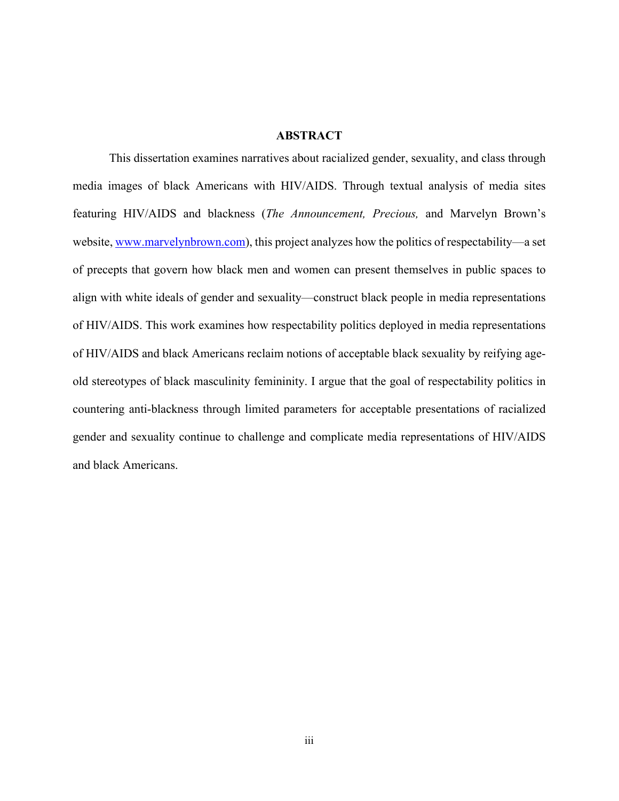#### **ABSTRACT**

This dissertation examines narratives about racialized gender, sexuality, and class through media images of black Americans with HIV/AIDS. Through textual analysis of media sites featuring HIV/AIDS and blackness (*The Announcement, Precious,* and Marvelyn Brown's website, www.marvelynbrown.com), this project analyzes how the politics of respectability—a set of precepts that govern how black men and women can present themselves in public spaces to align with white ideals of gender and sexuality—construct black people in media representations of HIV/AIDS. This work examines how respectability politics deployed in media representations of HIV/AIDS and black Americans reclaim notions of acceptable black sexuality by reifying ageold stereotypes of black masculinity femininity. I argue that the goal of respectability politics in countering anti-blackness through limited parameters for acceptable presentations of racialized gender and sexuality continue to challenge and complicate media representations of HIV/AIDS and black Americans.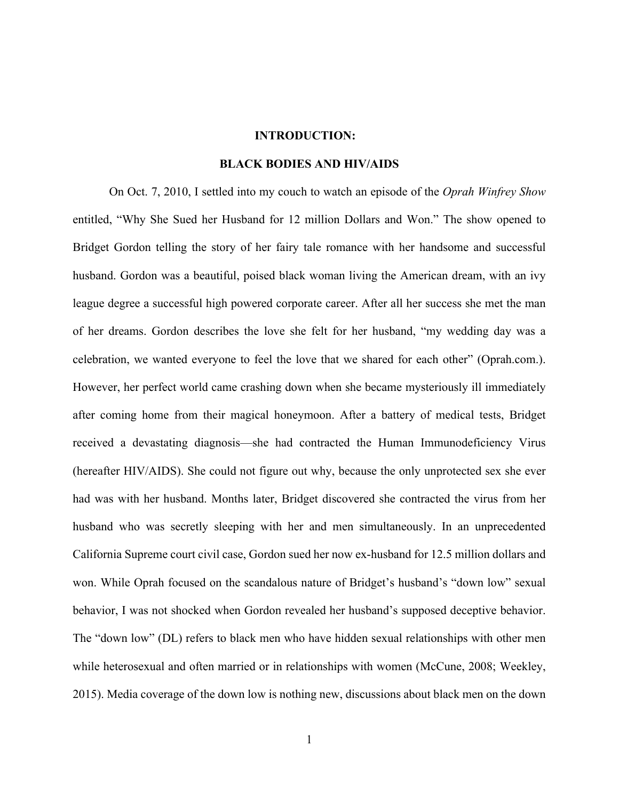#### **INTRODUCTION:**

#### **BLACK BODIES AND HIV/AIDS**

On Oct. 7, 2010, I settled into my couch to watch an episode of the *Oprah Winfrey Show* entitled, "Why She Sued her Husband for 12 million Dollars and Won." The show opened to Bridget Gordon telling the story of her fairy tale romance with her handsome and successful husband. Gordon was a beautiful, poised black woman living the American dream, with an ivy league degree a successful high powered corporate career. After all her success she met the man of her dreams. Gordon describes the love she felt for her husband, "my wedding day was a celebration, we wanted everyone to feel the love that we shared for each other" (Oprah.com.). However, her perfect world came crashing down when she became mysteriously ill immediately after coming home from their magical honeymoon. After a battery of medical tests, Bridget received a devastating diagnosis—she had contracted the Human Immunodeficiency Virus (hereafter HIV/AIDS). She could not figure out why, because the only unprotected sex she ever had was with her husband. Months later, Bridget discovered she contracted the virus from her husband who was secretly sleeping with her and men simultaneously. In an unprecedented California Supreme court civil case, Gordon sued her now ex-husband for 12.5 million dollars and won. While Oprah focused on the scandalous nature of Bridget's husband's "down low" sexual behavior, I was not shocked when Gordon revealed her husband's supposed deceptive behavior. The "down low" (DL) refers to black men who have hidden sexual relationships with other men while heterosexual and often married or in relationships with women (McCune, 2008; Weekley, 2015). Media coverage of the down low is nothing new, discussions about black men on the down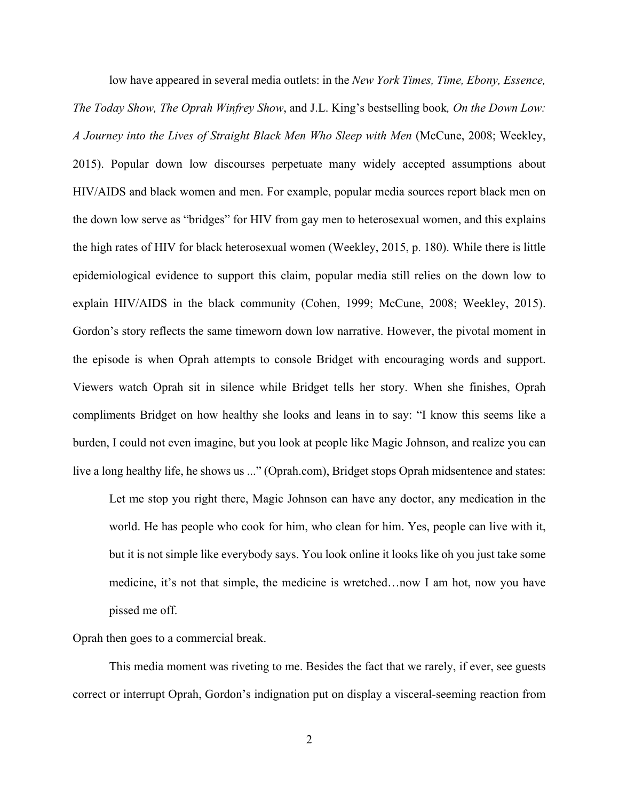low have appeared in several media outlets: in the *New York Times, Time, Ebony, Essence, The Today Show, The Oprah Winfrey Show*, and J.L. King's bestselling book*, On the Down Low: A Journey into the Lives of Straight Black Men Who Sleep with Men* (McCune, 2008; Weekley, 2015). Popular down low discourses perpetuate many widely accepted assumptions about HIV/AIDS and black women and men. For example, popular media sources report black men on the down low serve as "bridges" for HIV from gay men to heterosexual women, and this explains the high rates of HIV for black heterosexual women (Weekley, 2015, p. 180). While there is little epidemiological evidence to support this claim, popular media still relies on the down low to explain HIV/AIDS in the black community (Cohen, 1999; McCune, 2008; Weekley, 2015). Gordon's story reflects the same timeworn down low narrative. However, the pivotal moment in the episode is when Oprah attempts to console Bridget with encouraging words and support. Viewers watch Oprah sit in silence while Bridget tells her story. When she finishes, Oprah compliments Bridget on how healthy she looks and leans in to say: "I know this seems like a burden, I could not even imagine, but you look at people like Magic Johnson, and realize you can live a long healthy life, he shows us ..." (Oprah.com), Bridget stops Oprah midsentence and states:

Let me stop you right there, Magic Johnson can have any doctor, any medication in the world. He has people who cook for him, who clean for him. Yes, people can live with it, but it is not simple like everybody says. You look online it looks like oh you just take some medicine, it's not that simple, the medicine is wretched…now I am hot, now you have pissed me off.

Oprah then goes to a commercial break.

This media moment was riveting to me. Besides the fact that we rarely, if ever, see guests correct or interrupt Oprah, Gordon's indignation put on display a visceral-seeming reaction from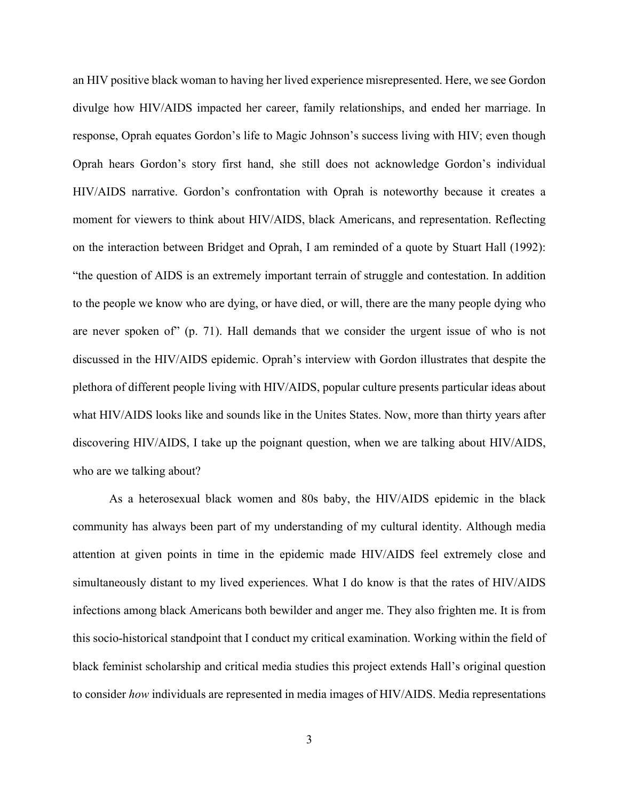an HIV positive black woman to having her lived experience misrepresented. Here, we see Gordon divulge how HIV/AIDS impacted her career, family relationships, and ended her marriage. In response, Oprah equates Gordon's life to Magic Johnson's success living with HIV; even though Oprah hears Gordon's story first hand, she still does not acknowledge Gordon's individual HIV/AIDS narrative. Gordon's confrontation with Oprah is noteworthy because it creates a moment for viewers to think about HIV/AIDS, black Americans, and representation. Reflecting on the interaction between Bridget and Oprah, I am reminded of a quote by Stuart Hall (1992): "the question of AIDS is an extremely important terrain of struggle and contestation. In addition to the people we know who are dying, or have died, or will, there are the many people dying who are never spoken of" (p. 71). Hall demands that we consider the urgent issue of who is not discussed in the HIV/AIDS epidemic. Oprah's interview with Gordon illustrates that despite the plethora of different people living with HIV/AIDS, popular culture presents particular ideas about what HIV/AIDS looks like and sounds like in the Unites States. Now, more than thirty years after discovering HIV/AIDS, I take up the poignant question, when we are talking about HIV/AIDS, who are we talking about?

As a heterosexual black women and 80s baby, the HIV/AIDS epidemic in the black community has always been part of my understanding of my cultural identity. Although media attention at given points in time in the epidemic made HIV/AIDS feel extremely close and simultaneously distant to my lived experiences. What I do know is that the rates of HIV/AIDS infections among black Americans both bewilder and anger me. They also frighten me. It is from this socio-historical standpoint that I conduct my critical examination. Working within the field of black feminist scholarship and critical media studies this project extends Hall's original question to consider *how* individuals are represented in media images of HIV/AIDS. Media representations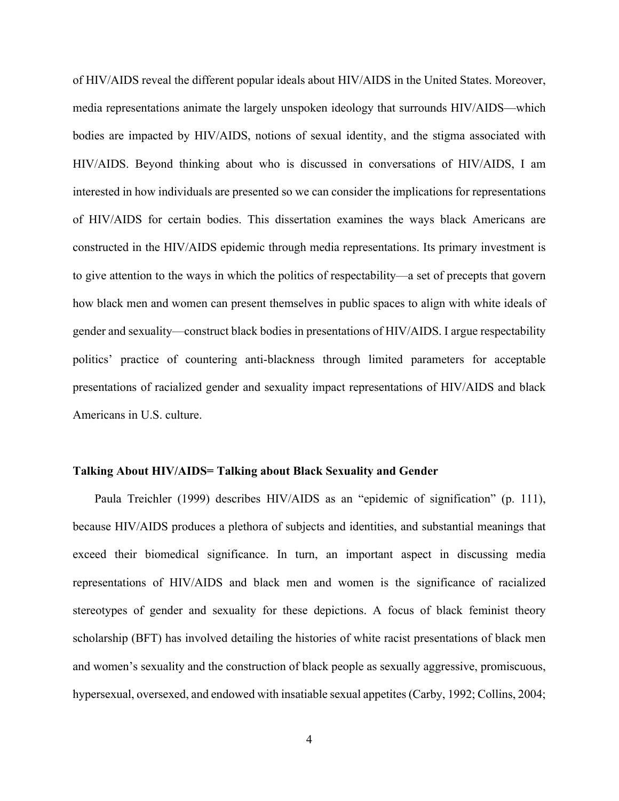of HIV/AIDS reveal the different popular ideals about HIV/AIDS in the United States. Moreover, media representations animate the largely unspoken ideology that surrounds HIV/AIDS—which bodies are impacted by HIV/AIDS, notions of sexual identity, and the stigma associated with HIV/AIDS. Beyond thinking about who is discussed in conversations of HIV/AIDS, I am interested in how individuals are presented so we can consider the implications for representations of HIV/AIDS for certain bodies. This dissertation examines the ways black Americans are constructed in the HIV/AIDS epidemic through media representations. Its primary investment is to give attention to the ways in which the politics of respectability—a set of precepts that govern how black men and women can present themselves in public spaces to align with white ideals of gender and sexuality—construct black bodies in presentations of HIV/AIDS. I argue respectability politics' practice of countering anti-blackness through limited parameters for acceptable presentations of racialized gender and sexuality impact representations of HIV/AIDS and black Americans in U.S. culture.

#### **Talking About HIV/AIDS= Talking about Black Sexuality and Gender**

Paula Treichler (1999) describes HIV/AIDS as an "epidemic of signification" (p. 111), because HIV/AIDS produces a plethora of subjects and identities, and substantial meanings that exceed their biomedical significance. In turn, an important aspect in discussing media representations of HIV/AIDS and black men and women is the significance of racialized stereotypes of gender and sexuality for these depictions. A focus of black feminist theory scholarship (BFT) has involved detailing the histories of white racist presentations of black men and women's sexuality and the construction of black people as sexually aggressive, promiscuous, hypersexual, oversexed, and endowed with insatiable sexual appetites (Carby, 1992; Collins, 2004;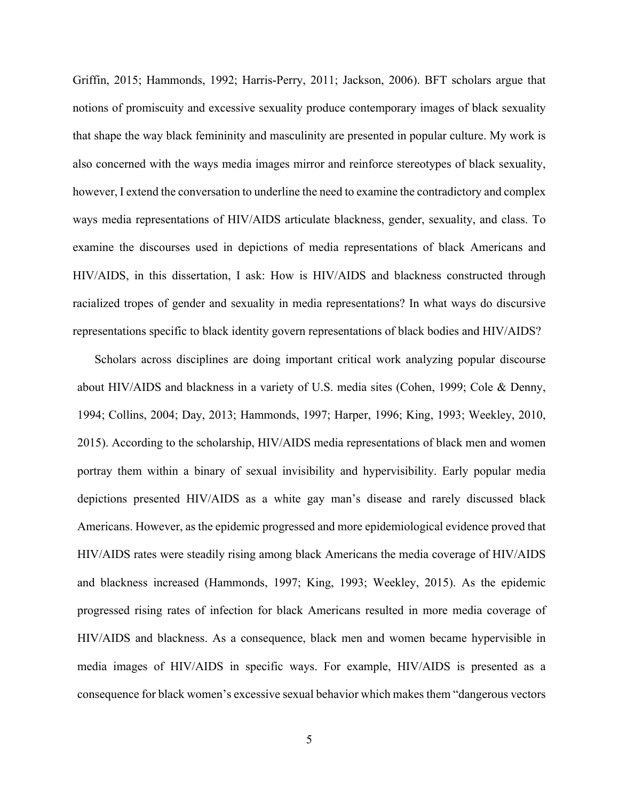Griffin, 2015; Hammonds, 1992; Harris-Perry, 2011; Jackson, 2006). BFT scholars argue that notions of promiscuity and excessive sexuality produce contemporary images of black sexuality that shape the way black femininity and masculinity are presented in popular culture. My work is also concerned with the ways media images mirror and reinforce stereotypes of black sexuality, however, I extend the conversation to underline the need to examine the contradictory and complex ways media representations of HIV/AIDS articulate blackness, gender, sexuality, and class. To examine the discourses used in depictions of media representations of black Americans and HIV/AIDS, in this dissertation, I ask: How is HIV/AIDS and blackness constructed through racialized tropes of gender and sexuality in media representations? In what ways do discursive representations specific to black identity govern representations of black bodies and HIV/AIDS?

Scholars across disciplines are doing important critical work analyzing popular discourse about HIV/AIDS and blackness in a variety of U.S. media sites (Cohen, 1999; Cole & Denny, 1994; Collins, 2004; Day, 2013; Hammonds, 1997; Harper, 1996; King, 1993; Weekley, 2010, 2015). According to the scholarship, HIV/AIDS media representations of black men and women portray them within a binary of sexual invisibility and hypervisibility. Early popular media depictions presented HIV/AIDS as a white gay man's disease and rarely discussed black Americans. However, as the epidemic progressed and more epidemiological evidence proved that HIV/AIDS rates were steadily rising among black Americans the media coverage of HIV/AIDS and blackness increased (Hammonds, 1997; King, 1993; Weekley, 2015). As the epidemic progressed rising rates of infection for black Americans resulted in more media coverage of HIV/AIDS and blackness. As a consequence, black men and women became hypervisible in media images of HIV/AIDS in specific ways. For example, HIV/AIDS is presented as a consequence for black women's excessive sexual behavior which makes them "dangerous vectors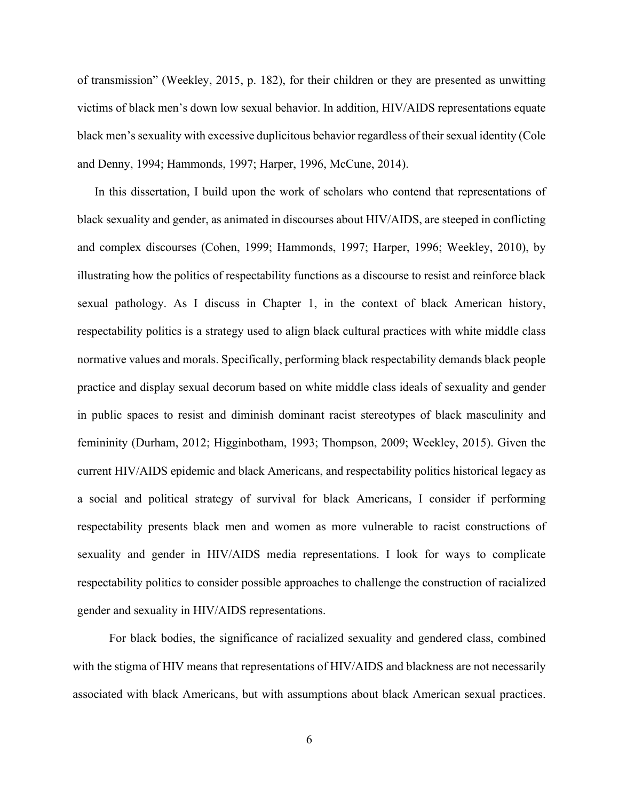of transmission" (Weekley, 2015, p. 182), for their children or they are presented as unwitting victims of black men's down low sexual behavior. In addition, HIV/AIDS representations equate black men's sexuality with excessive duplicitous behavior regardless of their sexual identity (Cole and Denny, 1994; Hammonds, 1997; Harper, 1996, McCune, 2014).

In this dissertation, I build upon the work of scholars who contend that representations of black sexuality and gender, as animated in discourses about HIV/AIDS, are steeped in conflicting and complex discourses (Cohen, 1999; Hammonds, 1997; Harper, 1996; Weekley, 2010), by illustrating how the politics of respectability functions as a discourse to resist and reinforce black sexual pathology. As I discuss in Chapter 1, in the context of black American history, respectability politics is a strategy used to align black cultural practices with white middle class normative values and morals. Specifically, performing black respectability demands black people practice and display sexual decorum based on white middle class ideals of sexuality and gender in public spaces to resist and diminish dominant racist stereotypes of black masculinity and femininity (Durham, 2012; Higginbotham, 1993; Thompson, 2009; Weekley, 2015). Given the current HIV/AIDS epidemic and black Americans, and respectability politics historical legacy as a social and political strategy of survival for black Americans, I consider if performing respectability presents black men and women as more vulnerable to racist constructions of sexuality and gender in HIV/AIDS media representations. I look for ways to complicate respectability politics to consider possible approaches to challenge the construction of racialized gender and sexuality in HIV/AIDS representations.

For black bodies, the significance of racialized sexuality and gendered class, combined with the stigma of HIV means that representations of HIV/AIDS and blackness are not necessarily associated with black Americans, but with assumptions about black American sexual practices.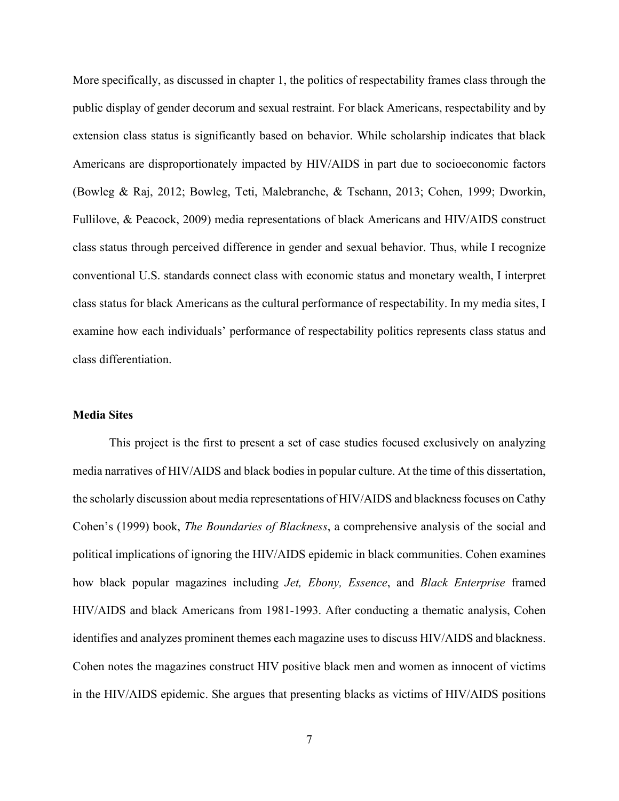More specifically, as discussed in chapter 1, the politics of respectability frames class through the public display of gender decorum and sexual restraint. For black Americans, respectability and by extension class status is significantly based on behavior. While scholarship indicates that black Americans are disproportionately impacted by HIV/AIDS in part due to socioeconomic factors (Bowleg & Raj, 2012; Bowleg, Teti, Malebranche, & Tschann, 2013; Cohen, 1999; Dworkin, Fullilove, & Peacock, 2009) media representations of black Americans and HIV/AIDS construct class status through perceived difference in gender and sexual behavior. Thus, while I recognize conventional U.S. standards connect class with economic status and monetary wealth, I interpret class status for black Americans as the cultural performance of respectability. In my media sites, I examine how each individuals' performance of respectability politics represents class status and class differentiation.

#### **Media Sites**

This project is the first to present a set of case studies focused exclusively on analyzing media narratives of HIV/AIDS and black bodies in popular culture. At the time of this dissertation, the scholarly discussion about media representations of HIV/AIDS and blackness focuses on Cathy Cohen's (1999) book, *The Boundaries of Blackness*, a comprehensive analysis of the social and political implications of ignoring the HIV/AIDS epidemic in black communities. Cohen examines how black popular magazines including *Jet, Ebony, Essence*, and *Black Enterprise* framed HIV/AIDS and black Americans from 1981-1993. After conducting a thematic analysis, Cohen identifies and analyzes prominent themes each magazine uses to discuss HIV/AIDS and blackness. Cohen notes the magazines construct HIV positive black men and women as innocent of victims in the HIV/AIDS epidemic. She argues that presenting blacks as victims of HIV/AIDS positions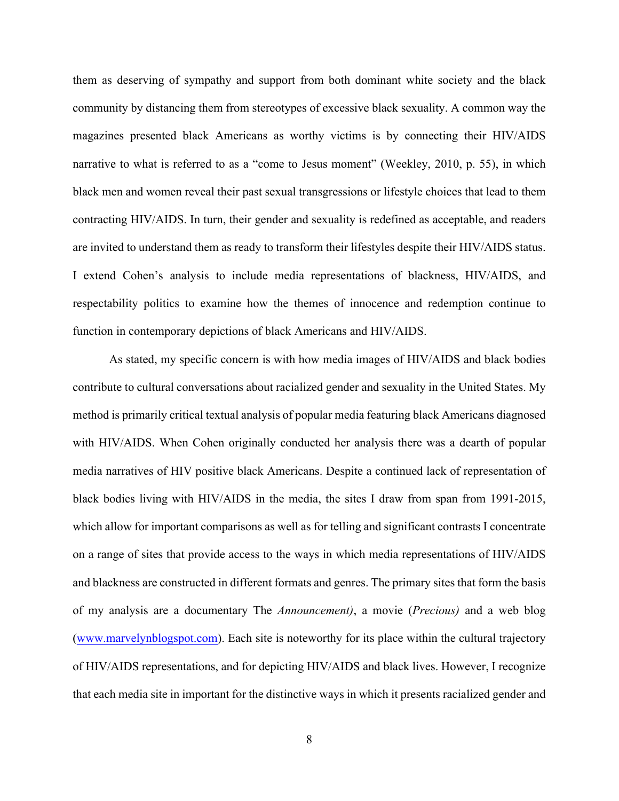them as deserving of sympathy and support from both dominant white society and the black community by distancing them from stereotypes of excessive black sexuality. A common way the magazines presented black Americans as worthy victims is by connecting their HIV/AIDS narrative to what is referred to as a "come to Jesus moment" (Weekley, 2010, p. 55), in which black men and women reveal their past sexual transgressions or lifestyle choices that lead to them contracting HIV/AIDS. In turn, their gender and sexuality is redefined as acceptable, and readers are invited to understand them as ready to transform their lifestyles despite their HIV/AIDS status. I extend Cohen's analysis to include media representations of blackness, HIV/AIDS, and respectability politics to examine how the themes of innocence and redemption continue to function in contemporary depictions of black Americans and HIV/AIDS.

As stated, my specific concern is with how media images of HIV/AIDS and black bodies contribute to cultural conversations about racialized gender and sexuality in the United States. My method is primarily critical textual analysis of popular media featuring black Americans diagnosed with HIV/AIDS. When Cohen originally conducted her analysis there was a dearth of popular media narratives of HIV positive black Americans. Despite a continued lack of representation of black bodies living with HIV/AIDS in the media, the sites I draw from span from 1991-2015, which allow for important comparisons as well as for telling and significant contrasts I concentrate on a range of sites that provide access to the ways in which media representations of HIV/AIDS and blackness are constructed in different formats and genres. The primary sites that form the basis of my analysis are a documentary The *Announcement)*, a movie (*Precious)* and a web blog (www.marvelynblogspot.com). Each site is noteworthy for its place within the cultural trajectory of HIV/AIDS representations, and for depicting HIV/AIDS and black lives. However, I recognize that each media site in important for the distinctive ways in which it presents racialized gender and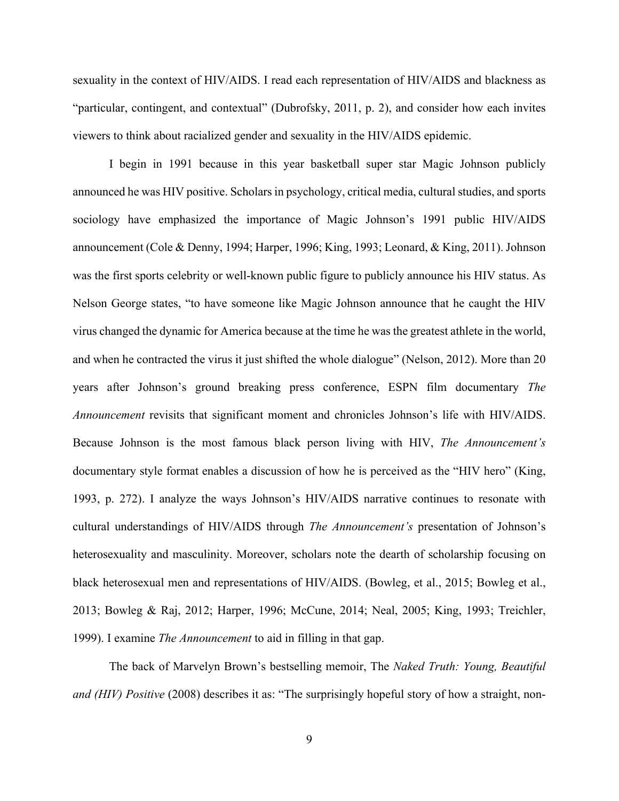sexuality in the context of HIV/AIDS. I read each representation of HIV/AIDS and blackness as "particular, contingent, and contextual" (Dubrofsky, 2011, p. 2), and consider how each invites viewers to think about racialized gender and sexuality in the HIV/AIDS epidemic.

I begin in 1991 because in this year basketball super star Magic Johnson publicly announced he was HIV positive. Scholars in psychology, critical media, cultural studies, and sports sociology have emphasized the importance of Magic Johnson's 1991 public HIV/AIDS announcement (Cole & Denny, 1994; Harper, 1996; King, 1993; Leonard, & King, 2011). Johnson was the first sports celebrity or well-known public figure to publicly announce his HIV status. As Nelson George states, "to have someone like Magic Johnson announce that he caught the HIV virus changed the dynamic for America because at the time he was the greatest athlete in the world, and when he contracted the virus it just shifted the whole dialogue" (Nelson, 2012). More than 20 years after Johnson's ground breaking press conference, ESPN film documentary *The Announcement* revisits that significant moment and chronicles Johnson's life with HIV/AIDS. Because Johnson is the most famous black person living with HIV, *The Announcement's* documentary style format enables a discussion of how he is perceived as the "HIV hero" (King, 1993, p. 272). I analyze the ways Johnson's HIV/AIDS narrative continues to resonate with cultural understandings of HIV/AIDS through *The Announcement's* presentation of Johnson's heterosexuality and masculinity. Moreover, scholars note the dearth of scholarship focusing on black heterosexual men and representations of HIV/AIDS. (Bowleg, et al., 2015; Bowleg et al., 2013; Bowleg & Raj, 2012; Harper, 1996; McCune, 2014; Neal, 2005; King, 1993; Treichler, 1999). I examine *The Announcement* to aid in filling in that gap.

The back of Marvelyn Brown's bestselling memoir, The *Naked Truth: Young, Beautiful and (HIV) Positive* (2008) describes it as: "The surprisingly hopeful story of how a straight, non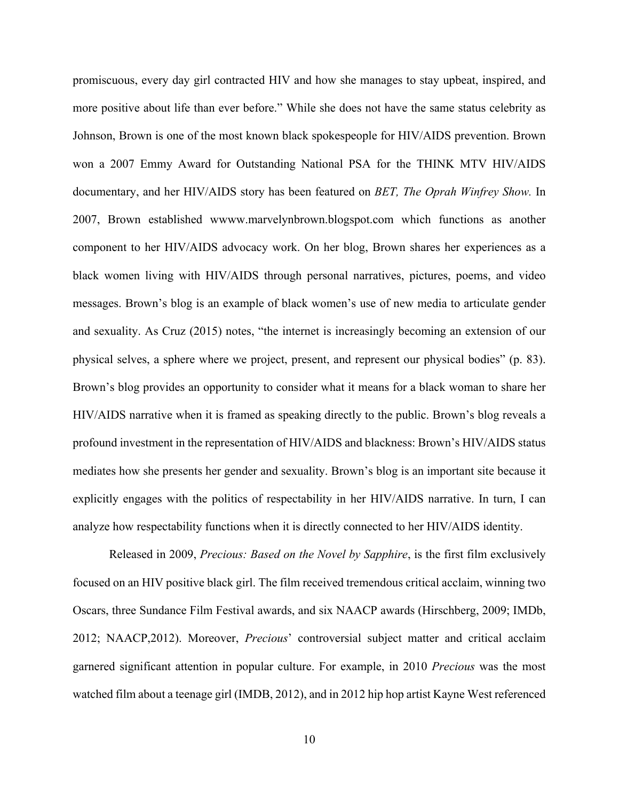promiscuous, every day girl contracted HIV and how she manages to stay upbeat, inspired, and more positive about life than ever before." While she does not have the same status celebrity as Johnson, Brown is one of the most known black spokespeople for HIV/AIDS prevention. Brown won a 2007 Emmy Award for Outstanding National PSA for the THINK MTV HIV/AIDS documentary, and her HIV/AIDS story has been featured on *BET, The Oprah Winfrey Show.* In 2007, Brown established wwww.marvelynbrown.blogspot.com which functions as another component to her HIV/AIDS advocacy work. On her blog, Brown shares her experiences as a black women living with HIV/AIDS through personal narratives, pictures, poems, and video messages. Brown's blog is an example of black women's use of new media to articulate gender and sexuality. As Cruz (2015) notes, "the internet is increasingly becoming an extension of our physical selves, a sphere where we project, present, and represent our physical bodies" (p. 83). Brown's blog provides an opportunity to consider what it means for a black woman to share her HIV/AIDS narrative when it is framed as speaking directly to the public. Brown's blog reveals a profound investment in the representation of HIV/AIDS and blackness: Brown's HIV/AIDS status mediates how she presents her gender and sexuality. Brown's blog is an important site because it explicitly engages with the politics of respectability in her HIV/AIDS narrative. In turn, I can analyze how respectability functions when it is directly connected to her HIV/AIDS identity.

Released in 2009, *Precious: Based on the Novel by Sapphire*, is the first film exclusively focused on an HIV positive black girl. The film received tremendous critical acclaim, winning two Oscars, three Sundance Film Festival awards, and six NAACP awards (Hirschberg, 2009; IMDb, 2012; NAACP,2012). Moreover, *Precious*' controversial subject matter and critical acclaim garnered significant attention in popular culture. For example, in 2010 *Precious* was the most watched film about a teenage girl (IMDB, 2012), and in 2012 hip hop artist Kayne West referenced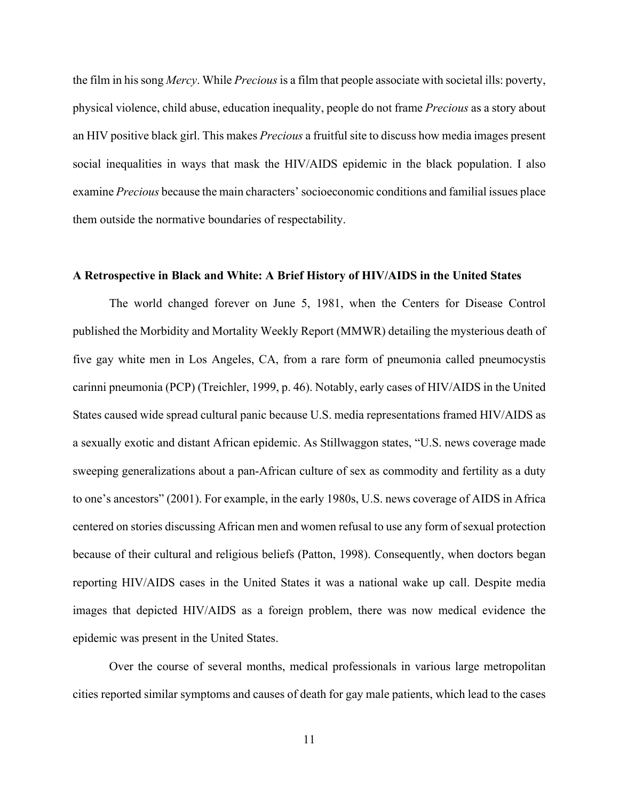the film in his song *Mercy*. While *Precious*is a film that people associate with societal ills: poverty, physical violence, child abuse, education inequality, people do not frame *Precious* as a story about an HIV positive black girl. This makes *Precious* a fruitful site to discuss how media images present social inequalities in ways that mask the HIV/AIDS epidemic in the black population. I also examine *Precious* because the main characters' socioeconomic conditions and familial issues place them outside the normative boundaries of respectability.

#### **A Retrospective in Black and White: A Brief History of HIV/AIDS in the United States**

The world changed forever on June 5, 1981, when the Centers for Disease Control published the Morbidity and Mortality Weekly Report (MMWR) detailing the mysterious death of five gay white men in Los Angeles, CA, from a rare form of pneumonia called pneumocystis carinni pneumonia (PCP) (Treichler, 1999, p. 46). Notably, early cases of HIV/AIDS in the United States caused wide spread cultural panic because U.S. media representations framed HIV/AIDS as a sexually exotic and distant African epidemic. As Stillwaggon states, "U.S. news coverage made sweeping generalizations about a pan-African culture of sex as commodity and fertility as a duty to one's ancestors" (2001). For example, in the early 1980s, U.S. news coverage of AIDS in Africa centered on stories discussing African men and women refusal to use any form of sexual protection because of their cultural and religious beliefs (Patton, 1998). Consequently, when doctors began reporting HIV/AIDS cases in the United States it was a national wake up call. Despite media images that depicted HIV/AIDS as a foreign problem, there was now medical evidence the epidemic was present in the United States.

Over the course of several months, medical professionals in various large metropolitan cities reported similar symptoms and causes of death for gay male patients, which lead to the cases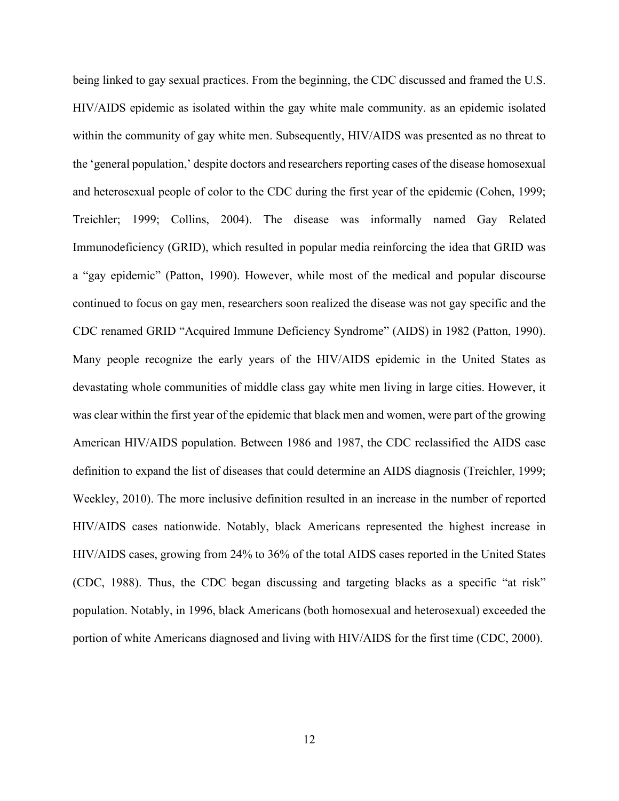being linked to gay sexual practices. From the beginning, the CDC discussed and framed the U.S. HIV/AIDS epidemic as isolated within the gay white male community. as an epidemic isolated within the community of gay white men. Subsequently, HIV/AIDS was presented as no threat to the 'general population,' despite doctors and researchers reporting cases of the disease homosexual and heterosexual people of color to the CDC during the first year of the epidemic (Cohen, 1999; Treichler; 1999; Collins, 2004). The disease was informally named Gay Related Immunodeficiency (GRID), which resulted in popular media reinforcing the idea that GRID was a "gay epidemic" (Patton, 1990). However, while most of the medical and popular discourse continued to focus on gay men, researchers soon realized the disease was not gay specific and the CDC renamed GRID "Acquired Immune Deficiency Syndrome" (AIDS) in 1982 (Patton, 1990). Many people recognize the early years of the HIV/AIDS epidemic in the United States as devastating whole communities of middle class gay white men living in large cities. However, it was clear within the first year of the epidemic that black men and women, were part of the growing American HIV/AIDS population. Between 1986 and 1987, the CDC reclassified the AIDS case definition to expand the list of diseases that could determine an AIDS diagnosis (Treichler, 1999; Weekley, 2010). The more inclusive definition resulted in an increase in the number of reported HIV/AIDS cases nationwide. Notably, black Americans represented the highest increase in HIV/AIDS cases, growing from 24% to 36% of the total AIDS cases reported in the United States (CDC, 1988). Thus, the CDC began discussing and targeting blacks as a specific "at risk" population. Notably, in 1996, black Americans (both homosexual and heterosexual) exceeded the portion of white Americans diagnosed and living with HIV/AIDS for the first time (CDC, 2000).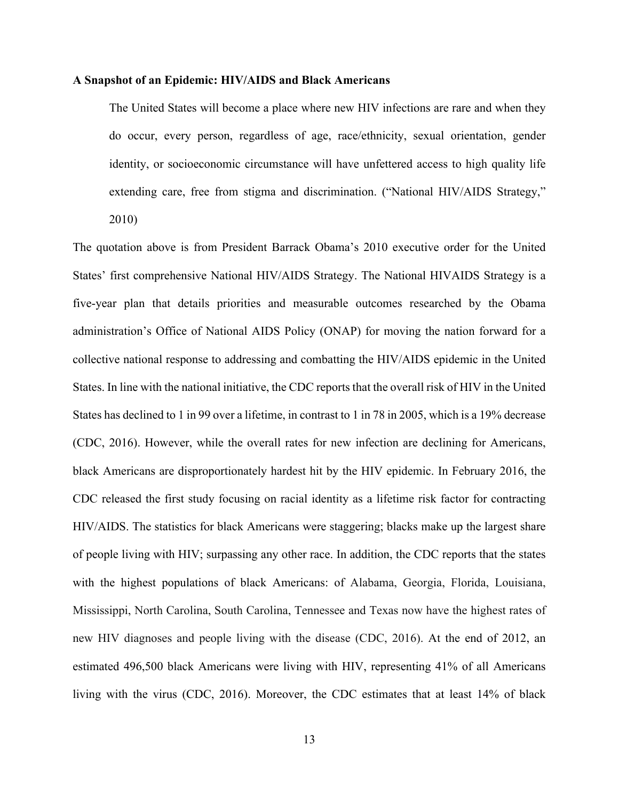#### **A Snapshot of an Epidemic: HIV/AIDS and Black Americans**

The United States will become a place where new HIV infections are rare and when they do occur, every person, regardless of age, race/ethnicity, sexual orientation, gender identity, or socioeconomic circumstance will have unfettered access to high quality life extending care, free from stigma and discrimination. ("National HIV/AIDS Strategy," 2010)

The quotation above is from President Barrack Obama's 2010 executive order for the United States' first comprehensive National HIV/AIDS Strategy. The National HIVAIDS Strategy is a five-year plan that details priorities and measurable outcomes researched by the Obama administration's Office of National AIDS Policy (ONAP) for moving the nation forward for a collective national response to addressing and combatting the HIV/AIDS epidemic in the United States. In line with the national initiative, the CDC reports that the overall risk of HIV in the United States has declined to 1 in 99 over a lifetime, in contrast to 1 in 78 in 2005, which is a 19% decrease (CDC, 2016). However, while the overall rates for new infection are declining for Americans, black Americans are disproportionately hardest hit by the HIV epidemic. In February 2016, the CDC released the first study focusing on racial identity as a lifetime risk factor for contracting HIV/AIDS. The statistics for black Americans were staggering; blacks make up the largest share of people living with HIV; surpassing any other race. In addition, the CDC reports that the states with the highest populations of black Americans: of Alabama, Georgia, Florida, Louisiana, Mississippi, North Carolina, South Carolina, Tennessee and Texas now have the highest rates of new HIV diagnoses and people living with the disease (CDC, 2016). At the end of 2012, an estimated 496,500 black Americans were living with HIV, representing 41% of all Americans living with the virus (CDC, 2016). Moreover, the CDC estimates that at least 14% of black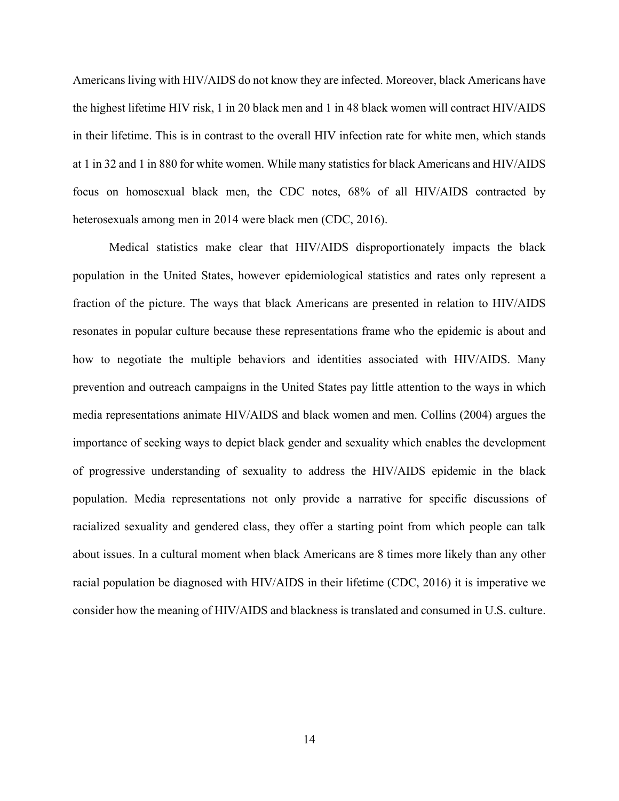Americans living with HIV/AIDS do not know they are infected. Moreover, black Americans have the highest lifetime HIV risk, 1 in 20 black men and 1 in 48 black women will contract HIV/AIDS in their lifetime. This is in contrast to the overall HIV infection rate for white men, which stands at 1 in 32 and 1 in 880 for white women. While many statistics for black Americans and HIV/AIDS focus on homosexual black men, the CDC notes, 68% of all HIV/AIDS contracted by heterosexuals among men in 2014 were black men (CDC, 2016).

Medical statistics make clear that HIV/AIDS disproportionately impacts the black population in the United States, however epidemiological statistics and rates only represent a fraction of the picture. The ways that black Americans are presented in relation to HIV/AIDS resonates in popular culture because these representations frame who the epidemic is about and how to negotiate the multiple behaviors and identities associated with HIV/AIDS. Many prevention and outreach campaigns in the United States pay little attention to the ways in which media representations animate HIV/AIDS and black women and men. Collins (2004) argues the importance of seeking ways to depict black gender and sexuality which enables the development of progressive understanding of sexuality to address the HIV/AIDS epidemic in the black population. Media representations not only provide a narrative for specific discussions of racialized sexuality and gendered class, they offer a starting point from which people can talk about issues. In a cultural moment when black Americans are 8 times more likely than any other racial population be diagnosed with HIV/AIDS in their lifetime (CDC, 2016) it is imperative we consider how the meaning of HIV/AIDS and blackness is translated and consumed in U.S. culture.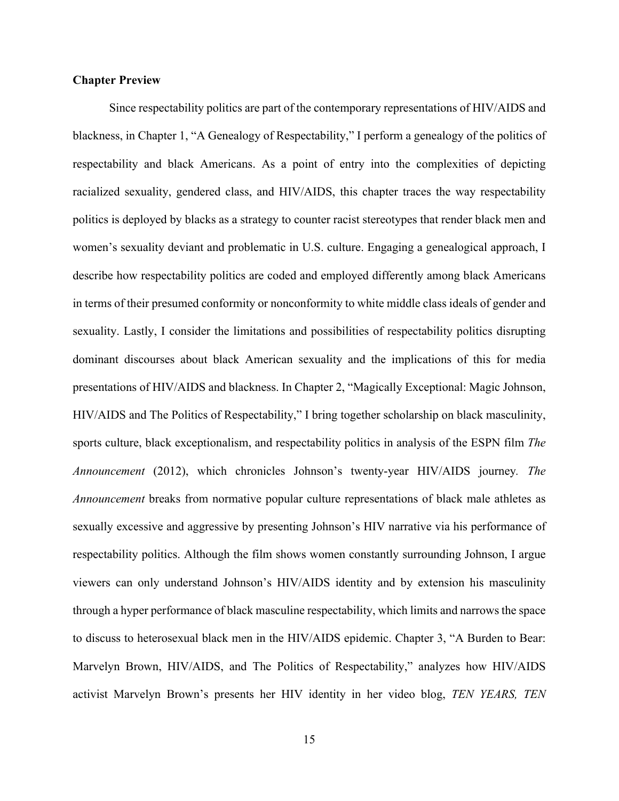#### **Chapter Preview**

Since respectability politics are part of the contemporary representations of HIV/AIDS and blackness, in Chapter 1, "A Genealogy of Respectability," I perform a genealogy of the politics of respectability and black Americans. As a point of entry into the complexities of depicting racialized sexuality, gendered class, and HIV/AIDS, this chapter traces the way respectability politics is deployed by blacks as a strategy to counter racist stereotypes that render black men and women's sexuality deviant and problematic in U.S. culture. Engaging a genealogical approach, I describe how respectability politics are coded and employed differently among black Americans in terms of their presumed conformity or nonconformity to white middle class ideals of gender and sexuality. Lastly, I consider the limitations and possibilities of respectability politics disrupting dominant discourses about black American sexuality and the implications of this for media presentations of HIV/AIDS and blackness. In Chapter 2, "Magically Exceptional: Magic Johnson, HIV/AIDS and The Politics of Respectability," I bring together scholarship on black masculinity, sports culture, black exceptionalism, and respectability politics in analysis of the ESPN film *The Announcement* (2012), which chronicles Johnson's twenty-year HIV/AIDS journey*. The Announcement* breaks from normative popular culture representations of black male athletes as sexually excessive and aggressive by presenting Johnson's HIV narrative via his performance of respectability politics. Although the film shows women constantly surrounding Johnson, I argue viewers can only understand Johnson's HIV/AIDS identity and by extension his masculinity through a hyper performance of black masculine respectability, which limits and narrows the space to discuss to heterosexual black men in the HIV/AIDS epidemic. Chapter 3, "A Burden to Bear: Marvelyn Brown, HIV/AIDS, and The Politics of Respectability," analyzes how HIV/AIDS activist Marvelyn Brown's presents her HIV identity in her video blog, *TEN YEARS, TEN*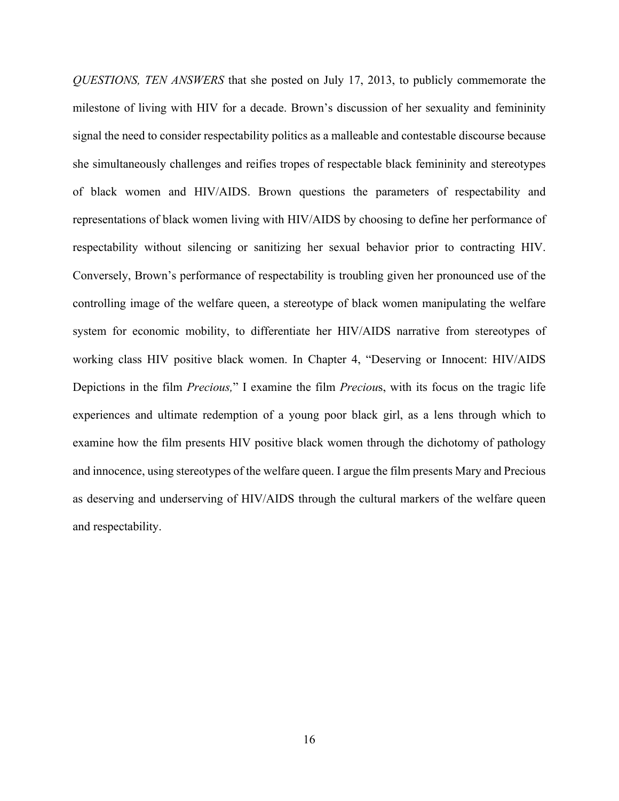*QUESTIONS, TEN ANSWERS* that she posted on July 17, 2013, to publicly commemorate the milestone of living with HIV for a decade. Brown's discussion of her sexuality and femininity signal the need to consider respectability politics as a malleable and contestable discourse because she simultaneously challenges and reifies tropes of respectable black femininity and stereotypes of black women and HIV/AIDS. Brown questions the parameters of respectability and representations of black women living with HIV/AIDS by choosing to define her performance of respectability without silencing or sanitizing her sexual behavior prior to contracting HIV. Conversely, Brown's performance of respectability is troubling given her pronounced use of the controlling image of the welfare queen, a stereotype of black women manipulating the welfare system for economic mobility, to differentiate her HIV/AIDS narrative from stereotypes of working class HIV positive black women. In Chapter 4, "Deserving or Innocent: HIV/AIDS Depictions in the film *Precious,*" I examine the film *Preciou*s, with its focus on the tragic life experiences and ultimate redemption of a young poor black girl, as a lens through which to examine how the film presents HIV positive black women through the dichotomy of pathology and innocence, using stereotypes of the welfare queen. I argue the film presents Mary and Precious as deserving and underserving of HIV/AIDS through the cultural markers of the welfare queen and respectability.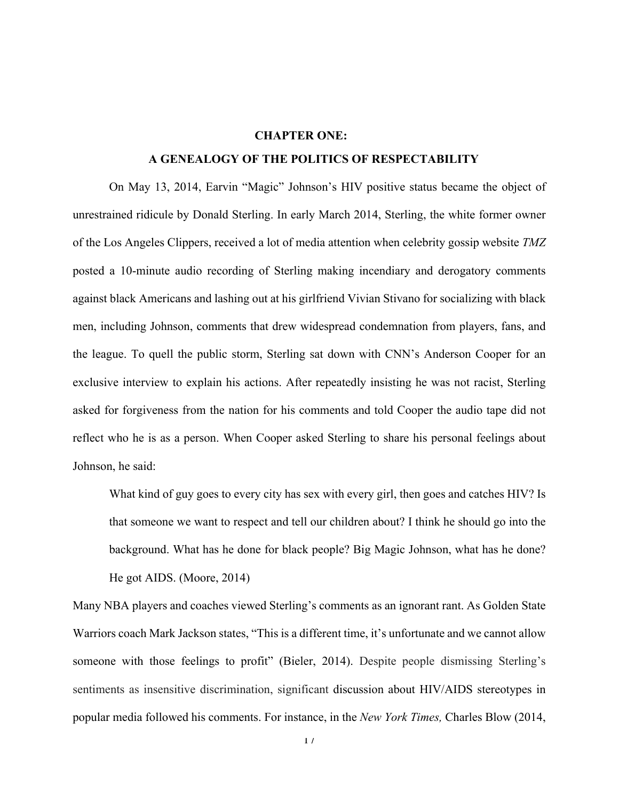#### **CHAPTER ONE:**

#### **A GENEALOGY OF THE POLITICS OF RESPECTABILITY**

On May 13, 2014, Earvin "Magic" Johnson's HIV positive status became the object of unrestrained ridicule by Donald Sterling. In early March 2014, Sterling, the white former owner of the Los Angeles Clippers, received a lot of media attention when celebrity gossip website *TMZ*  posted a 10-minute audio recording of Sterling making incendiary and derogatory comments against black Americans and lashing out at his girlfriend Vivian Stivano for socializing with black men, including Johnson, comments that drew widespread condemnation from players, fans, and the league. To quell the public storm, Sterling sat down with CNN's Anderson Cooper for an exclusive interview to explain his actions. After repeatedly insisting he was not racist, Sterling asked for forgiveness from the nation for his comments and told Cooper the audio tape did not reflect who he is as a person. When Cooper asked Sterling to share his personal feelings about Johnson, he said:

What kind of guy goes to every city has sex with every girl, then goes and catches HIV? Is that someone we want to respect and tell our children about? I think he should go into the background. What has he done for black people? Big Magic Johnson, what has he done? He got AIDS. (Moore, 2014)

Many NBA players and coaches viewed Sterling's comments as an ignorant rant. As Golden State Warriors coach Mark Jackson states, "This is a different time, it's unfortunate and we cannot allow someone with those feelings to profit" (Bieler, 2014). Despite people dismissing Sterling's sentiments as insensitive discrimination, significant discussion about HIV/AIDS stereotypes in popular media followed his comments. For instance, in the *New York Times,* Charles Blow (2014,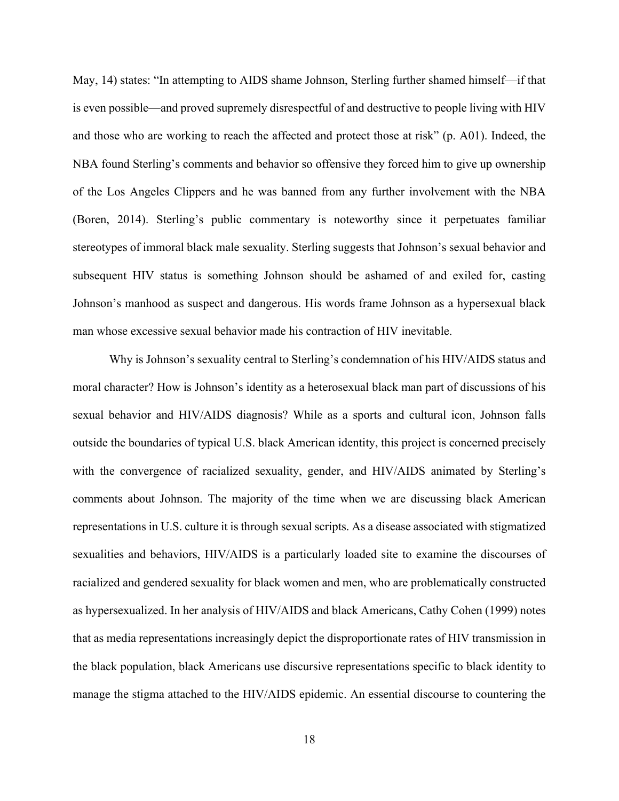May, 14) states: "In attempting to AIDS shame Johnson, Sterling further shamed himself—if that is even possible—and proved supremely disrespectful of and destructive to people living with HIV and those who are working to reach the affected and protect those at risk" (p. A01). Indeed, the NBA found Sterling's comments and behavior so offensive they forced him to give up ownership of the Los Angeles Clippers and he was banned from any further involvement with the NBA (Boren, 2014). Sterling's public commentary is noteworthy since it perpetuates familiar stereotypes of immoral black male sexuality. Sterling suggests that Johnson's sexual behavior and subsequent HIV status is something Johnson should be ashamed of and exiled for, casting Johnson's manhood as suspect and dangerous. His words frame Johnson as a hypersexual black man whose excessive sexual behavior made his contraction of HIV inevitable.

Why is Johnson's sexuality central to Sterling's condemnation of his HIV/AIDS status and moral character? How is Johnson's identity as a heterosexual black man part of discussions of his sexual behavior and HIV/AIDS diagnosis? While as a sports and cultural icon, Johnson falls outside the boundaries of typical U.S. black American identity, this project is concerned precisely with the convergence of racialized sexuality, gender, and HIV/AIDS animated by Sterling's comments about Johnson. The majority of the time when we are discussing black American representations in U.S. culture it is through sexual scripts. As a disease associated with stigmatized sexualities and behaviors, HIV/AIDS is a particularly loaded site to examine the discourses of racialized and gendered sexuality for black women and men, who are problematically constructed as hypersexualized. In her analysis of HIV/AIDS and black Americans, Cathy Cohen (1999) notes that as media representations increasingly depict the disproportionate rates of HIV transmission in the black population, black Americans use discursive representations specific to black identity to manage the stigma attached to the HIV/AIDS epidemic. An essential discourse to countering the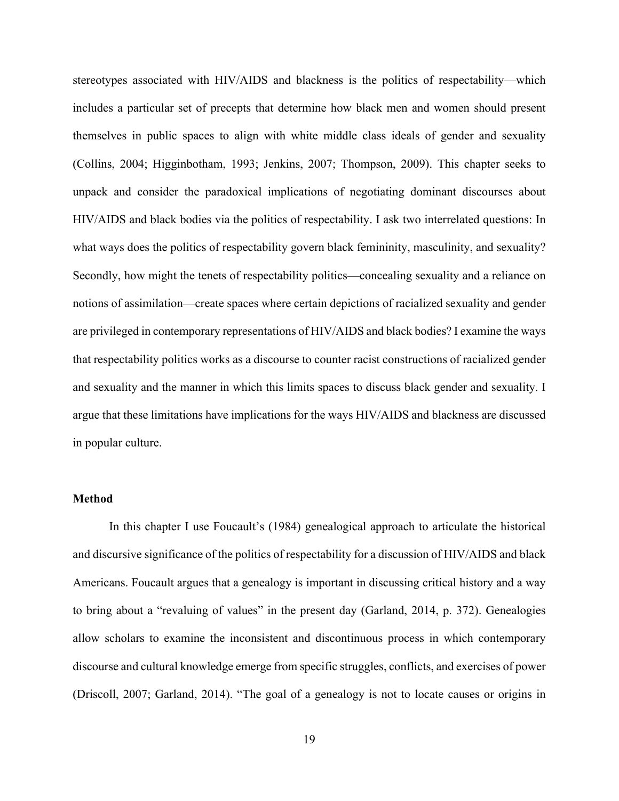stereotypes associated with HIV/AIDS and blackness is the politics of respectability—which includes a particular set of precepts that determine how black men and women should present themselves in public spaces to align with white middle class ideals of gender and sexuality (Collins, 2004; Higginbotham, 1993; Jenkins, 2007; Thompson, 2009). This chapter seeks to unpack and consider the paradoxical implications of negotiating dominant discourses about HIV/AIDS and black bodies via the politics of respectability. I ask two interrelated questions: In what ways does the politics of respectability govern black femininity, masculinity, and sexuality? Secondly, how might the tenets of respectability politics—concealing sexuality and a reliance on notions of assimilation—create spaces where certain depictions of racialized sexuality and gender are privileged in contemporary representations of HIV/AIDS and black bodies? I examine the ways that respectability politics works as a discourse to counter racist constructions of racialized gender and sexuality and the manner in which this limits spaces to discuss black gender and sexuality. I argue that these limitations have implications for the ways HIV/AIDS and blackness are discussed in popular culture.

#### **Method**

In this chapter I use Foucault's (1984) genealogical approach to articulate the historical and discursive significance of the politics of respectability for a discussion of HIV/AIDS and black Americans. Foucault argues that a genealogy is important in discussing critical history and a way to bring about a "revaluing of values" in the present day (Garland, 2014, p. 372). Genealogies allow scholars to examine the inconsistent and discontinuous process in which contemporary discourse and cultural knowledge emerge from specific struggles, conflicts, and exercises of power (Driscoll, 2007; Garland, 2014). "The goal of a genealogy is not to locate causes or origins in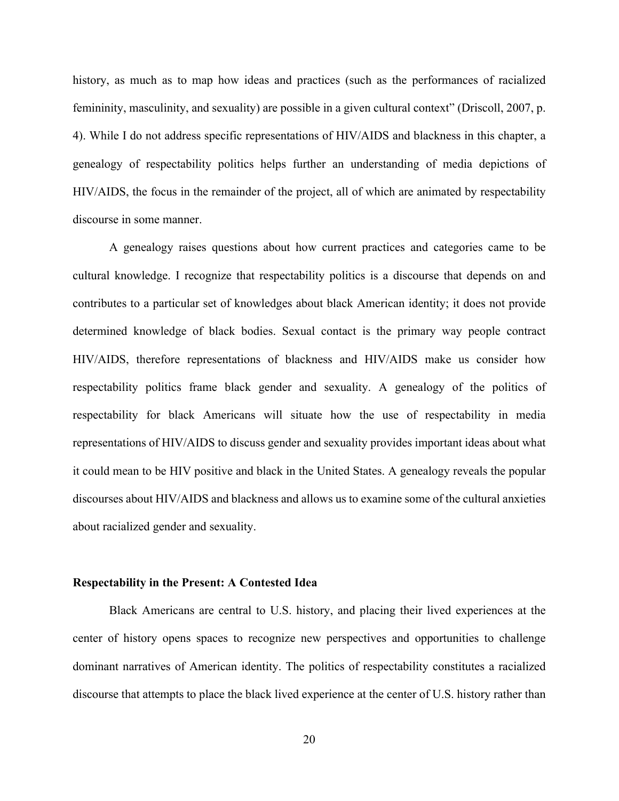history, as much as to map how ideas and practices (such as the performances of racialized femininity, masculinity, and sexuality) are possible in a given cultural context" (Driscoll, 2007, p. 4). While I do not address specific representations of HIV/AIDS and blackness in this chapter, a genealogy of respectability politics helps further an understanding of media depictions of HIV/AIDS, the focus in the remainder of the project, all of which are animated by respectability discourse in some manner.

A genealogy raises questions about how current practices and categories came to be cultural knowledge. I recognize that respectability politics is a discourse that depends on and contributes to a particular set of knowledges about black American identity; it does not provide determined knowledge of black bodies. Sexual contact is the primary way people contract HIV/AIDS, therefore representations of blackness and HIV/AIDS make us consider how respectability politics frame black gender and sexuality. A genealogy of the politics of respectability for black Americans will situate how the use of respectability in media representations of HIV/AIDS to discuss gender and sexuality provides important ideas about what it could mean to be HIV positive and black in the United States. A genealogy reveals the popular discourses about HIV/AIDS and blackness and allows us to examine some of the cultural anxieties about racialized gender and sexuality.

#### **Respectability in the Present: A Contested Idea**

Black Americans are central to U.S. history, and placing their lived experiences at the center of history opens spaces to recognize new perspectives and opportunities to challenge dominant narratives of American identity. The politics of respectability constitutes a racialized discourse that attempts to place the black lived experience at the center of U.S. history rather than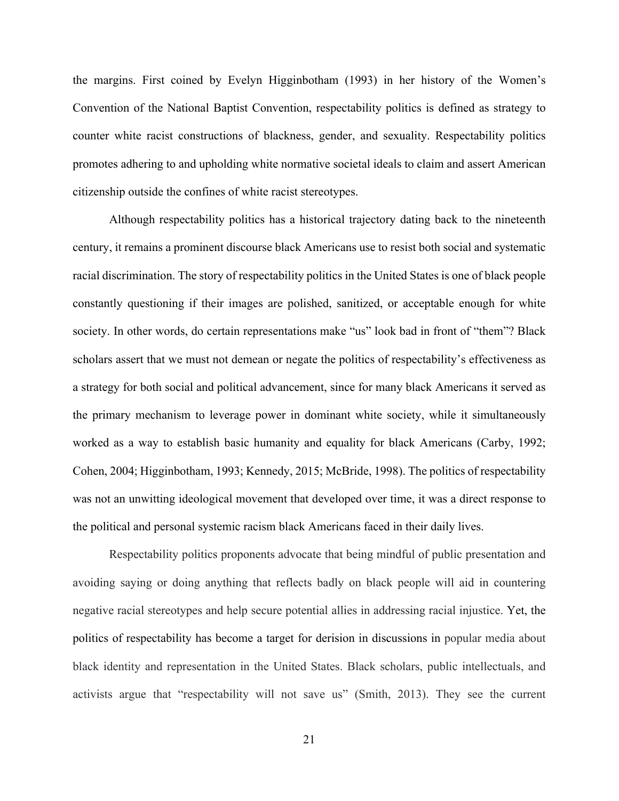the margins. First coined by Evelyn Higginbotham (1993) in her history of the Women's Convention of the National Baptist Convention, respectability politics is defined as strategy to counter white racist constructions of blackness, gender, and sexuality. Respectability politics promotes adhering to and upholding white normative societal ideals to claim and assert American citizenship outside the confines of white racist stereotypes.

Although respectability politics has a historical trajectory dating back to the nineteenth century, it remains a prominent discourse black Americans use to resist both social and systematic racial discrimination. The story of respectability politics in the United States is one of black people constantly questioning if their images are polished, sanitized, or acceptable enough for white society. In other words, do certain representations make "us" look bad in front of "them"? Black scholars assert that we must not demean or negate the politics of respectability's effectiveness as a strategy for both social and political advancement, since for many black Americans it served as the primary mechanism to leverage power in dominant white society, while it simultaneously worked as a way to establish basic humanity and equality for black Americans (Carby, 1992; Cohen, 2004; Higginbotham, 1993; Kennedy, 2015; McBride, 1998). The politics of respectability was not an unwitting ideological movement that developed over time, it was a direct response to the political and personal systemic racism black Americans faced in their daily lives.

Respectability politics proponents advocate that being mindful of public presentation and avoiding saying or doing anything that reflects badly on black people will aid in countering negative racial stereotypes and help secure potential allies in addressing racial injustice. Yet, the politics of respectability has become a target for derision in discussions in popular media about black identity and representation in the United States. Black scholars, public intellectuals, and activists argue that "respectability will not save us" (Smith, 2013). They see the current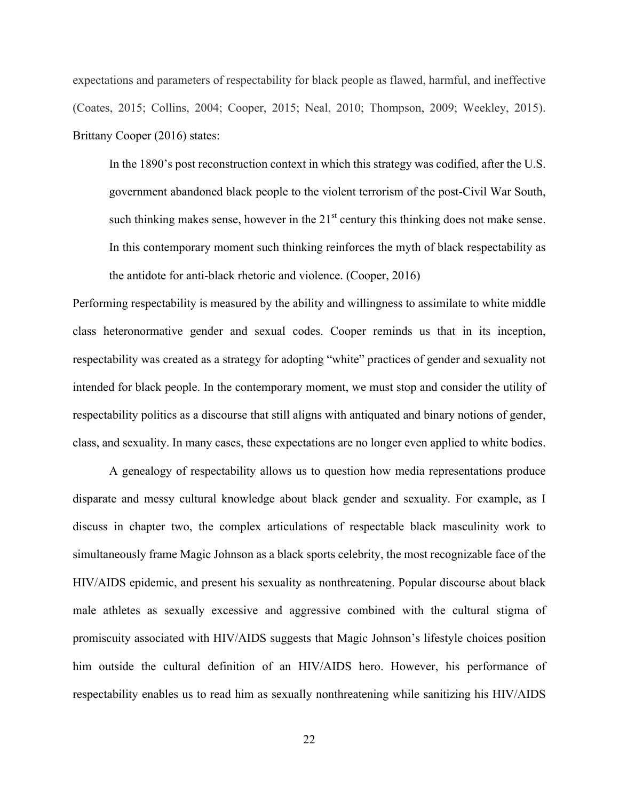expectations and parameters of respectability for black people as flawed, harmful, and ineffective (Coates, 2015; Collins, 2004; Cooper, 2015; Neal, 2010; Thompson, 2009; Weekley, 2015). Brittany Cooper (2016) states:

In the 1890's post reconstruction context in which this strategy was codified, after the U.S. government abandoned black people to the violent terrorism of the post-Civil War South, such thinking makes sense, however in the  $21<sup>st</sup>$  century this thinking does not make sense. In this contemporary moment such thinking reinforces the myth of black respectability as the antidote for anti-black rhetoric and violence. (Cooper, 2016)

Performing respectability is measured by the ability and willingness to assimilate to white middle class heteronormative gender and sexual codes. Cooper reminds us that in its inception, respectability was created as a strategy for adopting "white" practices of gender and sexuality not intended for black people. In the contemporary moment, we must stop and consider the utility of respectability politics as a discourse that still aligns with antiquated and binary notions of gender, class, and sexuality. In many cases, these expectations are no longer even applied to white bodies.

A genealogy of respectability allows us to question how media representations produce disparate and messy cultural knowledge about black gender and sexuality. For example, as I discuss in chapter two, the complex articulations of respectable black masculinity work to simultaneously frame Magic Johnson as a black sports celebrity, the most recognizable face of the HIV/AIDS epidemic, and present his sexuality as nonthreatening. Popular discourse about black male athletes as sexually excessive and aggressive combined with the cultural stigma of promiscuity associated with HIV/AIDS suggests that Magic Johnson's lifestyle choices position him outside the cultural definition of an HIV/AIDS hero. However, his performance of respectability enables us to read him as sexually nonthreatening while sanitizing his HIV/AIDS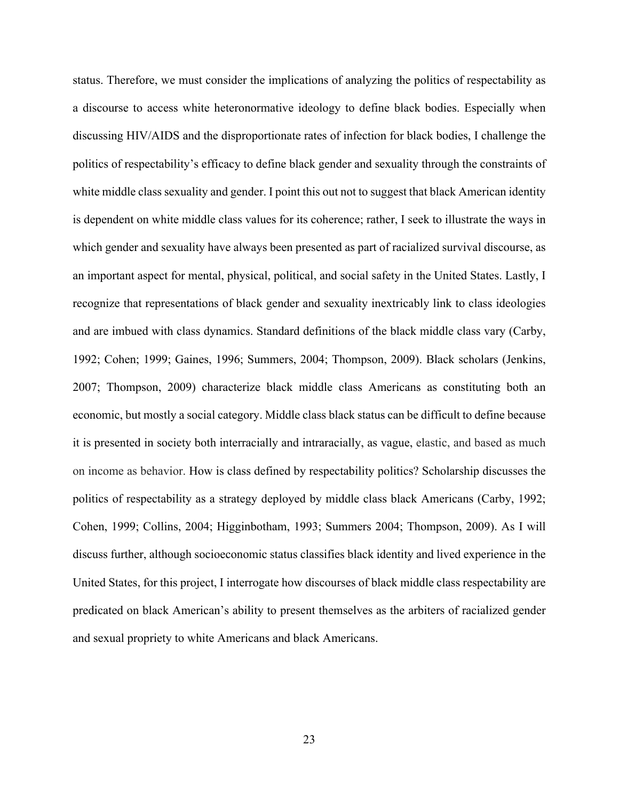status. Therefore, we must consider the implications of analyzing the politics of respectability as a discourse to access white heteronormative ideology to define black bodies. Especially when discussing HIV/AIDS and the disproportionate rates of infection for black bodies, I challenge the politics of respectability's efficacy to define black gender and sexuality through the constraints of white middle class sexuality and gender. I point this out not to suggest that black American identity is dependent on white middle class values for its coherence; rather, I seek to illustrate the ways in which gender and sexuality have always been presented as part of racialized survival discourse, as an important aspect for mental, physical, political, and social safety in the United States. Lastly, I recognize that representations of black gender and sexuality inextricably link to class ideologies and are imbued with class dynamics. Standard definitions of the black middle class vary (Carby, 1992; Cohen; 1999; Gaines, 1996; Summers, 2004; Thompson, 2009). Black scholars (Jenkins, 2007; Thompson, 2009) characterize black middle class Americans as constituting both an economic, but mostly a social category. Middle class black status can be difficult to define because it is presented in society both interracially and intraracially, as vague, elastic, and based as much on income as behavior. How is class defined by respectability politics? Scholarship discusses the politics of respectability as a strategy deployed by middle class black Americans (Carby, 1992; Cohen, 1999; Collins, 2004; Higginbotham, 1993; Summers 2004; Thompson, 2009). As I will discuss further, although socioeconomic status classifies black identity and lived experience in the United States, for this project, I interrogate how discourses of black middle class respectability are predicated on black American's ability to present themselves as the arbiters of racialized gender and sexual propriety to white Americans and black Americans.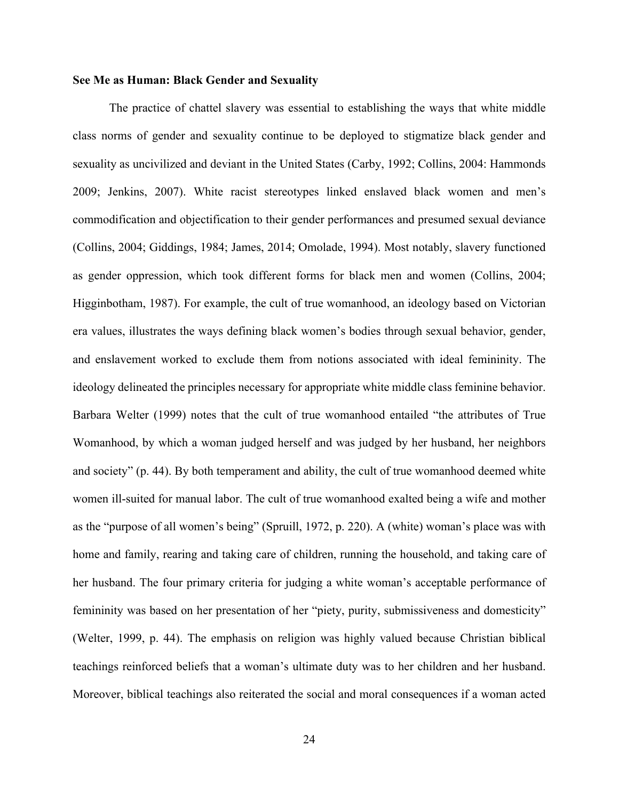#### **See Me as Human: Black Gender and Sexuality**

The practice of chattel slavery was essential to establishing the ways that white middle class norms of gender and sexuality continue to be deployed to stigmatize black gender and sexuality as uncivilized and deviant in the United States (Carby, 1992; Collins, 2004: Hammonds 2009; Jenkins, 2007). White racist stereotypes linked enslaved black women and men's commodification and objectification to their gender performances and presumed sexual deviance (Collins, 2004; Giddings, 1984; James, 2014; Omolade, 1994). Most notably, slavery functioned as gender oppression, which took different forms for black men and women (Collins, 2004; Higginbotham, 1987). For example, the cult of true womanhood, an ideology based on Victorian era values, illustrates the ways defining black women's bodies through sexual behavior, gender, and enslavement worked to exclude them from notions associated with ideal femininity. The ideology delineated the principles necessary for appropriate white middle class feminine behavior. Barbara Welter (1999) notes that the cult of true womanhood entailed "the attributes of True Womanhood, by which a woman judged herself and was judged by her husband, her neighbors and society" (p. 44). By both temperament and ability, the cult of true womanhood deemed white women ill-suited for manual labor. The cult of true womanhood exalted being a wife and mother as the "purpose of all women's being" (Spruill, 1972, p. 220). A (white) woman's place was with home and family, rearing and taking care of children, running the household, and taking care of her husband. The four primary criteria for judging a white woman's acceptable performance of femininity was based on her presentation of her "piety, purity, submissiveness and domesticity" (Welter, 1999, p. 44). The emphasis on religion was highly valued because Christian biblical teachings reinforced beliefs that a woman's ultimate duty was to her children and her husband. Moreover, biblical teachings also reiterated the social and moral consequences if a woman acted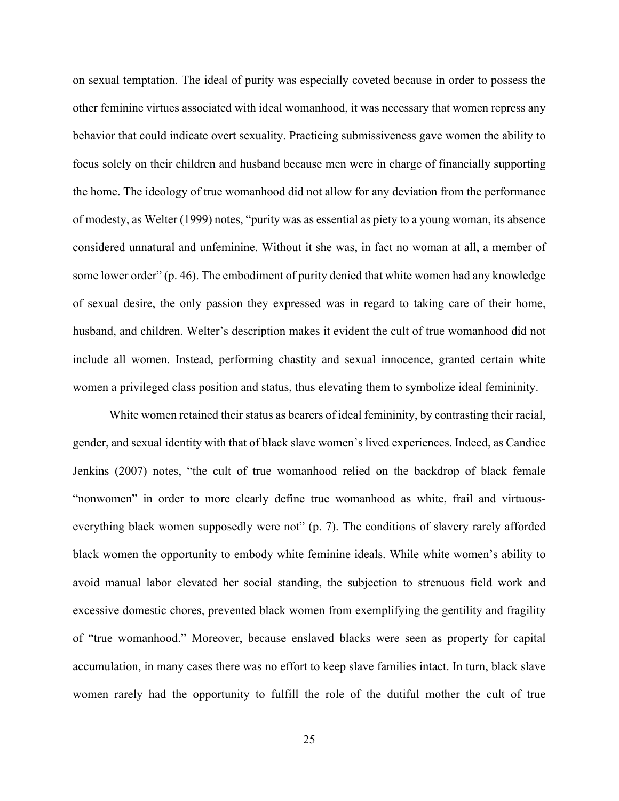on sexual temptation. The ideal of purity was especially coveted because in order to possess the other feminine virtues associated with ideal womanhood, it was necessary that women repress any behavior that could indicate overt sexuality. Practicing submissiveness gave women the ability to focus solely on their children and husband because men were in charge of financially supporting the home. The ideology of true womanhood did not allow for any deviation from the performance of modesty, as Welter (1999) notes, "purity was as essential as piety to a young woman, its absence considered unnatural and unfeminine. Without it she was, in fact no woman at all, a member of some lower order" (p. 46). The embodiment of purity denied that white women had any knowledge of sexual desire, the only passion they expressed was in regard to taking care of their home, husband, and children. Welter's description makes it evident the cult of true womanhood did not include all women. Instead, performing chastity and sexual innocence, granted certain white women a privileged class position and status, thus elevating them to symbolize ideal femininity.

White women retained their status as bearers of ideal femininity, by contrasting their racial, gender, and sexual identity with that of black slave women's lived experiences. Indeed, as Candice Jenkins (2007) notes, "the cult of true womanhood relied on the backdrop of black female "nonwomen" in order to more clearly define true womanhood as white, frail and virtuouseverything black women supposedly were not" (p. 7). The conditions of slavery rarely afforded black women the opportunity to embody white feminine ideals. While white women's ability to avoid manual labor elevated her social standing, the subjection to strenuous field work and excessive domestic chores, prevented black women from exemplifying the gentility and fragility of "true womanhood." Moreover, because enslaved blacks were seen as property for capital accumulation, in many cases there was no effort to keep slave families intact. In turn, black slave women rarely had the opportunity to fulfill the role of the dutiful mother the cult of true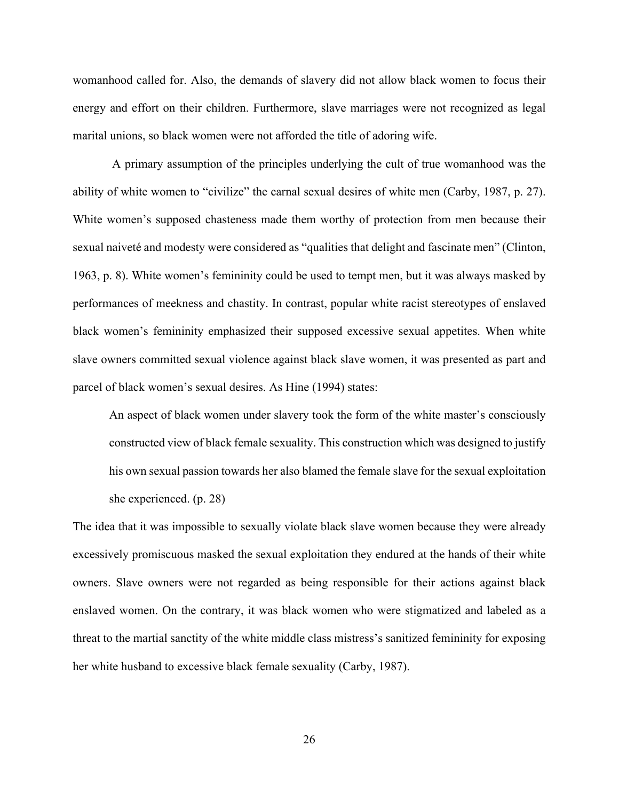womanhood called for. Also, the demands of slavery did not allow black women to focus their energy and effort on their children. Furthermore, slave marriages were not recognized as legal marital unions, so black women were not afforded the title of adoring wife.

A primary assumption of the principles underlying the cult of true womanhood was the ability of white women to "civilize" the carnal sexual desires of white men (Carby, 1987, p. 27). White women's supposed chasteness made them worthy of protection from men because their sexual naiveté and modesty were considered as "qualities that delight and fascinate men" (Clinton, 1963, p. 8). White women's femininity could be used to tempt men, but it was always masked by performances of meekness and chastity. In contrast, popular white racist stereotypes of enslaved black women's femininity emphasized their supposed excessive sexual appetites. When white slave owners committed sexual violence against black slave women, it was presented as part and parcel of black women's sexual desires. As Hine (1994) states:

An aspect of black women under slavery took the form of the white master's consciously constructed view of black female sexuality. This construction which was designed to justify his own sexual passion towards her also blamed the female slave for the sexual exploitation she experienced. (p. 28)

The idea that it was impossible to sexually violate black slave women because they were already excessively promiscuous masked the sexual exploitation they endured at the hands of their white owners. Slave owners were not regarded as being responsible for their actions against black enslaved women. On the contrary, it was black women who were stigmatized and labeled as a threat to the martial sanctity of the white middle class mistress's sanitized femininity for exposing her white husband to excessive black female sexuality (Carby, 1987).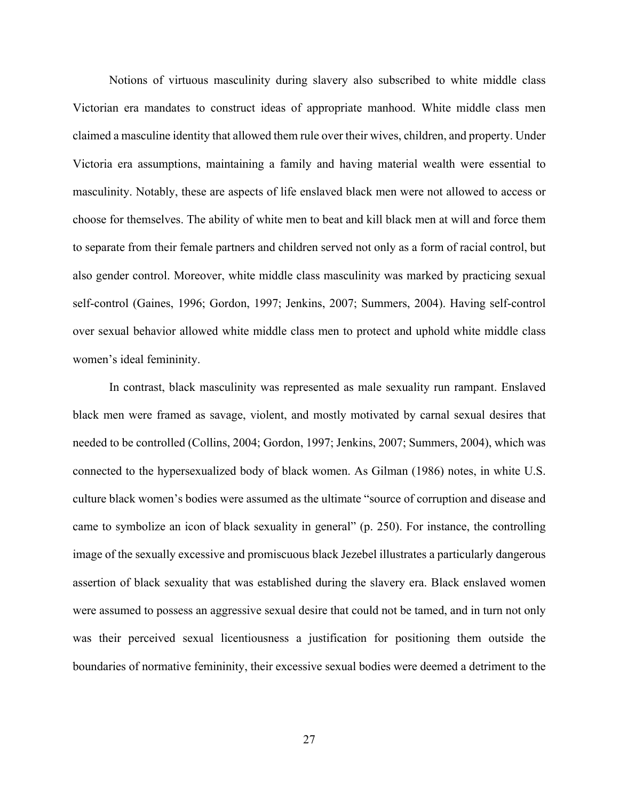Notions of virtuous masculinity during slavery also subscribed to white middle class Victorian era mandates to construct ideas of appropriate manhood. White middle class men claimed a masculine identity that allowed them rule over their wives, children, and property. Under Victoria era assumptions, maintaining a family and having material wealth were essential to masculinity. Notably, these are aspects of life enslaved black men were not allowed to access or choose for themselves. The ability of white men to beat and kill black men at will and force them to separate from their female partners and children served not only as a form of racial control, but also gender control. Moreover, white middle class masculinity was marked by practicing sexual self-control (Gaines, 1996; Gordon, 1997; Jenkins, 2007; Summers, 2004). Having self-control over sexual behavior allowed white middle class men to protect and uphold white middle class women's ideal femininity.

In contrast, black masculinity was represented as male sexuality run rampant. Enslaved black men were framed as savage, violent, and mostly motivated by carnal sexual desires that needed to be controlled (Collins, 2004; Gordon, 1997; Jenkins, 2007; Summers, 2004), which was connected to the hypersexualized body of black women. As Gilman (1986) notes, in white U.S. culture black women's bodies were assumed as the ultimate "source of corruption and disease and came to symbolize an icon of black sexuality in general" (p. 250). For instance, the controlling image of the sexually excessive and promiscuous black Jezebel illustrates a particularly dangerous assertion of black sexuality that was established during the slavery era. Black enslaved women were assumed to possess an aggressive sexual desire that could not be tamed, and in turn not only was their perceived sexual licentiousness a justification for positioning them outside the boundaries of normative femininity, their excessive sexual bodies were deemed a detriment to the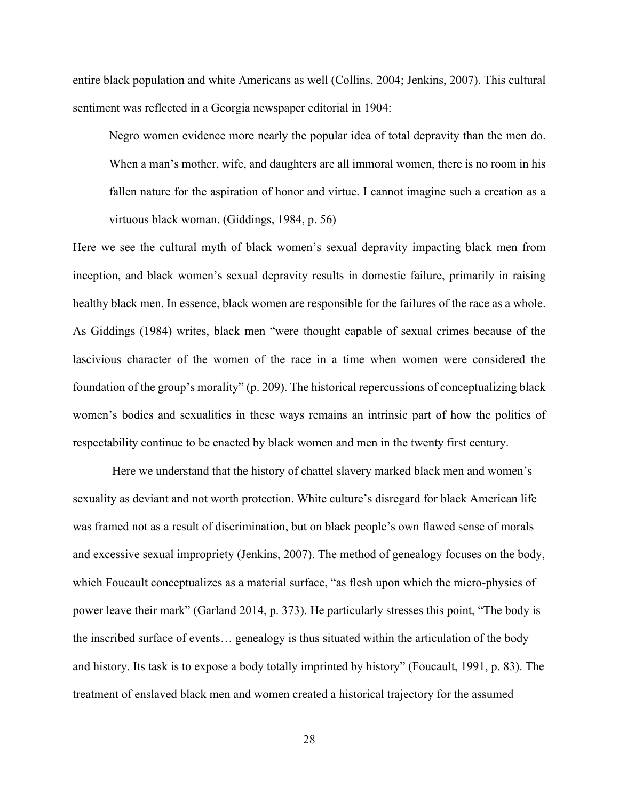entire black population and white Americans as well (Collins, 2004; Jenkins, 2007). This cultural sentiment was reflected in a Georgia newspaper editorial in 1904:

Negro women evidence more nearly the popular idea of total depravity than the men do. When a man's mother, wife, and daughters are all immoral women, there is no room in his fallen nature for the aspiration of honor and virtue. I cannot imagine such a creation as a virtuous black woman. (Giddings, 1984, p. 56)

Here we see the cultural myth of black women's sexual depravity impacting black men from inception, and black women's sexual depravity results in domestic failure, primarily in raising healthy black men. In essence, black women are responsible for the failures of the race as a whole. As Giddings (1984) writes, black men "were thought capable of sexual crimes because of the lascivious character of the women of the race in a time when women were considered the foundation of the group's morality" (p. 209). The historical repercussions of conceptualizing black women's bodies and sexualities in these ways remains an intrinsic part of how the politics of respectability continue to be enacted by black women and men in the twenty first century.

Here we understand that the history of chattel slavery marked black men and women's sexuality as deviant and not worth protection. White culture's disregard for black American life was framed not as a result of discrimination, but on black people's own flawed sense of morals and excessive sexual impropriety (Jenkins, 2007). The method of genealogy focuses on the body, which Foucault conceptualizes as a material surface, "as flesh upon which the micro-physics of power leave their mark" (Garland 2014, p. 373). He particularly stresses this point, "The body is the inscribed surface of events… genealogy is thus situated within the articulation of the body and history. Its task is to expose a body totally imprinted by history" (Foucault, 1991, p. 83). The treatment of enslaved black men and women created a historical trajectory for the assumed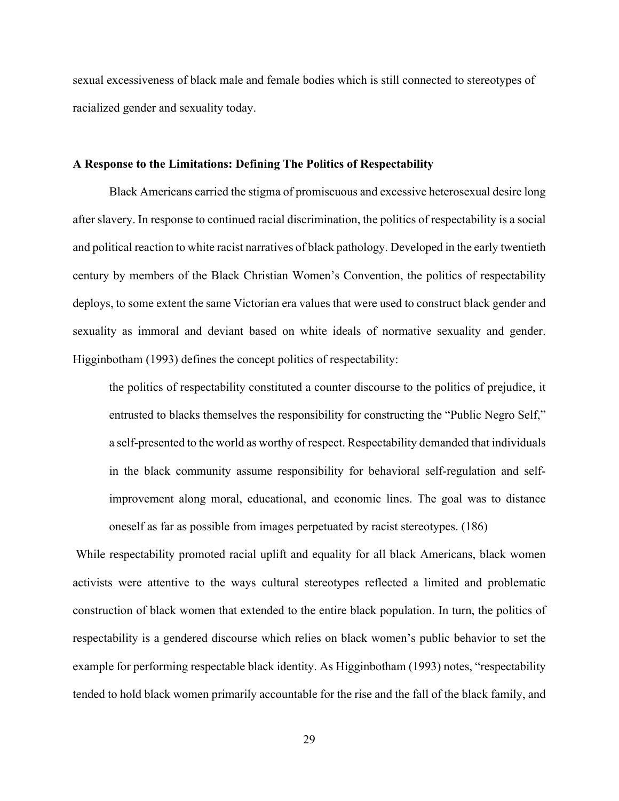sexual excessiveness of black male and female bodies which is still connected to stereotypes of racialized gender and sexuality today.

#### **A Response to the Limitations: Defining The Politics of Respectability**

Black Americans carried the stigma of promiscuous and excessive heterosexual desire long after slavery. In response to continued racial discrimination, the politics of respectability is a social and political reaction to white racist narratives of black pathology. Developed in the early twentieth century by members of the Black Christian Women's Convention, the politics of respectability deploys, to some extent the same Victorian era values that were used to construct black gender and sexuality as immoral and deviant based on white ideals of normative sexuality and gender. Higginbotham (1993) defines the concept politics of respectability:

the politics of respectability constituted a counter discourse to the politics of prejudice, it entrusted to blacks themselves the responsibility for constructing the "Public Negro Self," a self-presented to the world as worthy of respect. Respectability demanded that individuals in the black community assume responsibility for behavioral self-regulation and selfimprovement along moral, educational, and economic lines. The goal was to distance oneself as far as possible from images perpetuated by racist stereotypes. (186)

While respectability promoted racial uplift and equality for all black Americans, black women activists were attentive to the ways cultural stereotypes reflected a limited and problematic construction of black women that extended to the entire black population. In turn, the politics of respectability is a gendered discourse which relies on black women's public behavior to set the example for performing respectable black identity. As Higginbotham (1993) notes, "respectability tended to hold black women primarily accountable for the rise and the fall of the black family, and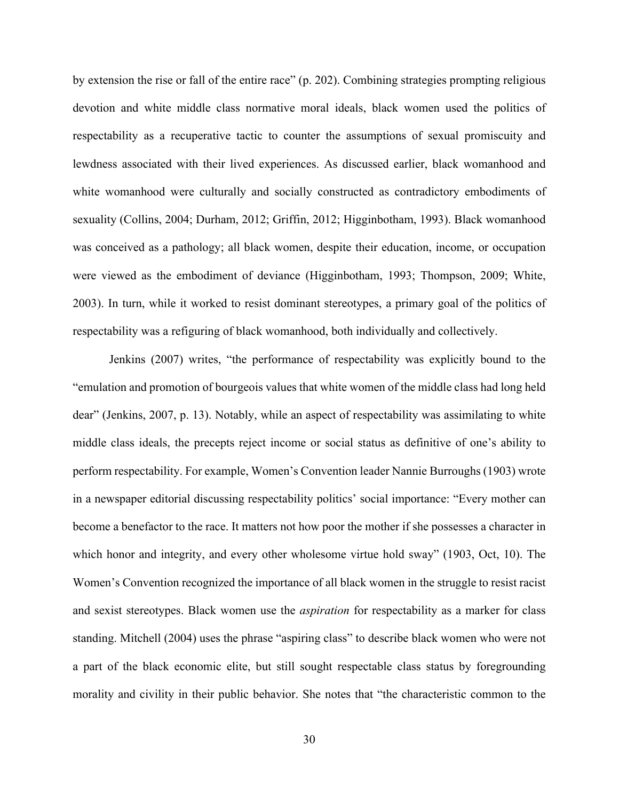by extension the rise or fall of the entire race" (p. 202). Combining strategies prompting religious devotion and white middle class normative moral ideals, black women used the politics of respectability as a recuperative tactic to counter the assumptions of sexual promiscuity and lewdness associated with their lived experiences. As discussed earlier, black womanhood and white womanhood were culturally and socially constructed as contradictory embodiments of sexuality (Collins, 2004; Durham, 2012; Griffin, 2012; Higginbotham, 1993). Black womanhood was conceived as a pathology; all black women, despite their education, income, or occupation were viewed as the embodiment of deviance (Higginbotham, 1993; Thompson, 2009; White, 2003). In turn, while it worked to resist dominant stereotypes, a primary goal of the politics of respectability was a refiguring of black womanhood, both individually and collectively.

Jenkins (2007) writes, "the performance of respectability was explicitly bound to the "emulation and promotion of bourgeois values that white women of the middle class had long held dear" (Jenkins, 2007, p. 13). Notably, while an aspect of respectability was assimilating to white middle class ideals, the precepts reject income or social status as definitive of one's ability to perform respectability. For example, Women's Convention leader Nannie Burroughs (1903) wrote in a newspaper editorial discussing respectability politics' social importance: "Every mother can become a benefactor to the race. It matters not how poor the mother if she possesses a character in which honor and integrity, and every other wholesome virtue hold sway" (1903, Oct, 10). The Women's Convention recognized the importance of all black women in the struggle to resist racist and sexist stereotypes. Black women use the *aspiration* for respectability as a marker for class standing. Mitchell (2004) uses the phrase "aspiring class" to describe black women who were not a part of the black economic elite, but still sought respectable class status by foregrounding morality and civility in their public behavior. She notes that "the characteristic common to the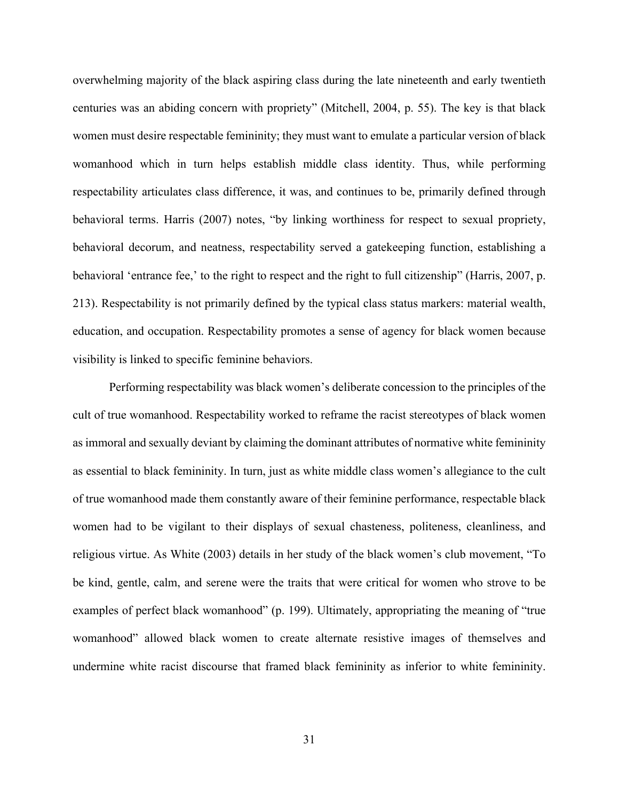overwhelming majority of the black aspiring class during the late nineteenth and early twentieth centuries was an abiding concern with propriety" (Mitchell, 2004, p. 55). The key is that black women must desire respectable femininity; they must want to emulate a particular version of black womanhood which in turn helps establish middle class identity. Thus, while performing respectability articulates class difference, it was, and continues to be, primarily defined through behavioral terms. Harris (2007) notes, "by linking worthiness for respect to sexual propriety, behavioral decorum, and neatness, respectability served a gatekeeping function, establishing a behavioral 'entrance fee,' to the right to respect and the right to full citizenship" (Harris, 2007, p. 213). Respectability is not primarily defined by the typical class status markers: material wealth, education, and occupation. Respectability promotes a sense of agency for black women because visibility is linked to specific feminine behaviors.

Performing respectability was black women's deliberate concession to the principles of the cult of true womanhood. Respectability worked to reframe the racist stereotypes of black women as immoral and sexually deviant by claiming the dominant attributes of normative white femininity as essential to black femininity. In turn, just as white middle class women's allegiance to the cult of true womanhood made them constantly aware of their feminine performance, respectable black women had to be vigilant to their displays of sexual chasteness, politeness, cleanliness, and religious virtue. As White (2003) details in her study of the black women's club movement, "To be kind, gentle, calm, and serene were the traits that were critical for women who strove to be examples of perfect black womanhood" (p. 199). Ultimately, appropriating the meaning of "true womanhood" allowed black women to create alternate resistive images of themselves and undermine white racist discourse that framed black femininity as inferior to white femininity.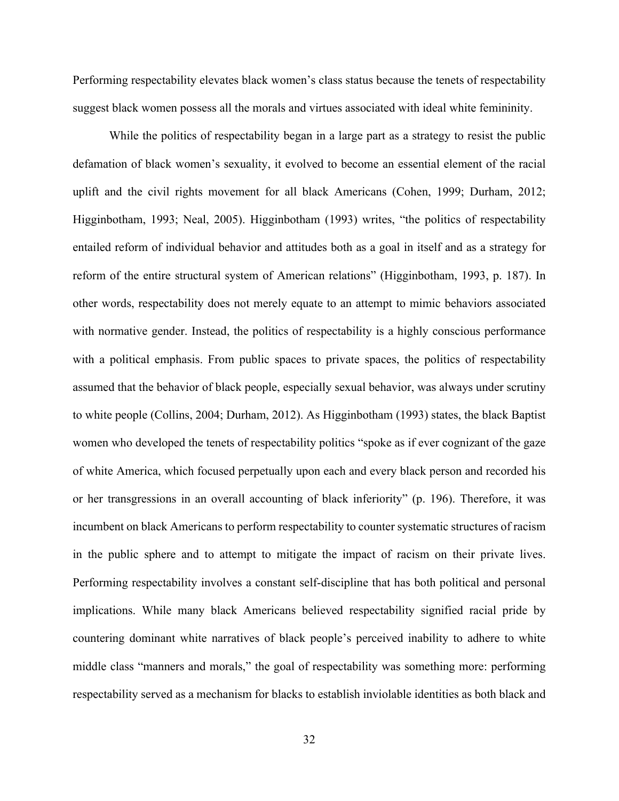Performing respectability elevates black women's class status because the tenets of respectability suggest black women possess all the morals and virtues associated with ideal white femininity.

While the politics of respectability began in a large part as a strategy to resist the public defamation of black women's sexuality, it evolved to become an essential element of the racial uplift and the civil rights movement for all black Americans (Cohen, 1999; Durham, 2012; Higginbotham, 1993; Neal, 2005). Higginbotham (1993) writes, "the politics of respectability entailed reform of individual behavior and attitudes both as a goal in itself and as a strategy for reform of the entire structural system of American relations" (Higginbotham, 1993, p. 187). In other words, respectability does not merely equate to an attempt to mimic behaviors associated with normative gender. Instead, the politics of respectability is a highly conscious performance with a political emphasis. From public spaces to private spaces, the politics of respectability assumed that the behavior of black people, especially sexual behavior, was always under scrutiny to white people (Collins, 2004; Durham, 2012). As Higginbotham (1993) states, the black Baptist women who developed the tenets of respectability politics "spoke as if ever cognizant of the gaze of white America, which focused perpetually upon each and every black person and recorded his or her transgressions in an overall accounting of black inferiority" (p. 196). Therefore, it was incumbent on black Americans to perform respectability to counter systematic structures of racism in the public sphere and to attempt to mitigate the impact of racism on their private lives. Performing respectability involves a constant self-discipline that has both political and personal implications. While many black Americans believed respectability signified racial pride by countering dominant white narratives of black people's perceived inability to adhere to white middle class "manners and morals," the goal of respectability was something more: performing respectability served as a mechanism for blacks to establish inviolable identities as both black and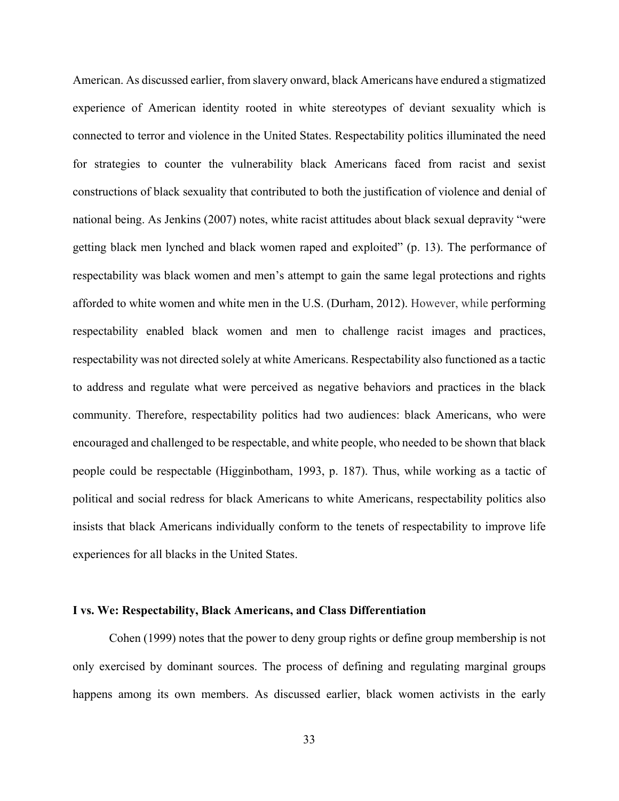American. As discussed earlier, from slavery onward, black Americans have endured a stigmatized experience of American identity rooted in white stereotypes of deviant sexuality which is connected to terror and violence in the United States. Respectability politics illuminated the need for strategies to counter the vulnerability black Americans faced from racist and sexist constructions of black sexuality that contributed to both the justification of violence and denial of national being. As Jenkins (2007) notes, white racist attitudes about black sexual depravity "were getting black men lynched and black women raped and exploited" (p. 13). The performance of respectability was black women and men's attempt to gain the same legal protections and rights afforded to white women and white men in the U.S. (Durham, 2012). However, while performing respectability enabled black women and men to challenge racist images and practices, respectability was not directed solely at white Americans. Respectability also functioned as a tactic to address and regulate what were perceived as negative behaviors and practices in the black community. Therefore, respectability politics had two audiences: black Americans, who were encouraged and challenged to be respectable, and white people, who needed to be shown that black people could be respectable (Higginbotham, 1993, p. 187). Thus, while working as a tactic of political and social redress for black Americans to white Americans, respectability politics also insists that black Americans individually conform to the tenets of respectability to improve life experiences for all blacks in the United States.

#### **I vs. We: Respectability, Black Americans, and Class Differentiation**

Cohen (1999) notes that the power to deny group rights or define group membership is not only exercised by dominant sources. The process of defining and regulating marginal groups happens among its own members. As discussed earlier, black women activists in the early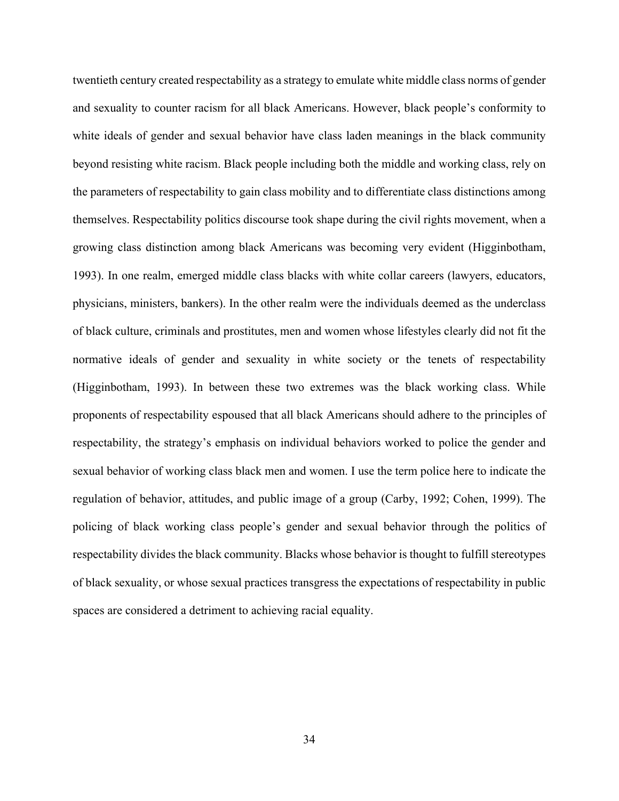twentieth century created respectability as a strategy to emulate white middle class norms of gender and sexuality to counter racism for all black Americans. However, black people's conformity to white ideals of gender and sexual behavior have class laden meanings in the black community beyond resisting white racism. Black people including both the middle and working class, rely on the parameters of respectability to gain class mobility and to differentiate class distinctions among themselves. Respectability politics discourse took shape during the civil rights movement, when a growing class distinction among black Americans was becoming very evident (Higginbotham, 1993). In one realm, emerged middle class blacks with white collar careers (lawyers, educators, physicians, ministers, bankers). In the other realm were the individuals deemed as the underclass of black culture, criminals and prostitutes, men and women whose lifestyles clearly did not fit the normative ideals of gender and sexuality in white society or the tenets of respectability (Higginbotham, 1993). In between these two extremes was the black working class. While proponents of respectability espoused that all black Americans should adhere to the principles of respectability, the strategy's emphasis on individual behaviors worked to police the gender and sexual behavior of working class black men and women. I use the term police here to indicate the regulation of behavior, attitudes, and public image of a group (Carby, 1992; Cohen, 1999). The policing of black working class people's gender and sexual behavior through the politics of respectability divides the black community. Blacks whose behavior is thought to fulfill stereotypes of black sexuality, or whose sexual practices transgress the expectations of respectability in public spaces are considered a detriment to achieving racial equality.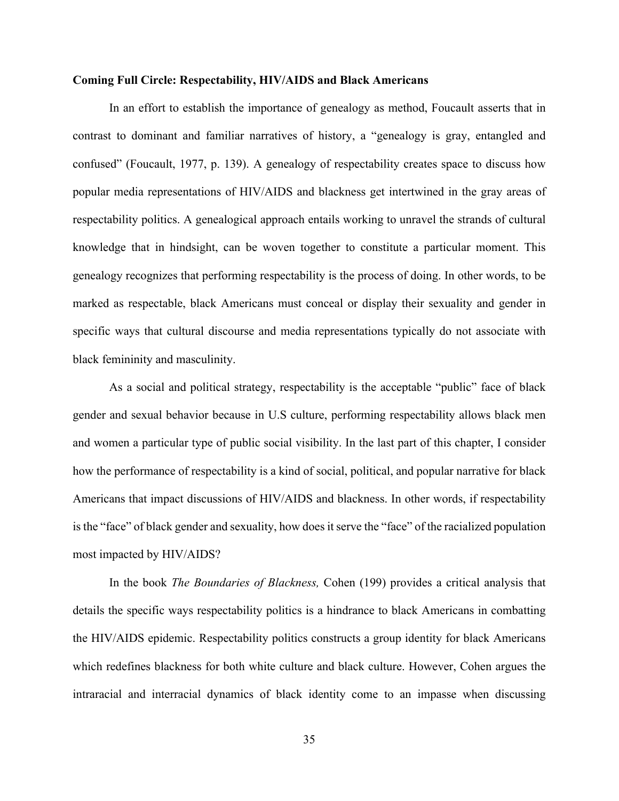#### **Coming Full Circle: Respectability, HIV/AIDS and Black Americans**

In an effort to establish the importance of genealogy as method, Foucault asserts that in contrast to dominant and familiar narratives of history, a "genealogy is gray, entangled and confused" (Foucault, 1977, p. 139). A genealogy of respectability creates space to discuss how popular media representations of HIV/AIDS and blackness get intertwined in the gray areas of respectability politics. A genealogical approach entails working to unravel the strands of cultural knowledge that in hindsight, can be woven together to constitute a particular moment. This genealogy recognizes that performing respectability is the process of doing. In other words, to be marked as respectable, black Americans must conceal or display their sexuality and gender in specific ways that cultural discourse and media representations typically do not associate with black femininity and masculinity.

As a social and political strategy, respectability is the acceptable "public" face of black gender and sexual behavior because in U.S culture, performing respectability allows black men and women a particular type of public social visibility. In the last part of this chapter, I consider how the performance of respectability is a kind of social, political, and popular narrative for black Americans that impact discussions of HIV/AIDS and blackness. In other words, if respectability is the "face" of black gender and sexuality, how does it serve the "face" of the racialized population most impacted by HIV/AIDS?

In the book *The Boundaries of Blackness,* Cohen (199) provides a critical analysis that details the specific ways respectability politics is a hindrance to black Americans in combatting the HIV/AIDS epidemic. Respectability politics constructs a group identity for black Americans which redefines blackness for both white culture and black culture. However, Cohen argues the intraracial and interracial dynamics of black identity come to an impasse when discussing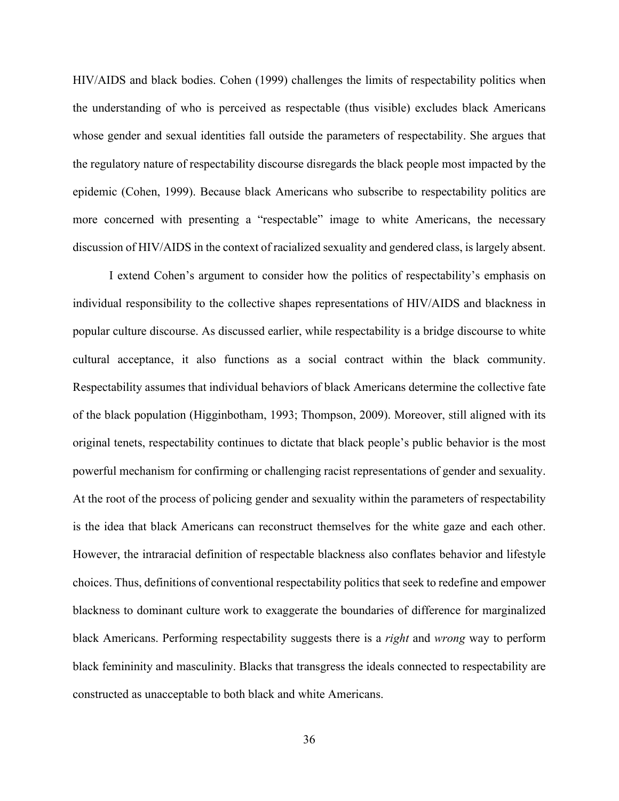HIV/AIDS and black bodies. Cohen (1999) challenges the limits of respectability politics when the understanding of who is perceived as respectable (thus visible) excludes black Americans whose gender and sexual identities fall outside the parameters of respectability. She argues that the regulatory nature of respectability discourse disregards the black people most impacted by the epidemic (Cohen, 1999). Because black Americans who subscribe to respectability politics are more concerned with presenting a "respectable" image to white Americans, the necessary discussion of HIV/AIDS in the context of racialized sexuality and gendered class, is largely absent.

I extend Cohen's argument to consider how the politics of respectability's emphasis on individual responsibility to the collective shapes representations of HIV/AIDS and blackness in popular culture discourse. As discussed earlier, while respectability is a bridge discourse to white cultural acceptance, it also functions as a social contract within the black community. Respectability assumes that individual behaviors of black Americans determine the collective fate of the black population (Higginbotham, 1993; Thompson, 2009). Moreover, still aligned with its original tenets, respectability continues to dictate that black people's public behavior is the most powerful mechanism for confirming or challenging racist representations of gender and sexuality. At the root of the process of policing gender and sexuality within the parameters of respectability is the idea that black Americans can reconstruct themselves for the white gaze and each other. However, the intraracial definition of respectable blackness also conflates behavior and lifestyle choices. Thus, definitions of conventional respectability politics that seek to redefine and empower blackness to dominant culture work to exaggerate the boundaries of difference for marginalized black Americans. Performing respectability suggests there is a *right* and *wrong* way to perform black femininity and masculinity. Blacks that transgress the ideals connected to respectability are constructed as unacceptable to both black and white Americans.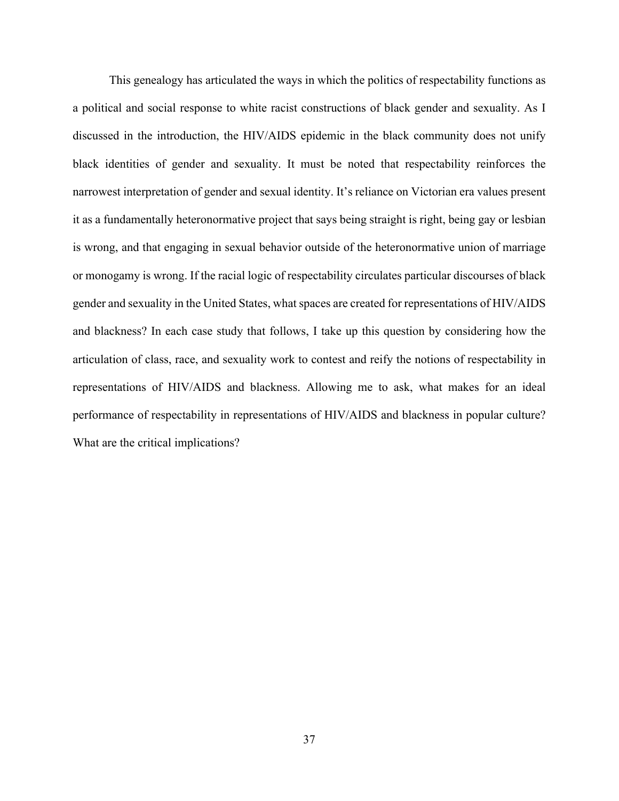This genealogy has articulated the ways in which the politics of respectability functions as a political and social response to white racist constructions of black gender and sexuality. As I discussed in the introduction, the HIV/AIDS epidemic in the black community does not unify black identities of gender and sexuality. It must be noted that respectability reinforces the narrowest interpretation of gender and sexual identity. It's reliance on Victorian era values present it as a fundamentally heteronormative project that says being straight is right, being gay or lesbian is wrong, and that engaging in sexual behavior outside of the heteronormative union of marriage or monogamy is wrong. If the racial logic of respectability circulates particular discourses of black gender and sexuality in the United States, what spaces are created for representations of HIV/AIDS and blackness? In each case study that follows, I take up this question by considering how the articulation of class, race, and sexuality work to contest and reify the notions of respectability in representations of HIV/AIDS and blackness. Allowing me to ask, what makes for an ideal performance of respectability in representations of HIV/AIDS and blackness in popular culture? What are the critical implications?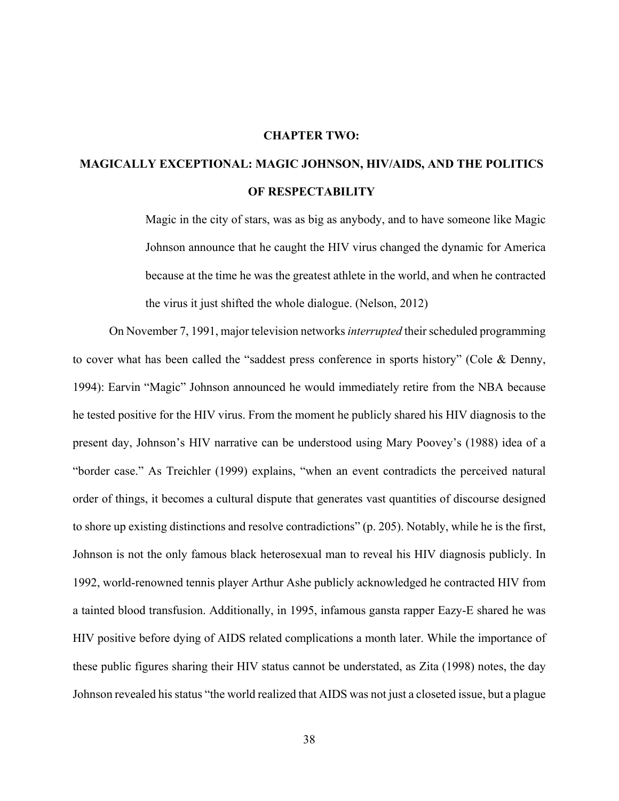### **CHAPTER TWO:**

## **MAGICALLY EXCEPTIONAL: MAGIC JOHNSON, HIV/AIDS, AND THE POLITICS OF RESPECTABILITY**

Magic in the city of stars, was as big as anybody, and to have someone like Magic Johnson announce that he caught the HIV virus changed the dynamic for America because at the time he was the greatest athlete in the world, and when he contracted the virus it just shifted the whole dialogue. (Nelson, 2012)

On November 7, 1991, major television networks *interrupted* their scheduled programming to cover what has been called the "saddest press conference in sports history" (Cole & Denny, 1994): Earvin "Magic" Johnson announced he would immediately retire from the NBA because he tested positive for the HIV virus. From the moment he publicly shared his HIV diagnosis to the present day, Johnson's HIV narrative can be understood using Mary Poovey's (1988) idea of a "border case." As Treichler (1999) explains, "when an event contradicts the perceived natural order of things, it becomes a cultural dispute that generates vast quantities of discourse designed to shore up existing distinctions and resolve contradictions" (p. 205). Notably, while he is the first, Johnson is not the only famous black heterosexual man to reveal his HIV diagnosis publicly. In 1992, world-renowned tennis player Arthur Ashe publicly acknowledged he contracted HIV from a tainted blood transfusion. Additionally, in 1995, infamous gansta rapper Eazy-E shared he was HIV positive before dying of AIDS related complications a month later. While the importance of these public figures sharing their HIV status cannot be understated, as Zita (1998) notes, the day Johnson revealed his status "the world realized that AIDS was not just a closeted issue, but a plague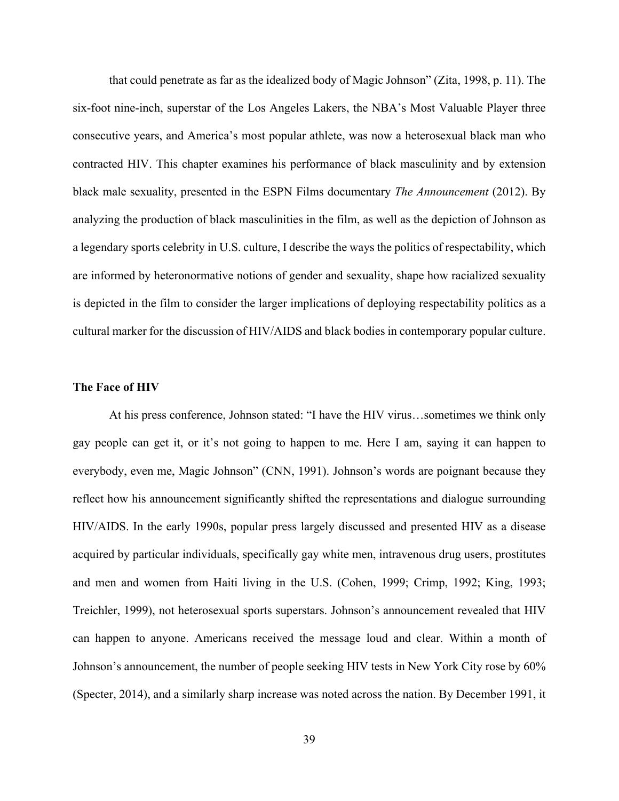that could penetrate as far as the idealized body of Magic Johnson" (Zita, 1998, p. 11). The six-foot nine-inch, superstar of the Los Angeles Lakers, the NBA's Most Valuable Player three consecutive years, and America's most popular athlete, was now a heterosexual black man who contracted HIV. This chapter examines his performance of black masculinity and by extension black male sexuality, presented in the ESPN Films documentary *The Announcement* (2012). By analyzing the production of black masculinities in the film, as well as the depiction of Johnson as a legendary sports celebrity in U.S. culture, I describe the ways the politics of respectability, which are informed by heteronormative notions of gender and sexuality, shape how racialized sexuality is depicted in the film to consider the larger implications of deploying respectability politics as a cultural marker for the discussion of HIV/AIDS and black bodies in contemporary popular culture.

### **The Face of HIV**

At his press conference, Johnson stated: "I have the HIV virus…sometimes we think only gay people can get it, or it's not going to happen to me. Here I am, saying it can happen to everybody, even me, Magic Johnson" (CNN, 1991). Johnson's words are poignant because they reflect how his announcement significantly shifted the representations and dialogue surrounding HIV/AIDS. In the early 1990s, popular press largely discussed and presented HIV as a disease acquired by particular individuals, specifically gay white men, intravenous drug users, prostitutes and men and women from Haiti living in the U.S. (Cohen, 1999; Crimp, 1992; King, 1993; Treichler, 1999), not heterosexual sports superstars. Johnson's announcement revealed that HIV can happen to anyone. Americans received the message loud and clear. Within a month of Johnson's announcement, the number of people seeking HIV tests in New York City rose by 60% (Specter, 2014), and a similarly sharp increase was noted across the nation. By December 1991, it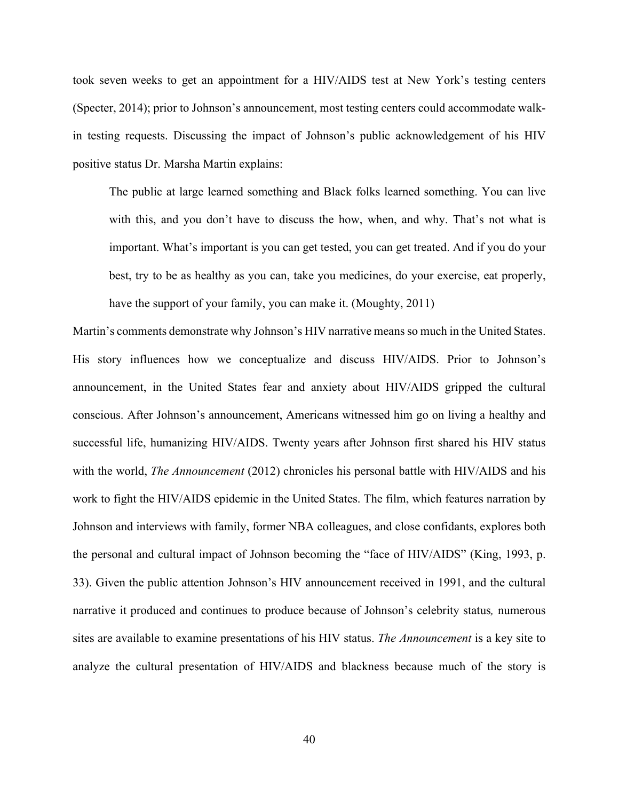took seven weeks to get an appointment for a HIV/AIDS test at New York's testing centers (Specter, 2014); prior to Johnson's announcement, most testing centers could accommodate walkin testing requests. Discussing the impact of Johnson's public acknowledgement of his HIV positive status Dr. Marsha Martin explains:

The public at large learned something and Black folks learned something. You can live with this, and you don't have to discuss the how, when, and why. That's not what is important. What's important is you can get tested, you can get treated. And if you do your best, try to be as healthy as you can, take you medicines, do your exercise, eat properly, have the support of your family, you can make it. (Moughty, 2011)

Martin's comments demonstrate why Johnson's HIV narrative means so much in the United States. His story influences how we conceptualize and discuss HIV/AIDS. Prior to Johnson's announcement, in the United States fear and anxiety about HIV/AIDS gripped the cultural conscious. After Johnson's announcement, Americans witnessed him go on living a healthy and successful life, humanizing HIV/AIDS. Twenty years after Johnson first shared his HIV status with the world, *The Announcement* (2012) chronicles his personal battle with HIV/AIDS and his work to fight the HIV/AIDS epidemic in the United States. The film, which features narration by Johnson and interviews with family, former NBA colleagues, and close confidants, explores both the personal and cultural impact of Johnson becoming the "face of HIV/AIDS" (King, 1993, p. 33). Given the public attention Johnson's HIV announcement received in 1991, and the cultural narrative it produced and continues to produce because of Johnson's celebrity status*,* numerous sites are available to examine presentations of his HIV status. *The Announcement* is a key site to analyze the cultural presentation of HIV/AIDS and blackness because much of the story is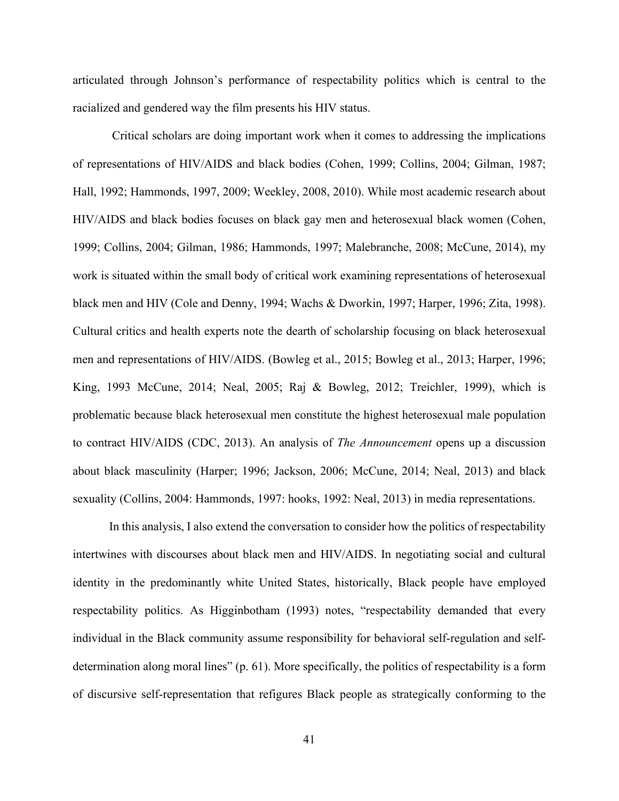articulated through Johnson's performance of respectability politics which is central to the racialized and gendered way the film presents his HIV status.

Critical scholars are doing important work when it comes to addressing the implications of representations of HIV/AIDS and black bodies (Cohen, 1999; Collins, 2004; Gilman, 1987; Hall, 1992; Hammonds, 1997, 2009; Weekley, 2008, 2010). While most academic research about HIV/AIDS and black bodies focuses on black gay men and heterosexual black women (Cohen, 1999; Collins, 2004; Gilman, 1986; Hammonds, 1997; Malebranche, 2008; McCune, 2014), my work is situated within the small body of critical work examining representations of heterosexual black men and HIV (Cole and Denny, 1994; Wachs & Dworkin, 1997; Harper, 1996; Zita, 1998). Cultural critics and health experts note the dearth of scholarship focusing on black heterosexual men and representations of HIV/AIDS. (Bowleg et al., 2015; Bowleg et al., 2013; Harper, 1996; King, 1993 McCune, 2014; Neal, 2005; Raj & Bowleg, 2012; Treichler, 1999), which is problematic because black heterosexual men constitute the highest heterosexual male population to contract HIV/AIDS (CDC, 2013). An analysis of *The Announcement* opens up a discussion about black masculinity (Harper; 1996; Jackson, 2006; McCune, 2014; Neal, 2013) and black sexuality (Collins, 2004: Hammonds, 1997: hooks, 1992: Neal, 2013) in media representations.

In this analysis, I also extend the conversation to consider how the politics of respectability intertwines with discourses about black men and HIV/AIDS. In negotiating social and cultural identity in the predominantly white United States, historically, Black people have employed respectability politics. As Higginbotham (1993) notes, "respectability demanded that every individual in the Black community assume responsibility for behavioral self-regulation and selfdetermination along moral lines" (p. 61). More specifically, the politics of respectability is a form of discursive self-representation that refigures Black people as strategically conforming to the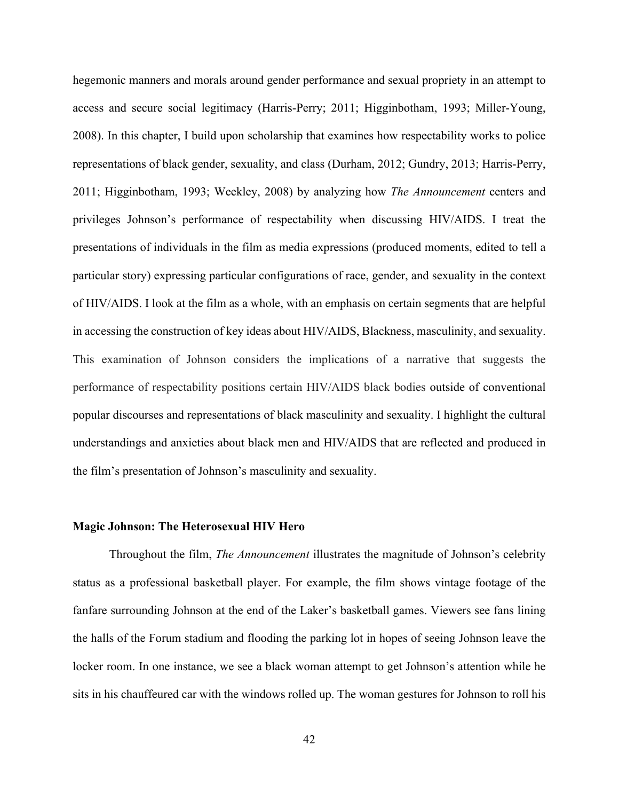hegemonic manners and morals around gender performance and sexual propriety in an attempt to access and secure social legitimacy (Harris-Perry; 2011; Higginbotham, 1993; Miller-Young, 2008). In this chapter, I build upon scholarship that examines how respectability works to police representations of black gender, sexuality, and class (Durham, 2012; Gundry, 2013; Harris-Perry, 2011; Higginbotham, 1993; Weekley, 2008) by analyzing how *The Announcement* centers and privileges Johnson's performance of respectability when discussing HIV/AIDS. I treat the presentations of individuals in the film as media expressions (produced moments, edited to tell a particular story) expressing particular configurations of race, gender, and sexuality in the context of HIV/AIDS. I look at the film as a whole, with an emphasis on certain segments that are helpful in accessing the construction of key ideas about HIV/AIDS, Blackness, masculinity, and sexuality. This examination of Johnson considers the implications of a narrative that suggests the performance of respectability positions certain HIV/AIDS black bodies outside of conventional popular discourses and representations of black masculinity and sexuality. I highlight the cultural understandings and anxieties about black men and HIV/AIDS that are reflected and produced in the film's presentation of Johnson's masculinity and sexuality.

#### **Magic Johnson: The Heterosexual HIV Hero**

Throughout the film, *The Announcement* illustrates the magnitude of Johnson's celebrity status as a professional basketball player. For example, the film shows vintage footage of the fanfare surrounding Johnson at the end of the Laker's basketball games. Viewers see fans lining the halls of the Forum stadium and flooding the parking lot in hopes of seeing Johnson leave the locker room. In one instance, we see a black woman attempt to get Johnson's attention while he sits in his chauffeured car with the windows rolled up. The woman gestures for Johnson to roll his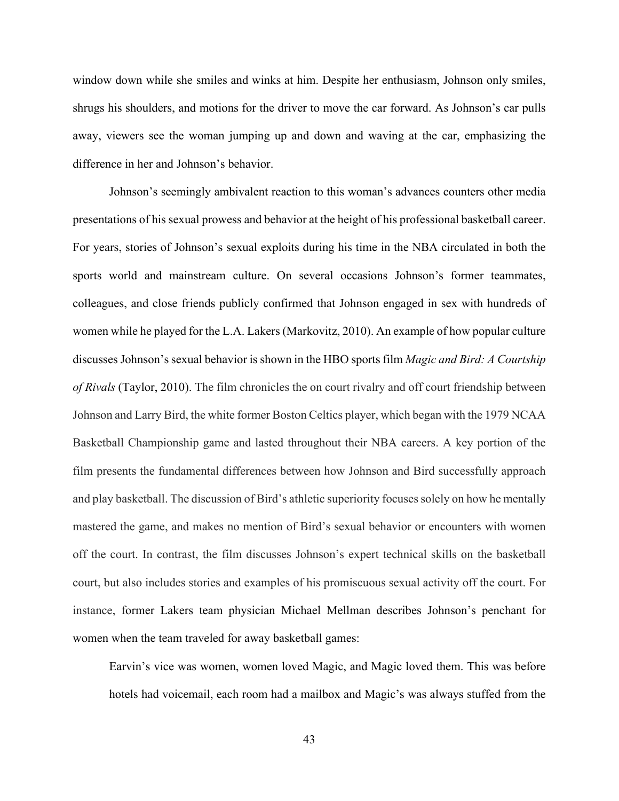window down while she smiles and winks at him. Despite her enthusiasm, Johnson only smiles, shrugs his shoulders, and motions for the driver to move the car forward. As Johnson's car pulls away, viewers see the woman jumping up and down and waving at the car, emphasizing the difference in her and Johnson's behavior.

Johnson's seemingly ambivalent reaction to this woman's advances counters other media presentations of his sexual prowess and behavior at the height of his professional basketball career. For years, stories of Johnson's sexual exploits during his time in the NBA circulated in both the sports world and mainstream culture. On several occasions Johnson's former teammates, colleagues, and close friends publicly confirmed that Johnson engaged in sex with hundreds of women while he played for the L.A. Lakers (Markovitz, 2010). An example of how popular culture discusses Johnson's sexual behavior is shown in the HBO sports film *Magic and Bird: A Courtship of Rivals* (Taylor, 2010). The film chronicles the on court rivalry and off court friendship between Johnson and Larry Bird, the white former Boston Celtics player, which began with the 1979 NCAA Basketball Championship game and lasted throughout their NBA careers. A key portion of the film presents the fundamental differences between how Johnson and Bird successfully approach and play basketball. The discussion of Bird's athletic superiority focuses solely on how he mentally mastered the game, and makes no mention of Bird's sexual behavior or encounters with women off the court. In contrast, the film discusses Johnson's expert technical skills on the basketball court, but also includes stories and examples of his promiscuous sexual activity off the court. For instance, former Lakers team physician Michael Mellman describes Johnson's penchant for women when the team traveled for away basketball games:

Earvin's vice was women, women loved Magic, and Magic loved them. This was before hotels had voicemail, each room had a mailbox and Magic's was always stuffed from the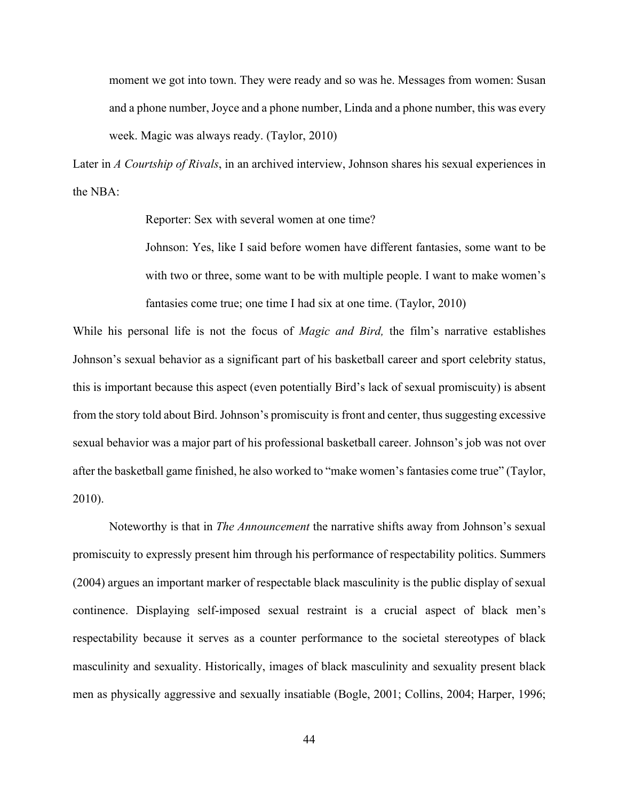moment we got into town. They were ready and so was he. Messages from women: Susan and a phone number, Joyce and a phone number, Linda and a phone number, this was every week. Magic was always ready. (Taylor, 2010)

Later in *A Courtship of Rivals*, in an archived interview, Johnson shares his sexual experiences in the NBA:

Reporter: Sex with several women at one time?

Johnson: Yes, like I said before women have different fantasies, some want to be with two or three, some want to be with multiple people. I want to make women's fantasies come true; one time I had six at one time. (Taylor, 2010)

While his personal life is not the focus of *Magic and Bird,* the film's narrative establishes Johnson's sexual behavior as a significant part of his basketball career and sport celebrity status, this is important because this aspect (even potentially Bird's lack of sexual promiscuity) is absent from the story told about Bird. Johnson's promiscuity is front and center, thus suggesting excessive sexual behavior was a major part of his professional basketball career. Johnson's job was not over after the basketball game finished, he also worked to "make women's fantasies come true" (Taylor, 2010).

Noteworthy is that in *The Announcement* the narrative shifts away from Johnson's sexual promiscuity to expressly present him through his performance of respectability politics. Summers (2004) argues an important marker of respectable black masculinity is the public display of sexual continence. Displaying self-imposed sexual restraint is a crucial aspect of black men's respectability because it serves as a counter performance to the societal stereotypes of black masculinity and sexuality. Historically, images of black masculinity and sexuality present black men as physically aggressive and sexually insatiable (Bogle, 2001; Collins, 2004; Harper, 1996;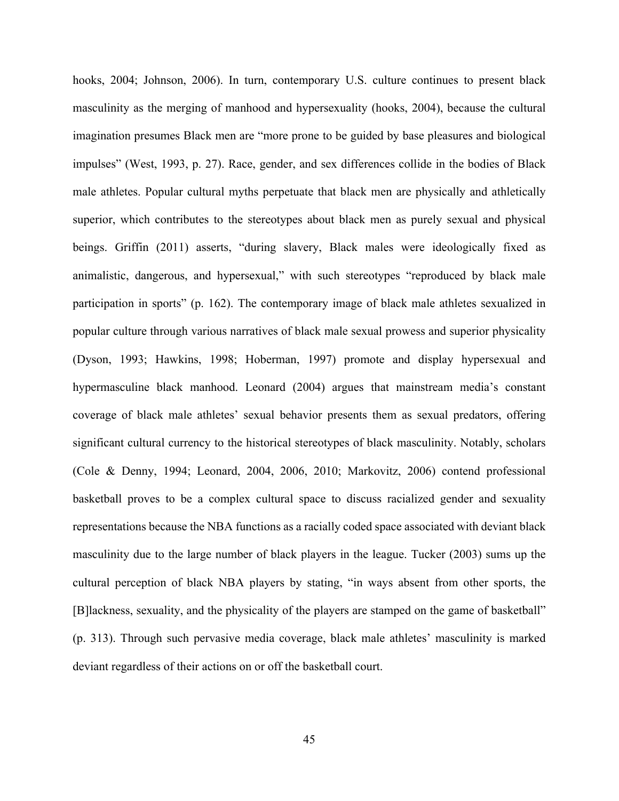hooks, 2004; Johnson, 2006). In turn, contemporary U.S. culture continues to present black masculinity as the merging of manhood and hypersexuality (hooks, 2004), because the cultural imagination presumes Black men are "more prone to be guided by base pleasures and biological impulses" (West, 1993, p. 27). Race, gender, and sex differences collide in the bodies of Black male athletes. Popular cultural myths perpetuate that black men are physically and athletically superior, which contributes to the stereotypes about black men as purely sexual and physical beings. Griffin (2011) asserts, "during slavery, Black males were ideologically fixed as animalistic, dangerous, and hypersexual," with such stereotypes "reproduced by black male participation in sports" (p. 162). The contemporary image of black male athletes sexualized in popular culture through various narratives of black male sexual prowess and superior physicality (Dyson, 1993; Hawkins, 1998; Hoberman, 1997) promote and display hypersexual and hypermasculine black manhood. Leonard (2004) argues that mainstream media's constant coverage of black male athletes' sexual behavior presents them as sexual predators, offering significant cultural currency to the historical stereotypes of black masculinity. Notably, scholars (Cole & Denny, 1994; Leonard, 2004, 2006, 2010; Markovitz, 2006) contend professional basketball proves to be a complex cultural space to discuss racialized gender and sexuality representations because the NBA functions as a racially coded space associated with deviant black masculinity due to the large number of black players in the league. Tucker (2003) sums up the cultural perception of black NBA players by stating, "in ways absent from other sports, the [B]lackness, sexuality, and the physicality of the players are stamped on the game of basketball" (p. 313). Through such pervasive media coverage, black male athletes' masculinity is marked deviant regardless of their actions on or off the basketball court.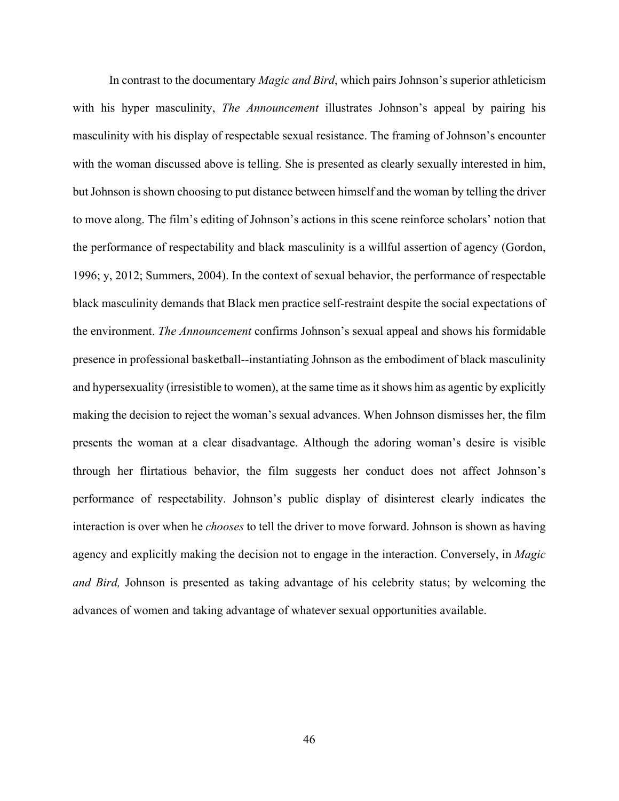In contrast to the documentary *Magic and Bird*, which pairs Johnson's superior athleticism with his hyper masculinity, *The Announcement* illustrates Johnson's appeal by pairing his masculinity with his display of respectable sexual resistance. The framing of Johnson's encounter with the woman discussed above is telling. She is presented as clearly sexually interested in him, but Johnson is shown choosing to put distance between himself and the woman by telling the driver to move along. The film's editing of Johnson's actions in this scene reinforce scholars' notion that the performance of respectability and black masculinity is a willful assertion of agency (Gordon, 1996; y, 2012; Summers, 2004). In the context of sexual behavior, the performance of respectable black masculinity demands that Black men practice self-restraint despite the social expectations of the environment. *The Announcement* confirms Johnson's sexual appeal and shows his formidable presence in professional basketball--instantiating Johnson as the embodiment of black masculinity and hypersexuality (irresistible to women), at the same time as it shows him as agentic by explicitly making the decision to reject the woman's sexual advances. When Johnson dismisses her, the film presents the woman at a clear disadvantage. Although the adoring woman's desire is visible through her flirtatious behavior, the film suggests her conduct does not affect Johnson's performance of respectability. Johnson's public display of disinterest clearly indicates the interaction is over when he *chooses* to tell the driver to move forward. Johnson is shown as having agency and explicitly making the decision not to engage in the interaction. Conversely, in *Magic and Bird,* Johnson is presented as taking advantage of his celebrity status; by welcoming the advances of women and taking advantage of whatever sexual opportunities available.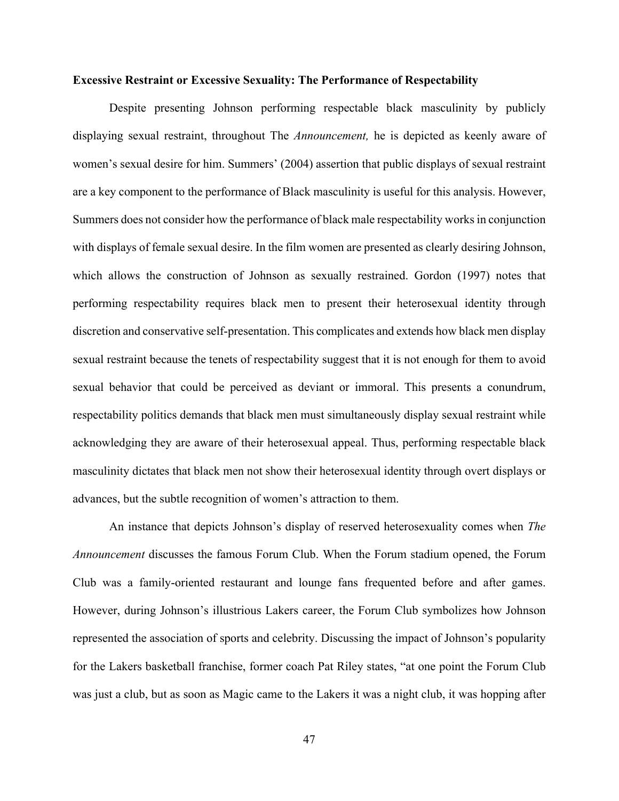#### **Excessive Restraint or Excessive Sexuality: The Performance of Respectability**

Despite presenting Johnson performing respectable black masculinity by publicly displaying sexual restraint, throughout The *Announcement,* he is depicted as keenly aware of women's sexual desire for him. Summers' (2004) assertion that public displays of sexual restraint are a key component to the performance of Black masculinity is useful for this analysis. However, Summers does not consider how the performance of black male respectability works in conjunction with displays of female sexual desire. In the film women are presented as clearly desiring Johnson, which allows the construction of Johnson as sexually restrained. Gordon (1997) notes that performing respectability requires black men to present their heterosexual identity through discretion and conservative self-presentation. This complicates and extends how black men display sexual restraint because the tenets of respectability suggest that it is not enough for them to avoid sexual behavior that could be perceived as deviant or immoral. This presents a conundrum, respectability politics demands that black men must simultaneously display sexual restraint while acknowledging they are aware of their heterosexual appeal. Thus, performing respectable black masculinity dictates that black men not show their heterosexual identity through overt displays or advances, but the subtle recognition of women's attraction to them.

An instance that depicts Johnson's display of reserved heterosexuality comes when *The Announcement* discusses the famous Forum Club. When the Forum stadium opened, the Forum Club was a family-oriented restaurant and lounge fans frequented before and after games. However, during Johnson's illustrious Lakers career, the Forum Club symbolizes how Johnson represented the association of sports and celebrity. Discussing the impact of Johnson's popularity for the Lakers basketball franchise, former coach Pat Riley states, "at one point the Forum Club was just a club, but as soon as Magic came to the Lakers it was a night club, it was hopping after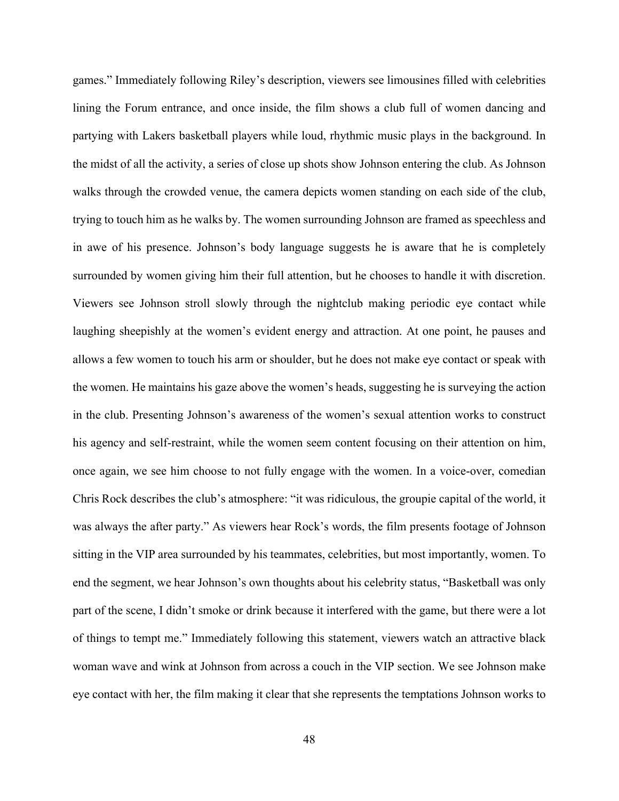games." Immediately following Riley's description, viewers see limousines filled with celebrities lining the Forum entrance, and once inside, the film shows a club full of women dancing and partying with Lakers basketball players while loud, rhythmic music plays in the background. In the midst of all the activity, a series of close up shots show Johnson entering the club. As Johnson walks through the crowded venue, the camera depicts women standing on each side of the club, trying to touch him as he walks by. The women surrounding Johnson are framed as speechless and in awe of his presence. Johnson's body language suggests he is aware that he is completely surrounded by women giving him their full attention, but he chooses to handle it with discretion. Viewers see Johnson stroll slowly through the nightclub making periodic eye contact while laughing sheepishly at the women's evident energy and attraction. At one point, he pauses and allows a few women to touch his arm or shoulder, but he does not make eye contact or speak with the women. He maintains his gaze above the women's heads, suggesting he is surveying the action in the club. Presenting Johnson's awareness of the women's sexual attention works to construct his agency and self-restraint, while the women seem content focusing on their attention on him, once again, we see him choose to not fully engage with the women. In a voice-over, comedian Chris Rock describes the club's atmosphere: "it was ridiculous, the groupie capital of the world, it was always the after party." As viewers hear Rock's words, the film presents footage of Johnson sitting in the VIP area surrounded by his teammates, celebrities, but most importantly, women. To end the segment, we hear Johnson's own thoughts about his celebrity status, "Basketball was only part of the scene, I didn't smoke or drink because it interfered with the game, but there were a lot of things to tempt me." Immediately following this statement, viewers watch an attractive black woman wave and wink at Johnson from across a couch in the VIP section. We see Johnson make eye contact with her, the film making it clear that she represents the temptations Johnson works to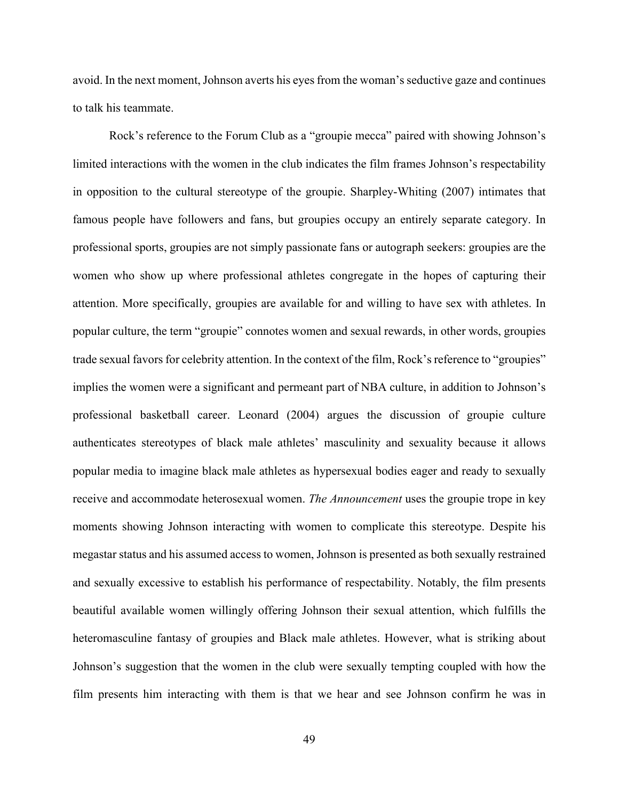avoid. In the next moment, Johnson averts his eyes from the woman's seductive gaze and continues to talk his teammate.

Rock's reference to the Forum Club as a "groupie mecca" paired with showing Johnson's limited interactions with the women in the club indicates the film frames Johnson's respectability in opposition to the cultural stereotype of the groupie. Sharpley-Whiting (2007) intimates that famous people have followers and fans, but groupies occupy an entirely separate category. In professional sports, groupies are not simply passionate fans or autograph seekers: groupies are the women who show up where professional athletes congregate in the hopes of capturing their attention. More specifically, groupies are available for and willing to have sex with athletes. In popular culture, the term "groupie" connotes women and sexual rewards, in other words, groupies trade sexual favors for celebrity attention. In the context of the film, Rock's reference to "groupies" implies the women were a significant and permeant part of NBA culture, in addition to Johnson's professional basketball career. Leonard (2004) argues the discussion of groupie culture authenticates stereotypes of black male athletes' masculinity and sexuality because it allows popular media to imagine black male athletes as hypersexual bodies eager and ready to sexually receive and accommodate heterosexual women. *The Announcement* uses the groupie trope in key moments showing Johnson interacting with women to complicate this stereotype. Despite his megastar status and his assumed access to women, Johnson is presented as both sexually restrained and sexually excessive to establish his performance of respectability. Notably, the film presents beautiful available women willingly offering Johnson their sexual attention, which fulfills the heteromasculine fantasy of groupies and Black male athletes. However, what is striking about Johnson's suggestion that the women in the club were sexually tempting coupled with how the film presents him interacting with them is that we hear and see Johnson confirm he was in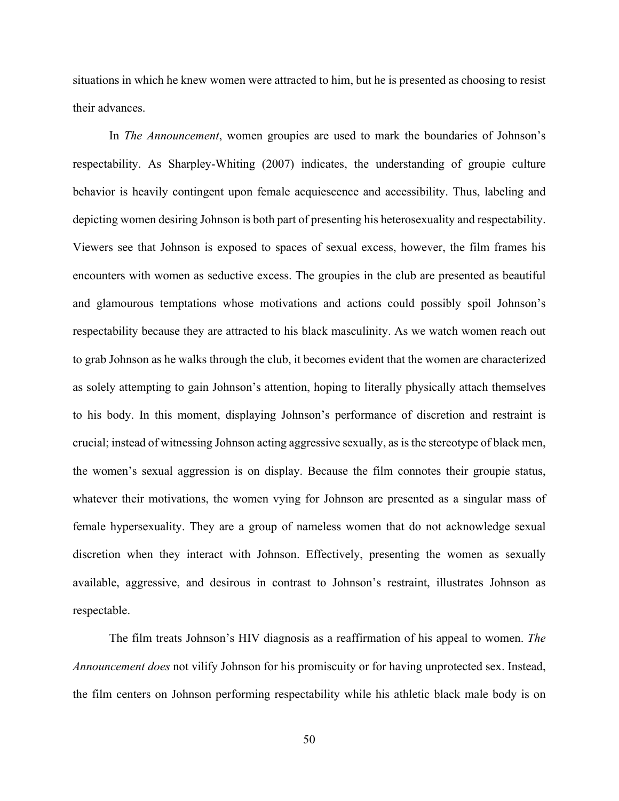situations in which he knew women were attracted to him, but he is presented as choosing to resist their advances.

In *The Announcement*, women groupies are used to mark the boundaries of Johnson's respectability. As Sharpley-Whiting (2007) indicates, the understanding of groupie culture behavior is heavily contingent upon female acquiescence and accessibility. Thus, labeling and depicting women desiring Johnson is both part of presenting his heterosexuality and respectability. Viewers see that Johnson is exposed to spaces of sexual excess, however, the film frames his encounters with women as seductive excess. The groupies in the club are presented as beautiful and glamourous temptations whose motivations and actions could possibly spoil Johnson's respectability because they are attracted to his black masculinity. As we watch women reach out to grab Johnson as he walks through the club, it becomes evident that the women are characterized as solely attempting to gain Johnson's attention, hoping to literally physically attach themselves to his body. In this moment, displaying Johnson's performance of discretion and restraint is crucial; instead of witnessing Johnson acting aggressive sexually, as is the stereotype of black men, the women's sexual aggression is on display. Because the film connotes their groupie status, whatever their motivations, the women vying for Johnson are presented as a singular mass of female hypersexuality. They are a group of nameless women that do not acknowledge sexual discretion when they interact with Johnson. Effectively, presenting the women as sexually available, aggressive, and desirous in contrast to Johnson's restraint, illustrates Johnson as respectable.

The film treats Johnson's HIV diagnosis as a reaffirmation of his appeal to women. *The Announcement does* not vilify Johnson for his promiscuity or for having unprotected sex. Instead, the film centers on Johnson performing respectability while his athletic black male body is on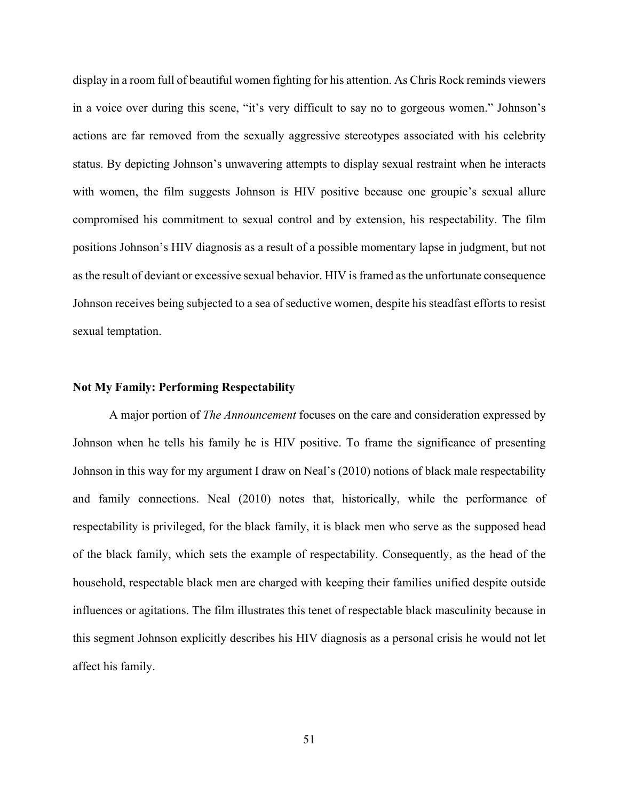display in a room full of beautiful women fighting for his attention. As Chris Rock reminds viewers in a voice over during this scene, "it's very difficult to say no to gorgeous women." Johnson's actions are far removed from the sexually aggressive stereotypes associated with his celebrity status. By depicting Johnson's unwavering attempts to display sexual restraint when he interacts with women, the film suggests Johnson is HIV positive because one groupie's sexual allure compromised his commitment to sexual control and by extension, his respectability. The film positions Johnson's HIV diagnosis as a result of a possible momentary lapse in judgment, but not as the result of deviant or excessive sexual behavior. HIV is framed as the unfortunate consequence Johnson receives being subjected to a sea of seductive women, despite his steadfast efforts to resist sexual temptation.

### **Not My Family: Performing Respectability**

A major portion of *The Announcement* focuses on the care and consideration expressed by Johnson when he tells his family he is HIV positive. To frame the significance of presenting Johnson in this way for my argument I draw on Neal's (2010) notions of black male respectability and family connections. Neal (2010) notes that, historically, while the performance of respectability is privileged, for the black family, it is black men who serve as the supposed head of the black family, which sets the example of respectability. Consequently, as the head of the household, respectable black men are charged with keeping their families unified despite outside influences or agitations. The film illustrates this tenet of respectable black masculinity because in this segment Johnson explicitly describes his HIV diagnosis as a personal crisis he would not let affect his family.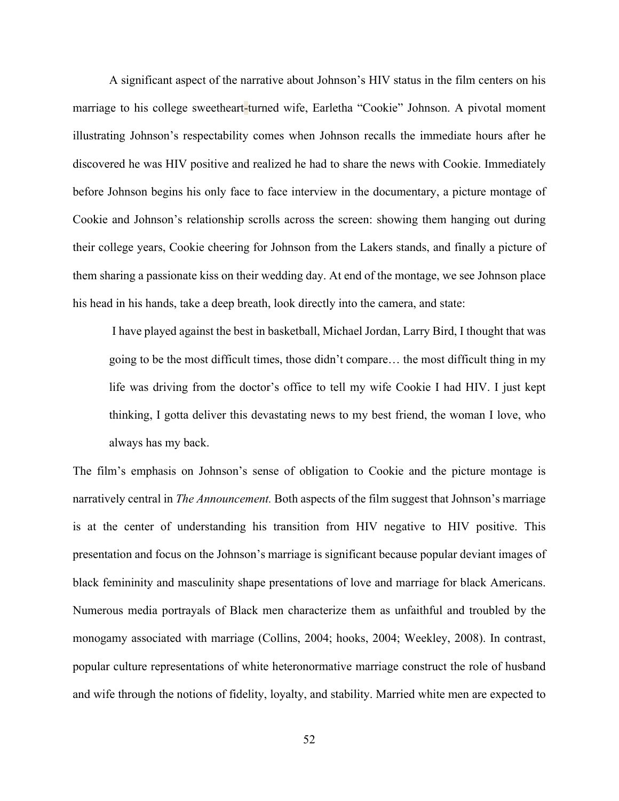A significant aspect of the narrative about Johnson's HIV status in the film centers on his marriage to his college sweetheart-turned wife, Earletha "Cookie" Johnson. A pivotal moment illustrating Johnson's respectability comes when Johnson recalls the immediate hours after he discovered he was HIV positive and realized he had to share the news with Cookie. Immediately before Johnson begins his only face to face interview in the documentary, a picture montage of Cookie and Johnson's relationship scrolls across the screen: showing them hanging out during their college years, Cookie cheering for Johnson from the Lakers stands, and finally a picture of them sharing a passionate kiss on their wedding day. At end of the montage, we see Johnson place his head in his hands, take a deep breath, look directly into the camera, and state:

I have played against the best in basketball, Michael Jordan, Larry Bird, I thought that was going to be the most difficult times, those didn't compare… the most difficult thing in my life was driving from the doctor's office to tell my wife Cookie I had HIV. I just kept thinking, I gotta deliver this devastating news to my best friend, the woman I love, who always has my back.

The film's emphasis on Johnson's sense of obligation to Cookie and the picture montage is narratively central in *The Announcement.* Both aspects of the film suggest that Johnson's marriage is at the center of understanding his transition from HIV negative to HIV positive. This presentation and focus on the Johnson's marriage is significant because popular deviant images of black femininity and masculinity shape presentations of love and marriage for black Americans. Numerous media portrayals of Black men characterize them as unfaithful and troubled by the monogamy associated with marriage (Collins, 2004; hooks, 2004; Weekley, 2008). In contrast, popular culture representations of white heteronormative marriage construct the role of husband and wife through the notions of fidelity, loyalty, and stability. Married white men are expected to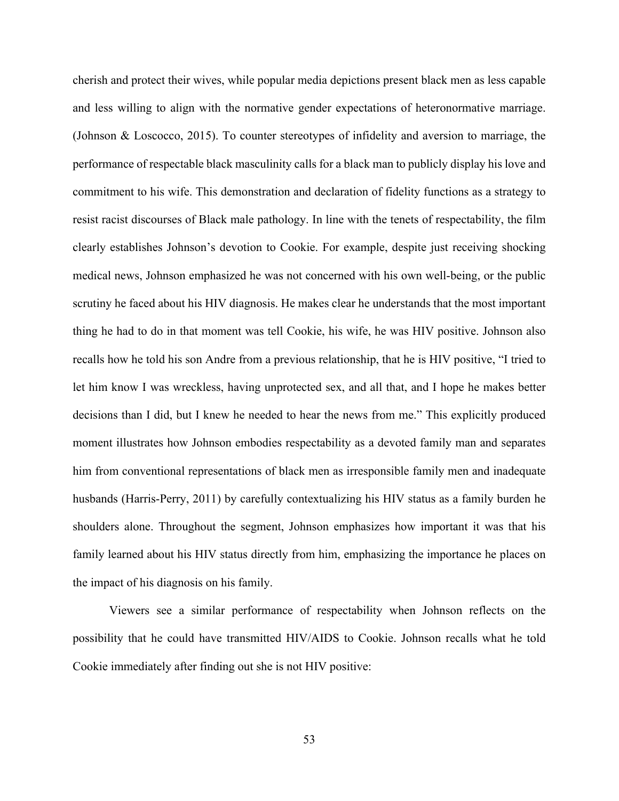cherish and protect their wives, while popular media depictions present black men as less capable and less willing to align with the normative gender expectations of heteronormative marriage. (Johnson & Loscocco, 2015). To counter stereotypes of infidelity and aversion to marriage, the performance of respectable black masculinity calls for a black man to publicly display his love and commitment to his wife. This demonstration and declaration of fidelity functions as a strategy to resist racist discourses of Black male pathology. In line with the tenets of respectability, the film clearly establishes Johnson's devotion to Cookie. For example, despite just receiving shocking medical news, Johnson emphasized he was not concerned with his own well-being, or the public scrutiny he faced about his HIV diagnosis. He makes clear he understands that the most important thing he had to do in that moment was tell Cookie, his wife, he was HIV positive. Johnson also recalls how he told his son Andre from a previous relationship, that he is HIV positive, "I tried to let him know I was wreckless, having unprotected sex, and all that, and I hope he makes better decisions than I did, but I knew he needed to hear the news from me." This explicitly produced moment illustrates how Johnson embodies respectability as a devoted family man and separates him from conventional representations of black men as irresponsible family men and inadequate husbands (Harris-Perry, 2011) by carefully contextualizing his HIV status as a family burden he shoulders alone. Throughout the segment, Johnson emphasizes how important it was that his family learned about his HIV status directly from him, emphasizing the importance he places on the impact of his diagnosis on his family.

Viewers see a similar performance of respectability when Johnson reflects on the possibility that he could have transmitted HIV/AIDS to Cookie. Johnson recalls what he told Cookie immediately after finding out she is not HIV positive: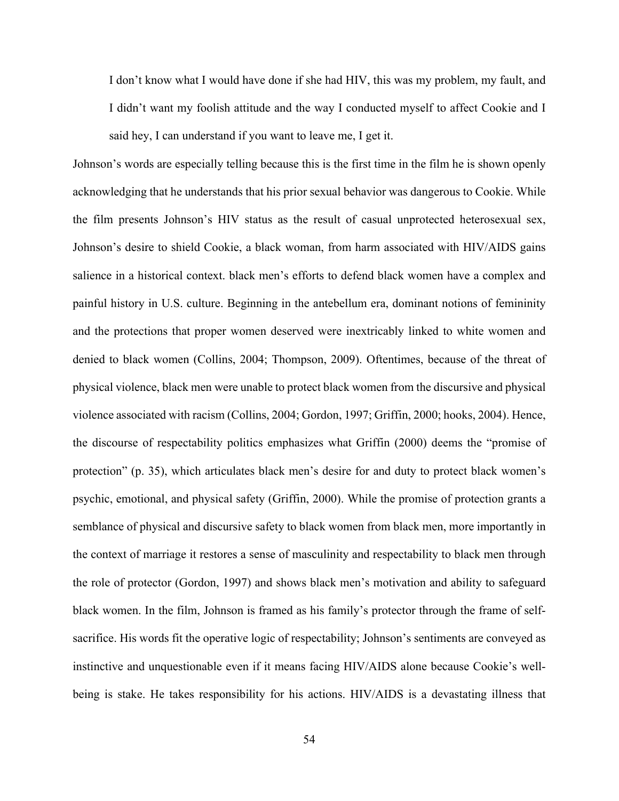I don't know what I would have done if she had HIV, this was my problem, my fault, and I didn't want my foolish attitude and the way I conducted myself to affect Cookie and I said hey, I can understand if you want to leave me, I get it.

Johnson's words are especially telling because this is the first time in the film he is shown openly acknowledging that he understands that his prior sexual behavior was dangerous to Cookie. While the film presents Johnson's HIV status as the result of casual unprotected heterosexual sex, Johnson's desire to shield Cookie, a black woman, from harm associated with HIV/AIDS gains salience in a historical context. black men's efforts to defend black women have a complex and painful history in U.S. culture. Beginning in the antebellum era, dominant notions of femininity and the protections that proper women deserved were inextricably linked to white women and denied to black women (Collins, 2004; Thompson, 2009). Oftentimes, because of the threat of physical violence, black men were unable to protect black women from the discursive and physical violence associated with racism (Collins, 2004; Gordon, 1997; Griffin, 2000; hooks, 2004). Hence, the discourse of respectability politics emphasizes what Griffin (2000) deems the "promise of protection" (p. 35), which articulates black men's desire for and duty to protect black women's psychic, emotional, and physical safety (Griffin, 2000). While the promise of protection grants a semblance of physical and discursive safety to black women from black men, more importantly in the context of marriage it restores a sense of masculinity and respectability to black men through the role of protector (Gordon, 1997) and shows black men's motivation and ability to safeguard black women. In the film, Johnson is framed as his family's protector through the frame of selfsacrifice. His words fit the operative logic of respectability; Johnson's sentiments are conveyed as instinctive and unquestionable even if it means facing HIV/AIDS alone because Cookie's wellbeing is stake. He takes responsibility for his actions. HIV/AIDS is a devastating illness that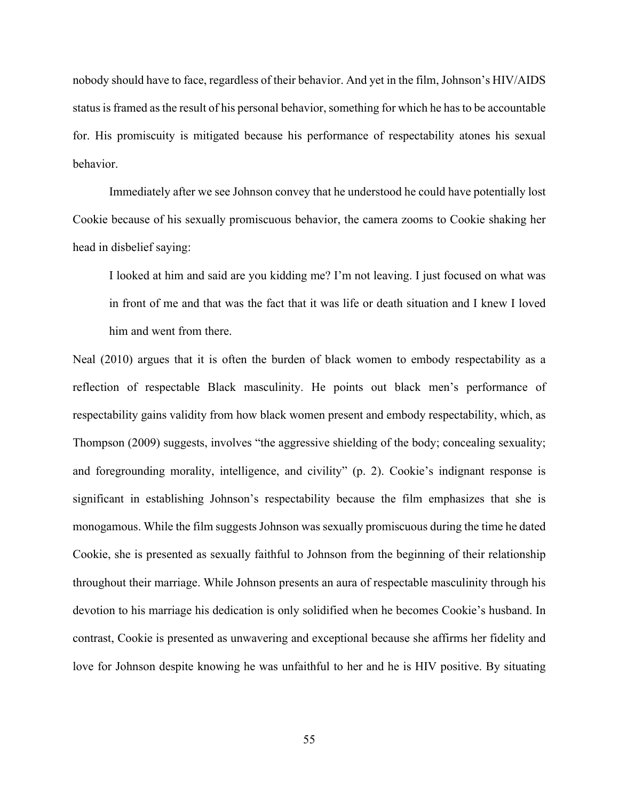nobody should have to face, regardless of their behavior. And yet in the film, Johnson's HIV/AIDS status is framed as the result of his personal behavior, something for which he has to be accountable for. His promiscuity is mitigated because his performance of respectability atones his sexual behavior.

Immediately after we see Johnson convey that he understood he could have potentially lost Cookie because of his sexually promiscuous behavior, the camera zooms to Cookie shaking her head in disbelief saying:

I looked at him and said are you kidding me? I'm not leaving. I just focused on what was in front of me and that was the fact that it was life or death situation and I knew I loved him and went from there.

Neal (2010) argues that it is often the burden of black women to embody respectability as a reflection of respectable Black masculinity. He points out black men's performance of respectability gains validity from how black women present and embody respectability, which, as Thompson (2009) suggests, involves "the aggressive shielding of the body; concealing sexuality; and foregrounding morality, intelligence, and civility" (p. 2). Cookie's indignant response is significant in establishing Johnson's respectability because the film emphasizes that she is monogamous. While the film suggests Johnson was sexually promiscuous during the time he dated Cookie, she is presented as sexually faithful to Johnson from the beginning of their relationship throughout their marriage. While Johnson presents an aura of respectable masculinity through his devotion to his marriage his dedication is only solidified when he becomes Cookie's husband. In contrast, Cookie is presented as unwavering and exceptional because she affirms her fidelity and love for Johnson despite knowing he was unfaithful to her and he is HIV positive. By situating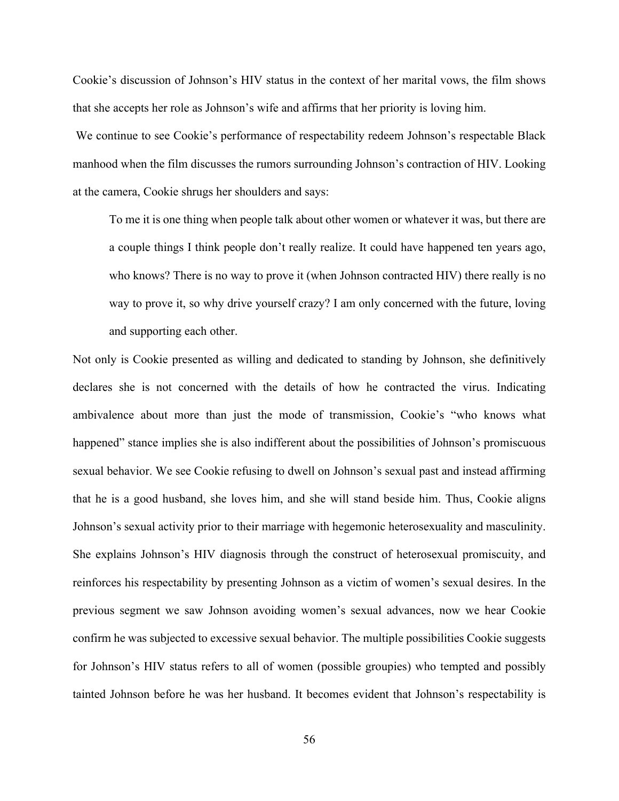Cookie's discussion of Johnson's HIV status in the context of her marital vows, the film shows that she accepts her role as Johnson's wife and affirms that her priority is loving him.

We continue to see Cookie's performance of respectability redeem Johnson's respectable Black manhood when the film discusses the rumors surrounding Johnson's contraction of HIV. Looking at the camera, Cookie shrugs her shoulders and says:

To me it is one thing when people talk about other women or whatever it was, but there are a couple things I think people don't really realize. It could have happened ten years ago, who knows? There is no way to prove it (when Johnson contracted HIV) there really is no way to prove it, so why drive yourself crazy? I am only concerned with the future, loving and supporting each other.

Not only is Cookie presented as willing and dedicated to standing by Johnson, she definitively declares she is not concerned with the details of how he contracted the virus. Indicating ambivalence about more than just the mode of transmission, Cookie's "who knows what happened" stance implies she is also indifferent about the possibilities of Johnson's promiscuous sexual behavior. We see Cookie refusing to dwell on Johnson's sexual past and instead affirming that he is a good husband, she loves him, and she will stand beside him. Thus, Cookie aligns Johnson's sexual activity prior to their marriage with hegemonic heterosexuality and masculinity. She explains Johnson's HIV diagnosis through the construct of heterosexual promiscuity, and reinforces his respectability by presenting Johnson as a victim of women's sexual desires. In the previous segment we saw Johnson avoiding women's sexual advances, now we hear Cookie confirm he was subjected to excessive sexual behavior. The multiple possibilities Cookie suggests for Johnson's HIV status refers to all of women (possible groupies) who tempted and possibly tainted Johnson before he was her husband. It becomes evident that Johnson's respectability is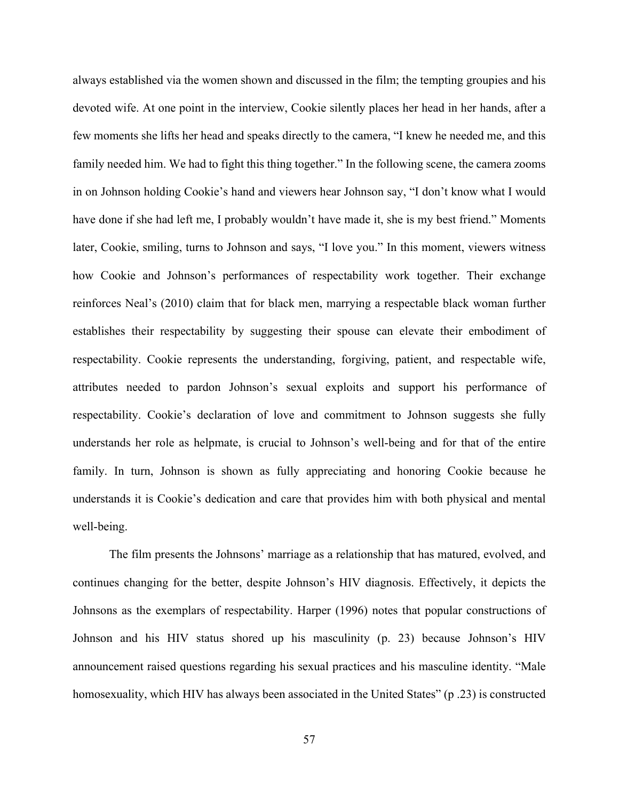always established via the women shown and discussed in the film; the tempting groupies and his devoted wife. At one point in the interview, Cookie silently places her head in her hands, after a few moments she lifts her head and speaks directly to the camera, "I knew he needed me, and this family needed him. We had to fight this thing together." In the following scene, the camera zooms in on Johnson holding Cookie's hand and viewers hear Johnson say, "I don't know what I would have done if she had left me, I probably wouldn't have made it, she is my best friend." Moments later, Cookie, smiling, turns to Johnson and says, "I love you." In this moment, viewers witness how Cookie and Johnson's performances of respectability work together. Their exchange reinforces Neal's (2010) claim that for black men, marrying a respectable black woman further establishes their respectability by suggesting their spouse can elevate their embodiment of respectability. Cookie represents the understanding, forgiving, patient, and respectable wife, attributes needed to pardon Johnson's sexual exploits and support his performance of respectability. Cookie's declaration of love and commitment to Johnson suggests she fully understands her role as helpmate, is crucial to Johnson's well-being and for that of the entire family. In turn, Johnson is shown as fully appreciating and honoring Cookie because he understands it is Cookie's dedication and care that provides him with both physical and mental well-being.

The film presents the Johnsons' marriage as a relationship that has matured, evolved, and continues changing for the better, despite Johnson's HIV diagnosis. Effectively, it depicts the Johnsons as the exemplars of respectability. Harper (1996) notes that popular constructions of Johnson and his HIV status shored up his masculinity (p. 23) because Johnson's HIV announcement raised questions regarding his sexual practices and his masculine identity. "Male homosexuality, which HIV has always been associated in the United States" (p .23) is constructed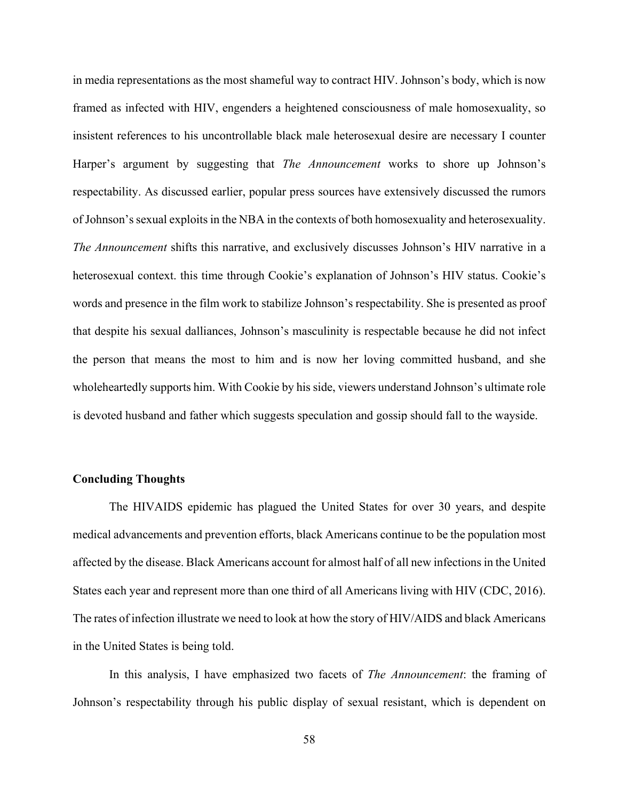in media representations as the most shameful way to contract HIV. Johnson's body, which is now framed as infected with HIV, engenders a heightened consciousness of male homosexuality, so insistent references to his uncontrollable black male heterosexual desire are necessary I counter Harper's argument by suggesting that *The Announcement* works to shore up Johnson's respectability. As discussed earlier, popular press sources have extensively discussed the rumors of Johnson's sexual exploits in the NBA in the contexts of both homosexuality and heterosexuality. *The Announcement* shifts this narrative, and exclusively discusses Johnson's HIV narrative in a heterosexual context. this time through Cookie's explanation of Johnson's HIV status. Cookie's words and presence in the film work to stabilize Johnson's respectability. She is presented as proof that despite his sexual dalliances, Johnson's masculinity is respectable because he did not infect the person that means the most to him and is now her loving committed husband, and she wholeheartedly supports him. With Cookie by his side, viewers understand Johnson's ultimate role is devoted husband and father which suggests speculation and gossip should fall to the wayside.

### **Concluding Thoughts**

The HIVAIDS epidemic has plagued the United States for over 30 years, and despite medical advancements and prevention efforts, black Americans continue to be the population most affected by the disease. Black Americans account for almost half of all new infections in the United States each year and represent more than one third of all Americans living with HIV (CDC, 2016). The rates of infection illustrate we need to look at how the story of HIV/AIDS and black Americans in the United States is being told.

In this analysis, I have emphasized two facets of *The Announcement*: the framing of Johnson's respectability through his public display of sexual resistant, which is dependent on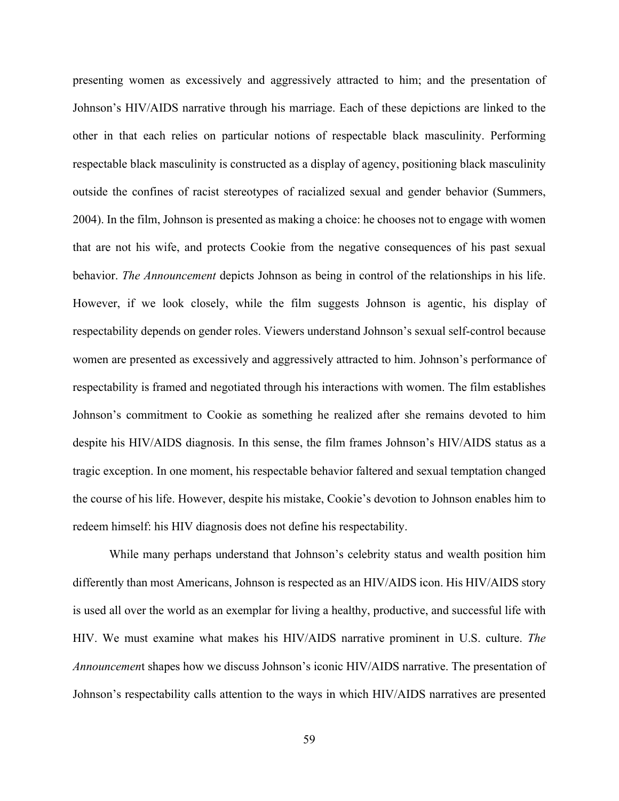presenting women as excessively and aggressively attracted to him; and the presentation of Johnson's HIV/AIDS narrative through his marriage. Each of these depictions are linked to the other in that each relies on particular notions of respectable black masculinity. Performing respectable black masculinity is constructed as a display of agency, positioning black masculinity outside the confines of racist stereotypes of racialized sexual and gender behavior (Summers, 2004). In the film, Johnson is presented as making a choice: he chooses not to engage with women that are not his wife, and protects Cookie from the negative consequences of his past sexual behavior. *The Announcement* depicts Johnson as being in control of the relationships in his life. However, if we look closely, while the film suggests Johnson is agentic, his display of respectability depends on gender roles. Viewers understand Johnson's sexual self-control because women are presented as excessively and aggressively attracted to him. Johnson's performance of respectability is framed and negotiated through his interactions with women. The film establishes Johnson's commitment to Cookie as something he realized after she remains devoted to him despite his HIV/AIDS diagnosis. In this sense, the film frames Johnson's HIV/AIDS status as a tragic exception. In one moment, his respectable behavior faltered and sexual temptation changed the course of his life. However, despite his mistake, Cookie's devotion to Johnson enables him to redeem himself: his HIV diagnosis does not define his respectability.

While many perhaps understand that Johnson's celebrity status and wealth position him differently than most Americans, Johnson is respected as an HIV/AIDS icon. His HIV/AIDS story is used all over the world as an exemplar for living a healthy, productive, and successful life with HIV. We must examine what makes his HIV/AIDS narrative prominent in U.S. culture. *The Announcemen*t shapes how we discuss Johnson's iconic HIV/AIDS narrative. The presentation of Johnson's respectability calls attention to the ways in which HIV/AIDS narratives are presented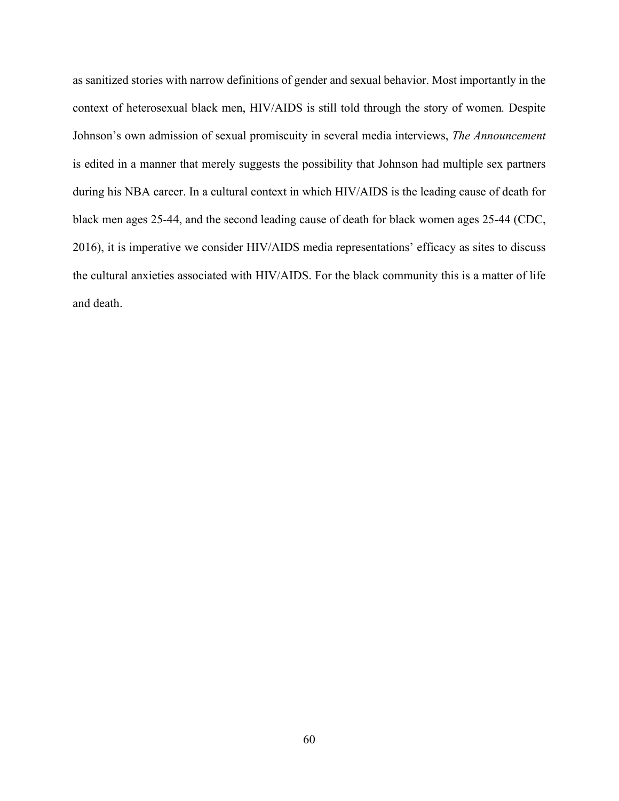as sanitized stories with narrow definitions of gender and sexual behavior. Most importantly in the context of heterosexual black men, HIV/AIDS is still told through the story of women*.* Despite Johnson's own admission of sexual promiscuity in several media interviews, *The Announcement* is edited in a manner that merely suggests the possibility that Johnson had multiple sex partners during his NBA career. In a cultural context in which HIV/AIDS is the leading cause of death for black men ages 25-44, and the second leading cause of death for black women ages 25-44 (CDC, 2016), it is imperative we consider HIV/AIDS media representations' efficacy as sites to discuss the cultural anxieties associated with HIV/AIDS. For the black community this is a matter of life and death.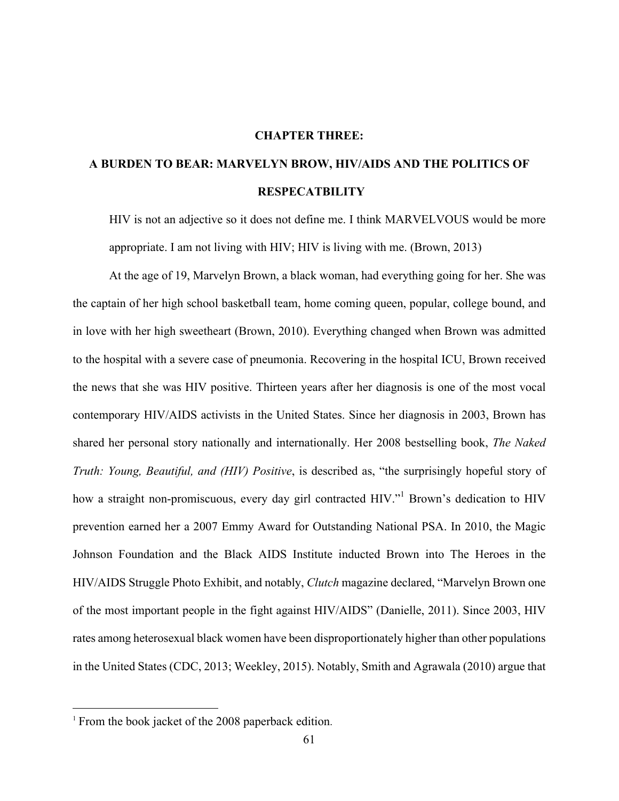## **CHAPTER THREE:**

# **A BURDEN TO BEAR: MARVELYN BROW, HIV/AIDS AND THE POLITICS OF RESPECATBILITY**

HIV is not an adjective so it does not define me. I think MARVELVOUS would be more appropriate. I am not living with HIV; HIV is living with me. (Brown, 2013)

At the age of 19, Marvelyn Brown, a black woman, had everything going for her. She was the captain of her high school basketball team, home coming queen, popular, college bound, and in love with her high sweetheart (Brown, 2010). Everything changed when Brown was admitted to the hospital with a severe case of pneumonia. Recovering in the hospital ICU, Brown received the news that she was HIV positive. Thirteen years after her diagnosis is one of the most vocal contemporary HIV/AIDS activists in the United States. Since her diagnosis in 2003, Brown has shared her personal story nationally and internationally. Her 2008 bestselling book, *The Naked Truth: Young, Beautiful, and (HIV) Positive*, is described as, "the surprisingly hopeful story of how a straight non-promiscuous, every day girl contracted HIV."<sup>1</sup> Brown's dedication to HIV prevention earned her a 2007 Emmy Award for Outstanding National PSA. In 2010, the Magic Johnson Foundation and the Black AIDS Institute inducted Brown into The Heroes in the HIV/AIDS Struggle Photo Exhibit, and notably, *Clutch* magazine declared, "Marvelyn Brown one of the most important people in the fight against HIV/AIDS" (Danielle, 2011). Since 2003, HIV rates among heterosexual black women have been disproportionately higher than other populations in the United States (CDC, 2013; Weekley, 2015). Notably, Smith and Agrawala (2010) argue that

 

<sup>&</sup>lt;sup>1</sup> From the book jacket of the 2008 paperback edition.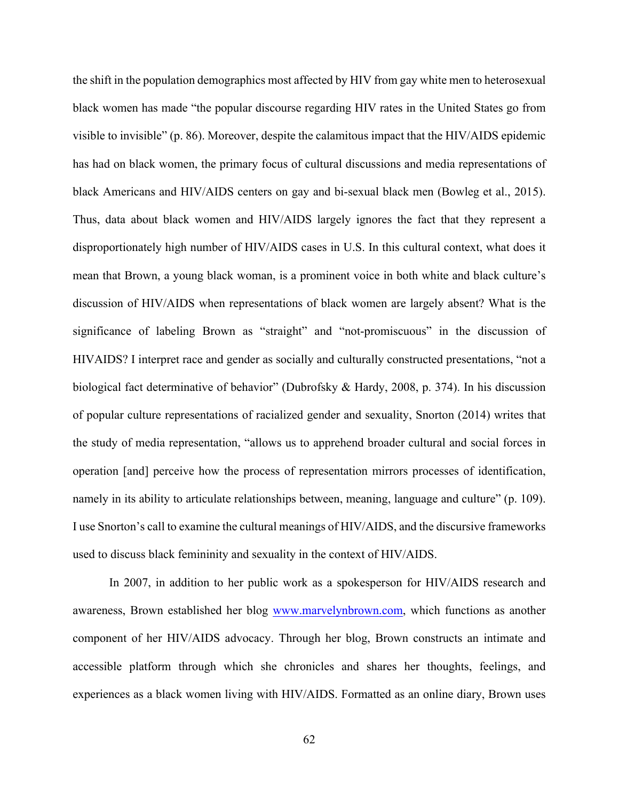the shift in the population demographics most affected by HIV from gay white men to heterosexual black women has made "the popular discourse regarding HIV rates in the United States go from visible to invisible" (p. 86). Moreover, despite the calamitous impact that the HIV/AIDS epidemic has had on black women, the primary focus of cultural discussions and media representations of black Americans and HIV/AIDS centers on gay and bi-sexual black men (Bowleg et al., 2015). Thus, data about black women and HIV/AIDS largely ignores the fact that they represent a disproportionately high number of HIV/AIDS cases in U.S. In this cultural context, what does it mean that Brown, a young black woman, is a prominent voice in both white and black culture's discussion of HIV/AIDS when representations of black women are largely absent? What is the significance of labeling Brown as "straight" and "not-promiscuous" in the discussion of HIVAIDS? I interpret race and gender as socially and culturally constructed presentations, "not a biological fact determinative of behavior" (Dubrofsky & Hardy, 2008, p. 374). In his discussion of popular culture representations of racialized gender and sexuality, Snorton (2014) writes that the study of media representation, "allows us to apprehend broader cultural and social forces in operation [and] perceive how the process of representation mirrors processes of identification, namely in its ability to articulate relationships between, meaning, language and culture" (p. 109). I use Snorton's call to examine the cultural meanings of HIV/AIDS, and the discursive frameworks used to discuss black femininity and sexuality in the context of HIV/AIDS.

In 2007, in addition to her public work as a spokesperson for HIV/AIDS research and awareness, Brown established her blog www.marvelynbrown.com, which functions as another component of her HIV/AIDS advocacy. Through her blog, Brown constructs an intimate and accessible platform through which she chronicles and shares her thoughts, feelings, and experiences as a black women living with HIV/AIDS. Formatted as an online diary, Brown uses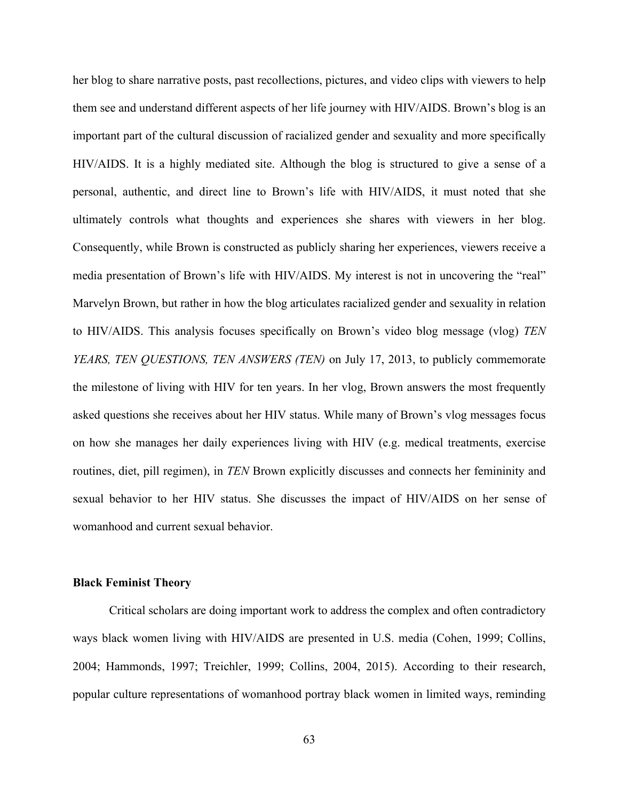her blog to share narrative posts, past recollections, pictures, and video clips with viewers to help them see and understand different aspects of her life journey with HIV/AIDS. Brown's blog is an important part of the cultural discussion of racialized gender and sexuality and more specifically HIV/AIDS. It is a highly mediated site. Although the blog is structured to give a sense of a personal, authentic, and direct line to Brown's life with HIV/AIDS, it must noted that she ultimately controls what thoughts and experiences she shares with viewers in her blog. Consequently, while Brown is constructed as publicly sharing her experiences, viewers receive a media presentation of Brown's life with HIV/AIDS. My interest is not in uncovering the "real" Marvelyn Brown, but rather in how the blog articulates racialized gender and sexuality in relation to HIV/AIDS. This analysis focuses specifically on Brown's video blog message (vlog) *TEN YEARS, TEN QUESTIONS, TEN ANSWERS (TEN)* on July 17, 2013, to publicly commemorate the milestone of living with HIV for ten years. In her vlog, Brown answers the most frequently asked questions she receives about her HIV status. While many of Brown's vlog messages focus on how she manages her daily experiences living with HIV (e.g. medical treatments, exercise routines, diet, pill regimen), in *TEN* Brown explicitly discusses and connects her femininity and sexual behavior to her HIV status. She discusses the impact of HIV/AIDS on her sense of womanhood and current sexual behavior.

#### **Black Feminist Theory**

Critical scholars are doing important work to address the complex and often contradictory ways black women living with HIV/AIDS are presented in U.S. media (Cohen, 1999; Collins, 2004; Hammonds, 1997; Treichler, 1999; Collins, 2004, 2015). According to their research, popular culture representations of womanhood portray black women in limited ways, reminding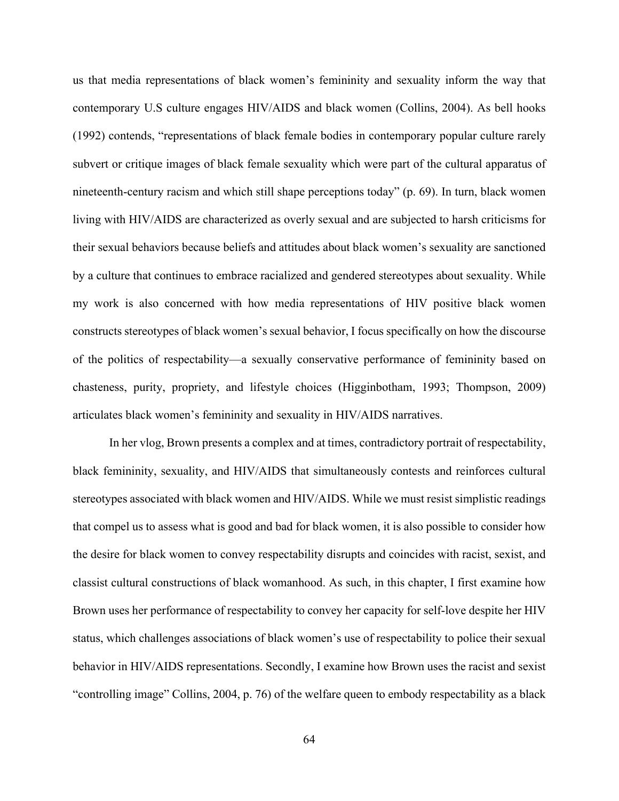us that media representations of black women's femininity and sexuality inform the way that contemporary U.S culture engages HIV/AIDS and black women (Collins, 2004). As bell hooks (1992) contends, "representations of black female bodies in contemporary popular culture rarely subvert or critique images of black female sexuality which were part of the cultural apparatus of nineteenth-century racism and which still shape perceptions today" (p. 69). In turn, black women living with HIV/AIDS are characterized as overly sexual and are subjected to harsh criticisms for their sexual behaviors because beliefs and attitudes about black women's sexuality are sanctioned by a culture that continues to embrace racialized and gendered stereotypes about sexuality. While my work is also concerned with how media representations of HIV positive black women constructs stereotypes of black women's sexual behavior, I focus specifically on how the discourse of the politics of respectability—a sexually conservative performance of femininity based on chasteness, purity, propriety, and lifestyle choices (Higginbotham, 1993; Thompson, 2009) articulates black women's femininity and sexuality in HIV/AIDS narratives.

In her vlog, Brown presents a complex and at times, contradictory portrait of respectability, black femininity, sexuality, and HIV/AIDS that simultaneously contests and reinforces cultural stereotypes associated with black women and HIV/AIDS. While we must resist simplistic readings that compel us to assess what is good and bad for black women, it is also possible to consider how the desire for black women to convey respectability disrupts and coincides with racist, sexist, and classist cultural constructions of black womanhood. As such, in this chapter, I first examine how Brown uses her performance of respectability to convey her capacity for self-love despite her HIV status, which challenges associations of black women's use of respectability to police their sexual behavior in HIV/AIDS representations. Secondly, I examine how Brown uses the racist and sexist "controlling image" Collins, 2004, p. 76) of the welfare queen to embody respectability as a black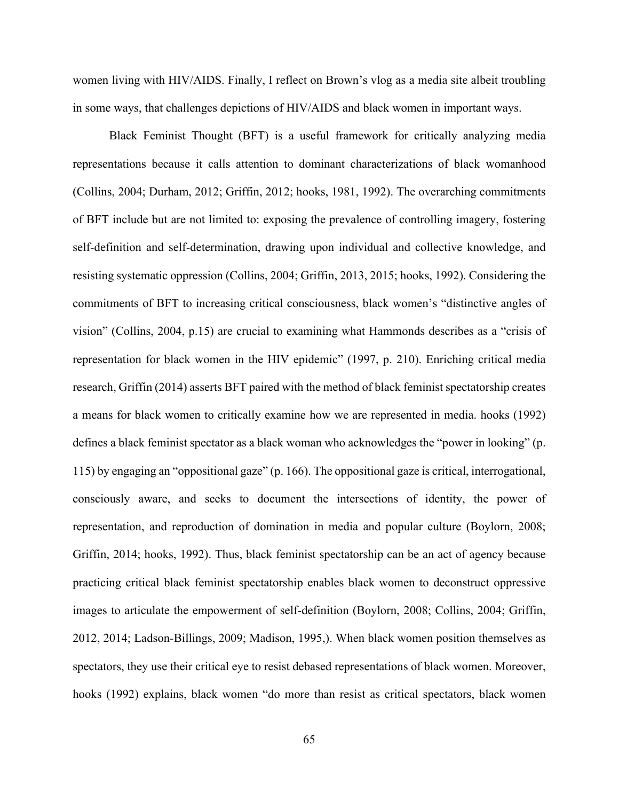women living with HIV/AIDS. Finally, I reflect on Brown's vlog as a media site albeit troubling in some ways, that challenges depictions of HIV/AIDS and black women in important ways.

Black Feminist Thought (BFT) is a useful framework for critically analyzing media representations because it calls attention to dominant characterizations of black womanhood (Collins, 2004; Durham, 2012; Griffin, 2012; hooks, 1981, 1992). The overarching commitments of BFT include but are not limited to: exposing the prevalence of controlling imagery, fostering self-definition and self-determination, drawing upon individual and collective knowledge, and resisting systematic oppression (Collins, 2004; Griffin, 2013, 2015; hooks, 1992). Considering the commitments of BFT to increasing critical consciousness, black women's "distinctive angles of vision" (Collins, 2004, p.15) are crucial to examining what Hammonds describes as a "crisis of representation for black women in the HIV epidemic" (1997, p. 210). Enriching critical media research, Griffin (2014) asserts BFT paired with the method of black feminist spectatorship creates a means for black women to critically examine how we are represented in media. hooks (1992) defines a black feminist spectator as a black woman who acknowledges the "power in looking" (p. 115) by engaging an "oppositional gaze" (p. 166). The oppositional gaze is critical, interrogational, consciously aware, and seeks to document the intersections of identity, the power of representation, and reproduction of domination in media and popular culture (Boylorn, 2008; Griffin, 2014; hooks, 1992). Thus, black feminist spectatorship can be an act of agency because practicing critical black feminist spectatorship enables black women to deconstruct oppressive images to articulate the empowerment of self-definition (Boylorn, 2008; Collins, 2004; Griffin, 2012, 2014; Ladson-Billings, 2009; Madison, 1995,). When black women position themselves as spectators, they use their critical eye to resist debased representations of black women. Moreover, hooks (1992) explains, black women "do more than resist as critical spectators, black women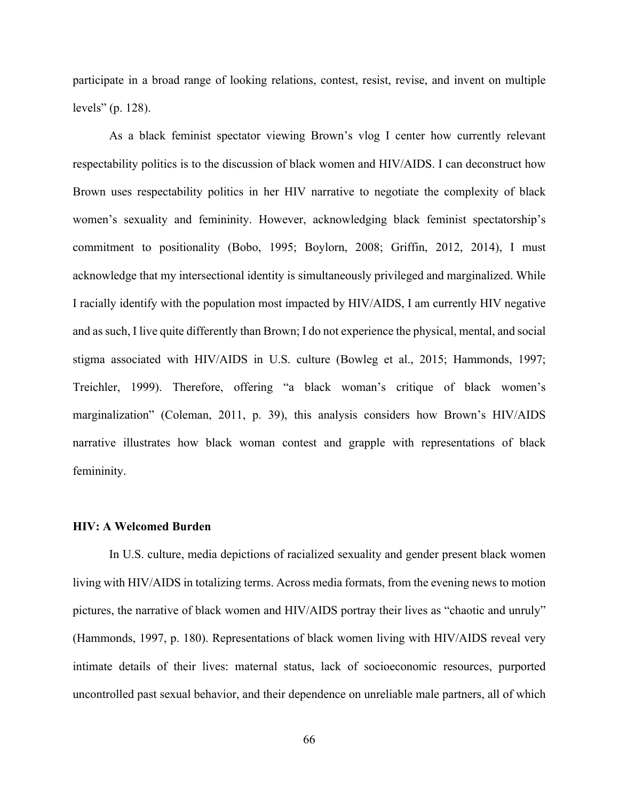participate in a broad range of looking relations, contest, resist, revise, and invent on multiple levels" (p. 128).

As a black feminist spectator viewing Brown's vlog I center how currently relevant respectability politics is to the discussion of black women and HIV/AIDS. I can deconstruct how Brown uses respectability politics in her HIV narrative to negotiate the complexity of black women's sexuality and femininity. However, acknowledging black feminist spectatorship's commitment to positionality (Bobo, 1995; Boylorn, 2008; Griffin, 2012, 2014), I must acknowledge that my intersectional identity is simultaneously privileged and marginalized. While I racially identify with the population most impacted by HIV/AIDS, I am currently HIV negative and as such, I live quite differently than Brown; I do not experience the physical, mental, and social stigma associated with HIV/AIDS in U.S. culture (Bowleg et al., 2015; Hammonds, 1997; Treichler, 1999). Therefore, offering "a black woman's critique of black women's marginalization" (Coleman, 2011, p. 39), this analysis considers how Brown's HIV/AIDS narrative illustrates how black woman contest and grapple with representations of black femininity.

#### **HIV: A Welcomed Burden**

In U.S. culture, media depictions of racialized sexuality and gender present black women living with HIV/AIDS in totalizing terms. Across media formats, from the evening news to motion pictures, the narrative of black women and HIV/AIDS portray their lives as "chaotic and unruly" (Hammonds, 1997, p. 180). Representations of black women living with HIV/AIDS reveal very intimate details of their lives: maternal status, lack of socioeconomic resources, purported uncontrolled past sexual behavior, and their dependence on unreliable male partners, all of which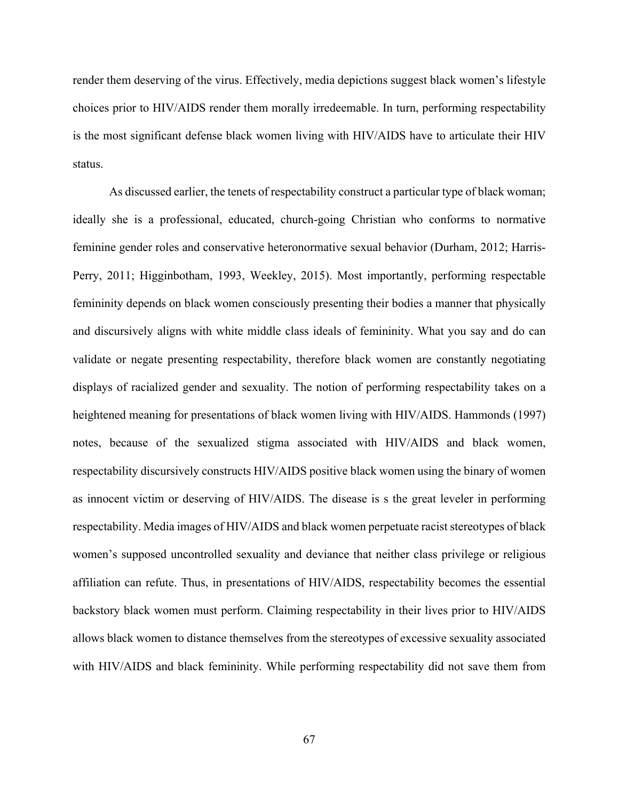render them deserving of the virus. Effectively, media depictions suggest black women's lifestyle choices prior to HIV/AIDS render them morally irredeemable. In turn, performing respectability is the most significant defense black women living with HIV/AIDS have to articulate their HIV status.

As discussed earlier, the tenets of respectability construct a particular type of black woman; ideally she is a professional, educated, church-going Christian who conforms to normative feminine gender roles and conservative heteronormative sexual behavior (Durham, 2012; Harris-Perry, 2011; Higginbotham, 1993, Weekley, 2015). Most importantly, performing respectable femininity depends on black women consciously presenting their bodies a manner that physically and discursively aligns with white middle class ideals of femininity. What you say and do can validate or negate presenting respectability, therefore black women are constantly negotiating displays of racialized gender and sexuality. The notion of performing respectability takes on a heightened meaning for presentations of black women living with HIV/AIDS. Hammonds (1997) notes, because of the sexualized stigma associated with HIV/AIDS and black women, respectability discursively constructs HIV/AIDS positive black women using the binary of women as innocent victim or deserving of HIV/AIDS. The disease is s the great leveler in performing respectability. Media images of HIV/AIDS and black women perpetuate racist stereotypes of black women's supposed uncontrolled sexuality and deviance that neither class privilege or religious affiliation can refute. Thus, in presentations of HIV/AIDS, respectability becomes the essential backstory black women must perform. Claiming respectability in their lives prior to HIV/AIDS allows black women to distance themselves from the stereotypes of excessive sexuality associated with HIV/AIDS and black femininity. While performing respectability did not save them from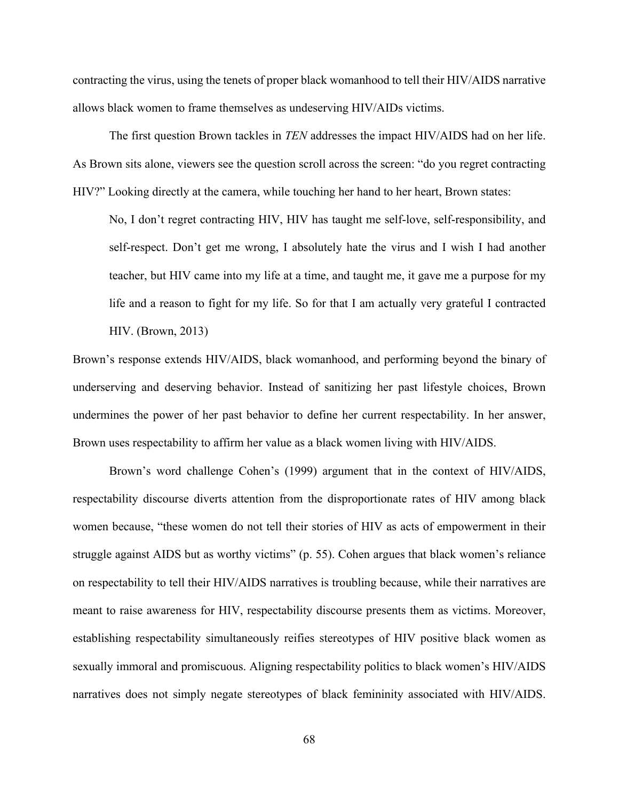contracting the virus, using the tenets of proper black womanhood to tell their HIV/AIDS narrative allows black women to frame themselves as undeserving HIV/AIDs victims.

The first question Brown tackles in *TEN* addresses the impact HIV/AIDS had on her life. As Brown sits alone, viewers see the question scroll across the screen: "do you regret contracting HIV?" Looking directly at the camera, while touching her hand to her heart, Brown states:

No, I don't regret contracting HIV, HIV has taught me self-love, self-responsibility, and self-respect. Don't get me wrong, I absolutely hate the virus and I wish I had another teacher, but HIV came into my life at a time, and taught me, it gave me a purpose for my life and a reason to fight for my life. So for that I am actually very grateful I contracted HIV. (Brown, 2013)

Brown's response extends HIV/AIDS, black womanhood, and performing beyond the binary of underserving and deserving behavior. Instead of sanitizing her past lifestyle choices, Brown undermines the power of her past behavior to define her current respectability. In her answer, Brown uses respectability to affirm her value as a black women living with HIV/AIDS.

Brown's word challenge Cohen's (1999) argument that in the context of HIV/AIDS, respectability discourse diverts attention from the disproportionate rates of HIV among black women because, "these women do not tell their stories of HIV as acts of empowerment in their struggle against AIDS but as worthy victims" (p. 55). Cohen argues that black women's reliance on respectability to tell their HIV/AIDS narratives is troubling because, while their narratives are meant to raise awareness for HIV, respectability discourse presents them as victims. Moreover, establishing respectability simultaneously reifies stereotypes of HIV positive black women as sexually immoral and promiscuous. Aligning respectability politics to black women's HIV/AIDS narratives does not simply negate stereotypes of black femininity associated with HIV/AIDS.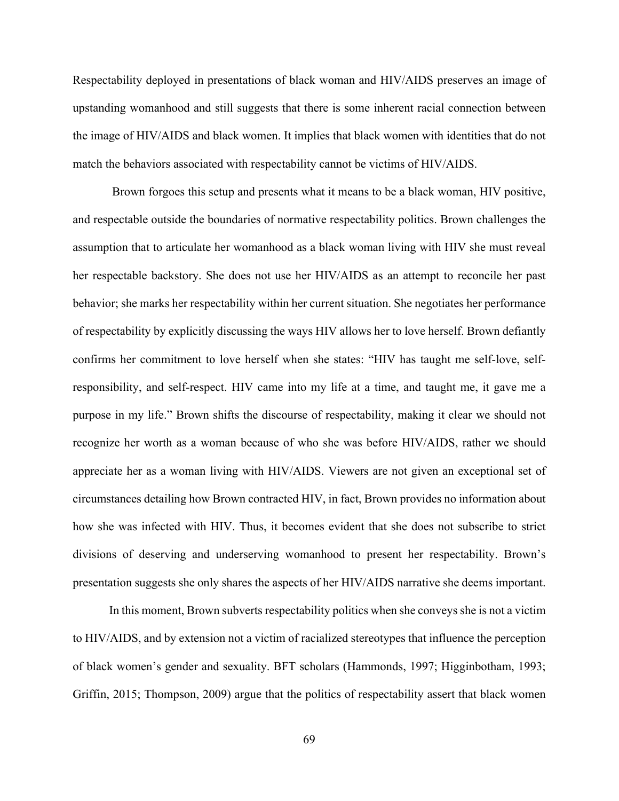Respectability deployed in presentations of black woman and HIV/AIDS preserves an image of upstanding womanhood and still suggests that there is some inherent racial connection between the image of HIV/AIDS and black women. It implies that black women with identities that do not match the behaviors associated with respectability cannot be victims of HIV/AIDS.

Brown forgoes this setup and presents what it means to be a black woman, HIV positive, and respectable outside the boundaries of normative respectability politics. Brown challenges the assumption that to articulate her womanhood as a black woman living with HIV she must reveal her respectable backstory. She does not use her HIV/AIDS as an attempt to reconcile her past behavior; she marks her respectability within her current situation. She negotiates her performance of respectability by explicitly discussing the ways HIV allows her to love herself. Brown defiantly confirms her commitment to love herself when she states: "HIV has taught me self-love, selfresponsibility, and self-respect. HIV came into my life at a time, and taught me, it gave me a purpose in my life." Brown shifts the discourse of respectability, making it clear we should not recognize her worth as a woman because of who she was before HIV/AIDS, rather we should appreciate her as a woman living with HIV/AIDS. Viewers are not given an exceptional set of circumstances detailing how Brown contracted HIV, in fact, Brown provides no information about how she was infected with HIV. Thus, it becomes evident that she does not subscribe to strict divisions of deserving and underserving womanhood to present her respectability. Brown's presentation suggests she only shares the aspects of her HIV/AIDS narrative she deems important.

In this moment, Brown subverts respectability politics when she conveys she is not a victim to HIV/AIDS, and by extension not a victim of racialized stereotypes that influence the perception of black women's gender and sexuality. BFT scholars (Hammonds, 1997; Higginbotham, 1993; Griffin, 2015; Thompson, 2009) argue that the politics of respectability assert that black women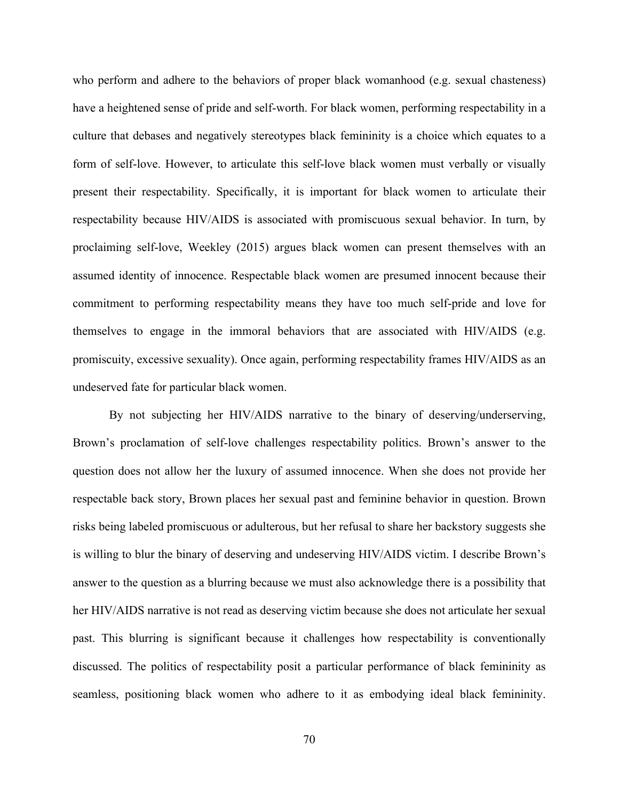who perform and adhere to the behaviors of proper black womanhood (e.g. sexual chasteness) have a heightened sense of pride and self-worth. For black women, performing respectability in a culture that debases and negatively stereotypes black femininity is a choice which equates to a form of self-love. However, to articulate this self-love black women must verbally or visually present their respectability. Specifically, it is important for black women to articulate their respectability because HIV/AIDS is associated with promiscuous sexual behavior. In turn, by proclaiming self-love, Weekley (2015) argues black women can present themselves with an assumed identity of innocence. Respectable black women are presumed innocent because their commitment to performing respectability means they have too much self-pride and love for themselves to engage in the immoral behaviors that are associated with HIV/AIDS (e.g. promiscuity, excessive sexuality). Once again, performing respectability frames HIV/AIDS as an undeserved fate for particular black women.

By not subjecting her HIV/AIDS narrative to the binary of deserving/underserving, Brown's proclamation of self-love challenges respectability politics. Brown's answer to the question does not allow her the luxury of assumed innocence. When she does not provide her respectable back story, Brown places her sexual past and feminine behavior in question. Brown risks being labeled promiscuous or adulterous, but her refusal to share her backstory suggests she is willing to blur the binary of deserving and undeserving HIV/AIDS victim. I describe Brown's answer to the question as a blurring because we must also acknowledge there is a possibility that her HIV/AIDS narrative is not read as deserving victim because she does not articulate her sexual past. This blurring is significant because it challenges how respectability is conventionally discussed. The politics of respectability posit a particular performance of black femininity as seamless, positioning black women who adhere to it as embodying ideal black femininity.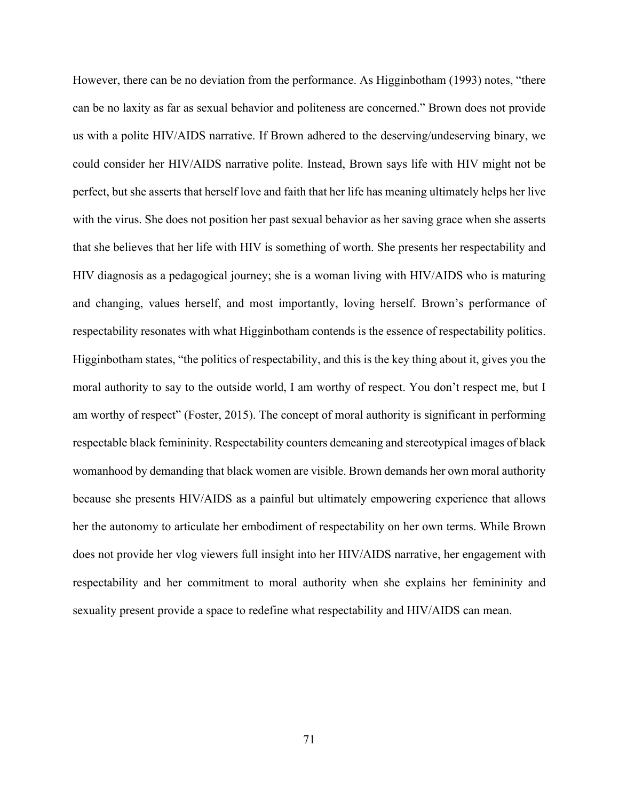However, there can be no deviation from the performance. As Higginbotham (1993) notes, "there can be no laxity as far as sexual behavior and politeness are concerned." Brown does not provide us with a polite HIV/AIDS narrative. If Brown adhered to the deserving/undeserving binary, we could consider her HIV/AIDS narrative polite. Instead, Brown says life with HIV might not be perfect, but she asserts that herself love and faith that her life has meaning ultimately helps her live with the virus. She does not position her past sexual behavior as her saving grace when she asserts that she believes that her life with HIV is something of worth. She presents her respectability and HIV diagnosis as a pedagogical journey; she is a woman living with HIV/AIDS who is maturing and changing, values herself, and most importantly, loving herself. Brown's performance of respectability resonates with what Higginbotham contends is the essence of respectability politics. Higginbotham states, "the politics of respectability, and this is the key thing about it, gives you the moral authority to say to the outside world, I am worthy of respect. You don't respect me, but I am worthy of respect" (Foster, 2015). The concept of moral authority is significant in performing respectable black femininity. Respectability counters demeaning and stereotypical images of black womanhood by demanding that black women are visible. Brown demands her own moral authority because she presents HIV/AIDS as a painful but ultimately empowering experience that allows her the autonomy to articulate her embodiment of respectability on her own terms. While Brown does not provide her vlog viewers full insight into her HIV/AIDS narrative, her engagement with respectability and her commitment to moral authority when she explains her femininity and sexuality present provide a space to redefine what respectability and HIV/AIDS can mean.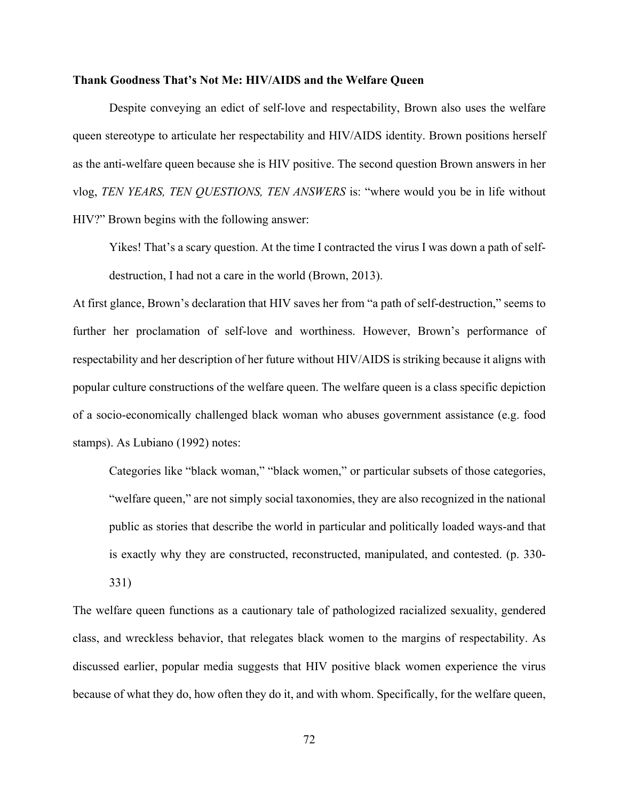### **Thank Goodness That's Not Me: HIV/AIDS and the Welfare Queen**

Despite conveying an edict of self-love and respectability, Brown also uses the welfare queen stereotype to articulate her respectability and HIV/AIDS identity. Brown positions herself as the anti-welfare queen because she is HIV positive. The second question Brown answers in her vlog, *TEN YEARS, TEN QUESTIONS, TEN ANSWERS* is: "where would you be in life without HIV?" Brown begins with the following answer:

Yikes! That's a scary question. At the time I contracted the virus I was down a path of selfdestruction, I had not a care in the world (Brown, 2013).

At first glance, Brown's declaration that HIV saves her from "a path of self-destruction," seems to further her proclamation of self-love and worthiness. However, Brown's performance of respectability and her description of her future without HIV/AIDS is striking because it aligns with popular culture constructions of the welfare queen. The welfare queen is a class specific depiction of a socio-economically challenged black woman who abuses government assistance (e.g. food stamps). As Lubiano (1992) notes:

Categories like "black woman," "black women," or particular subsets of those categories, "welfare queen," are not simply social taxonomies, they are also recognized in the national public as stories that describe the world in particular and politically loaded ways-and that is exactly why they are constructed, reconstructed, manipulated, and contested. (p. 330- 331)

The welfare queen functions as a cautionary tale of pathologized racialized sexuality, gendered class, and wreckless behavior, that relegates black women to the margins of respectability. As discussed earlier, popular media suggests that HIV positive black women experience the virus because of what they do, how often they do it, and with whom. Specifically, for the welfare queen,

72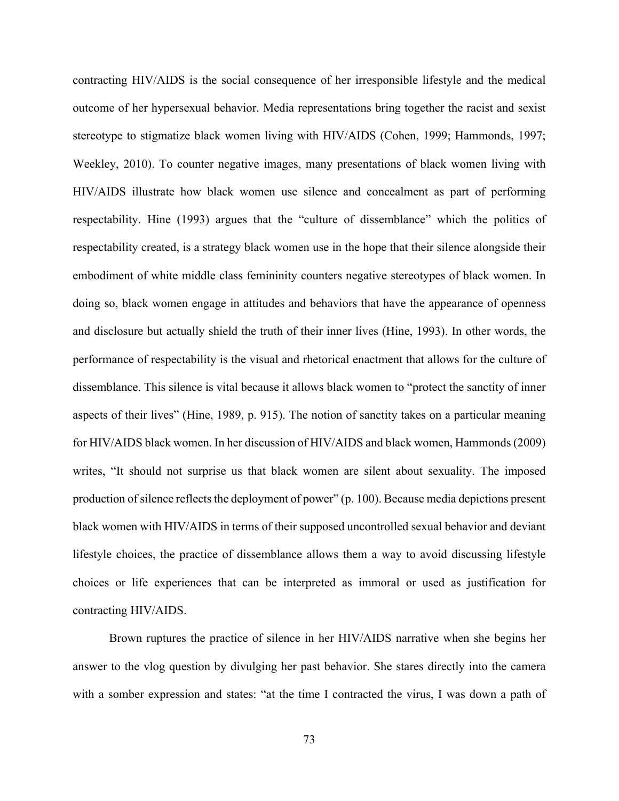contracting HIV/AIDS is the social consequence of her irresponsible lifestyle and the medical outcome of her hypersexual behavior. Media representations bring together the racist and sexist stereotype to stigmatize black women living with HIV/AIDS (Cohen, 1999; Hammonds, 1997; Weekley, 2010). To counter negative images, many presentations of black women living with HIV/AIDS illustrate how black women use silence and concealment as part of performing respectability. Hine (1993) argues that the "culture of dissemblance" which the politics of respectability created, is a strategy black women use in the hope that their silence alongside their embodiment of white middle class femininity counters negative stereotypes of black women. In doing so, black women engage in attitudes and behaviors that have the appearance of openness and disclosure but actually shield the truth of their inner lives (Hine, 1993). In other words, the performance of respectability is the visual and rhetorical enactment that allows for the culture of dissemblance. This silence is vital because it allows black women to "protect the sanctity of inner aspects of their lives" (Hine, 1989, p. 915). The notion of sanctity takes on a particular meaning for HIV/AIDS black women. In her discussion of HIV/AIDS and black women, Hammonds (2009) writes, "It should not surprise us that black women are silent about sexuality. The imposed production of silence reflects the deployment of power" (p. 100). Because media depictions present black women with HIV/AIDS in terms of their supposed uncontrolled sexual behavior and deviant lifestyle choices, the practice of dissemblance allows them a way to avoid discussing lifestyle choices or life experiences that can be interpreted as immoral or used as justification for contracting HIV/AIDS.

Brown ruptures the practice of silence in her HIV/AIDS narrative when she begins her answer to the vlog question by divulging her past behavior. She stares directly into the camera with a somber expression and states: "at the time I contracted the virus, I was down a path of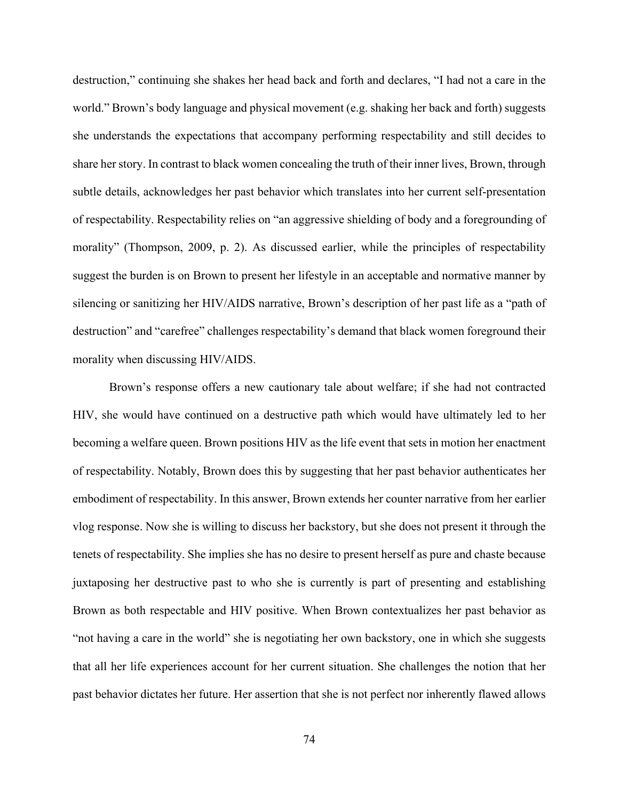destruction," continuing she shakes her head back and forth and declares, "I had not a care in the world." Brown's body language and physical movement (e.g. shaking her back and forth) suggests she understands the expectations that accompany performing respectability and still decides to share her story. In contrast to black women concealing the truth of their inner lives, Brown, through subtle details, acknowledges her past behavior which translates into her current self-presentation of respectability. Respectability relies on "an aggressive shielding of body and a foregrounding of morality" (Thompson, 2009, p. 2). As discussed earlier, while the principles of respectability suggest the burden is on Brown to present her lifestyle in an acceptable and normative manner by silencing or sanitizing her HIV/AIDS narrative, Brown's description of her past life as a "path of destruction" and "carefree" challenges respectability's demand that black women foreground their morality when discussing HIV/AIDS.

Brown's response offers a new cautionary tale about welfare; if she had not contracted HIV, she would have continued on a destructive path which would have ultimately led to her becoming a welfare queen. Brown positions HIV as the life event that sets in motion her enactment of respectability. Notably, Brown does this by suggesting that her past behavior authenticates her embodiment of respectability. In this answer, Brown extends her counter narrative from her earlier vlog response. Now she is willing to discuss her backstory, but she does not present it through the tenets of respectability. She implies she has no desire to present herself as pure and chaste because juxtaposing her destructive past to who she is currently is part of presenting and establishing Brown as both respectable and HIV positive. When Brown contextualizes her past behavior as "not having a care in the world" she is negotiating her own backstory, one in which she suggests that all her life experiences account for her current situation. She challenges the notion that her past behavior dictates her future. Her assertion that she is not perfect nor inherently flawed allows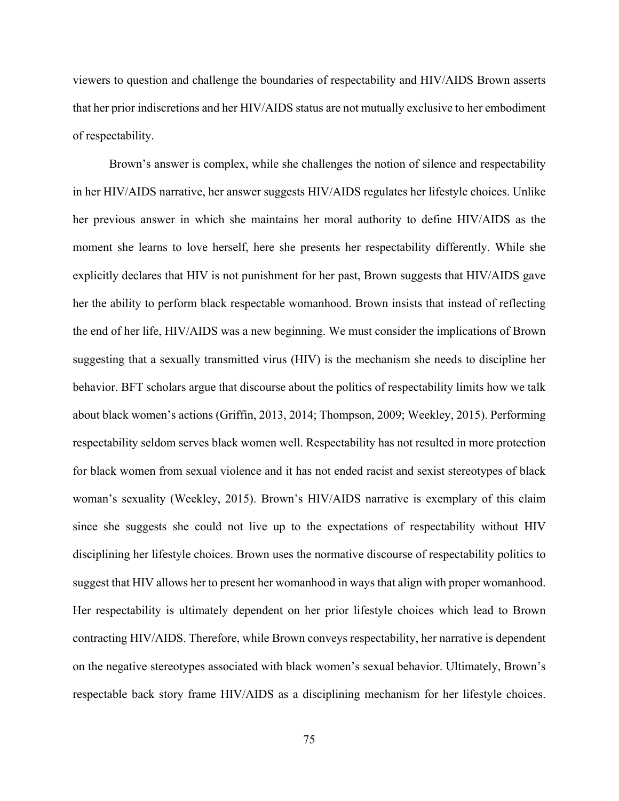viewers to question and challenge the boundaries of respectability and HIV/AIDS Brown asserts that her prior indiscretions and her HIV/AIDS status are not mutually exclusive to her embodiment of respectability.

Brown's answer is complex, while she challenges the notion of silence and respectability in her HIV/AIDS narrative, her answer suggests HIV/AIDS regulates her lifestyle choices. Unlike her previous answer in which she maintains her moral authority to define HIV/AIDS as the moment she learns to love herself, here she presents her respectability differently. While she explicitly declares that HIV is not punishment for her past, Brown suggests that HIV/AIDS gave her the ability to perform black respectable womanhood. Brown insists that instead of reflecting the end of her life, HIV/AIDS was a new beginning. We must consider the implications of Brown suggesting that a sexually transmitted virus (HIV) is the mechanism she needs to discipline her behavior. BFT scholars argue that discourse about the politics of respectability limits how we talk about black women's actions (Griffin, 2013, 2014; Thompson, 2009; Weekley, 2015). Performing respectability seldom serves black women well. Respectability has not resulted in more protection for black women from sexual violence and it has not ended racist and sexist stereotypes of black woman's sexuality (Weekley, 2015). Brown's HIV/AIDS narrative is exemplary of this claim since she suggests she could not live up to the expectations of respectability without HIV disciplining her lifestyle choices. Brown uses the normative discourse of respectability politics to suggest that HIV allows her to present her womanhood in ways that align with proper womanhood. Her respectability is ultimately dependent on her prior lifestyle choices which lead to Brown contracting HIV/AIDS. Therefore, while Brown conveys respectability, her narrative is dependent on the negative stereotypes associated with black women's sexual behavior. Ultimately, Brown's respectable back story frame HIV/AIDS as a disciplining mechanism for her lifestyle choices.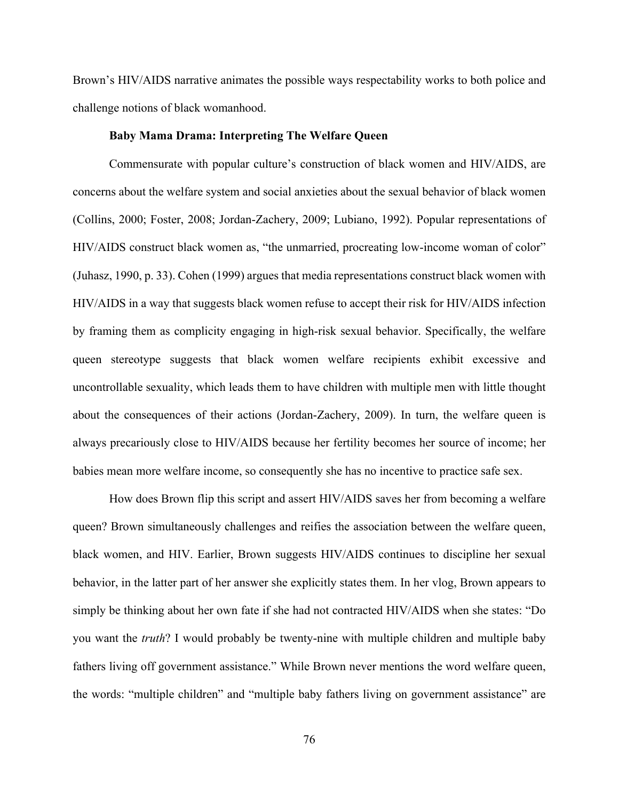Brown's HIV/AIDS narrative animates the possible ways respectability works to both police and challenge notions of black womanhood.

### **Baby Mama Drama: Interpreting The Welfare Queen**

Commensurate with popular culture's construction of black women and HIV/AIDS, are concerns about the welfare system and social anxieties about the sexual behavior of black women (Collins, 2000; Foster, 2008; Jordan-Zachery, 2009; Lubiano, 1992). Popular representations of HIV/AIDS construct black women as, "the unmarried, procreating low-income woman of color" (Juhasz, 1990, p. 33). Cohen (1999) argues that media representations construct black women with HIV/AIDS in a way that suggests black women refuse to accept their risk for HIV/AIDS infection by framing them as complicity engaging in high-risk sexual behavior. Specifically, the welfare queen stereotype suggests that black women welfare recipients exhibit excessive and uncontrollable sexuality, which leads them to have children with multiple men with little thought about the consequences of their actions (Jordan-Zachery, 2009). In turn, the welfare queen is always precariously close to HIV/AIDS because her fertility becomes her source of income; her babies mean more welfare income, so consequently she has no incentive to practice safe sex.

How does Brown flip this script and assert HIV/AIDS saves her from becoming a welfare queen? Brown simultaneously challenges and reifies the association between the welfare queen, black women, and HIV. Earlier, Brown suggests HIV/AIDS continues to discipline her sexual behavior, in the latter part of her answer she explicitly states them. In her vlog, Brown appears to simply be thinking about her own fate if she had not contracted HIV/AIDS when she states: "Do you want the *truth*? I would probably be twenty-nine with multiple children and multiple baby fathers living off government assistance." While Brown never mentions the word welfare queen, the words: "multiple children" and "multiple baby fathers living on government assistance" are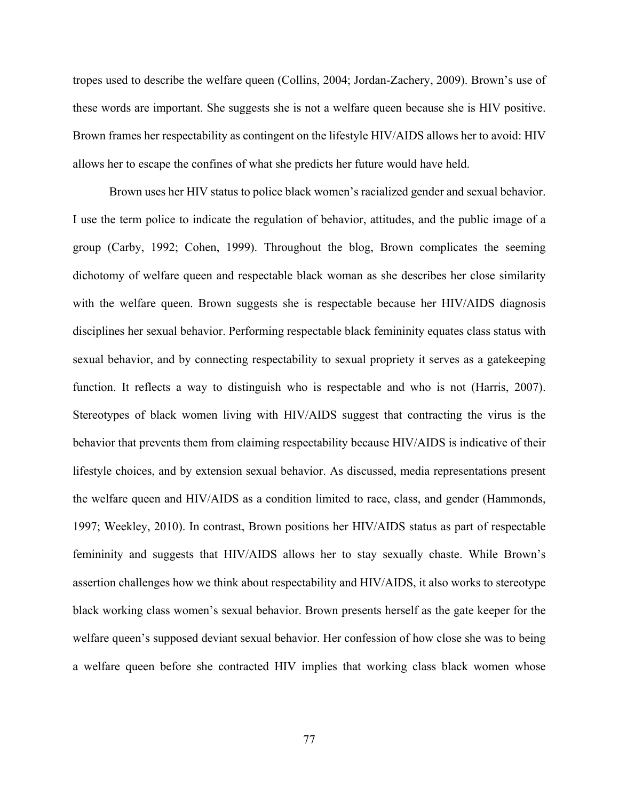tropes used to describe the welfare queen (Collins, 2004; Jordan-Zachery, 2009). Brown's use of these words are important. She suggests she is not a welfare queen because she is HIV positive. Brown frames her respectability as contingent on the lifestyle HIV/AIDS allows her to avoid: HIV allows her to escape the confines of what she predicts her future would have held.

Brown uses her HIV status to police black women's racialized gender and sexual behavior. I use the term police to indicate the regulation of behavior, attitudes, and the public image of a group (Carby, 1992; Cohen, 1999). Throughout the blog, Brown complicates the seeming dichotomy of welfare queen and respectable black woman as she describes her close similarity with the welfare queen. Brown suggests she is respectable because her HIV/AIDS diagnosis disciplines her sexual behavior. Performing respectable black femininity equates class status with sexual behavior, and by connecting respectability to sexual propriety it serves as a gatekeeping function. It reflects a way to distinguish who is respectable and who is not (Harris, 2007). Stereotypes of black women living with HIV/AIDS suggest that contracting the virus is the behavior that prevents them from claiming respectability because HIV/AIDS is indicative of their lifestyle choices, and by extension sexual behavior. As discussed, media representations present the welfare queen and HIV/AIDS as a condition limited to race, class, and gender (Hammonds, 1997; Weekley, 2010). In contrast, Brown positions her HIV/AIDS status as part of respectable femininity and suggests that HIV/AIDS allows her to stay sexually chaste. While Brown's assertion challenges how we think about respectability and HIV/AIDS, it also works to stereotype black working class women's sexual behavior. Brown presents herself as the gate keeper for the welfare queen's supposed deviant sexual behavior. Her confession of how close she was to being a welfare queen before she contracted HIV implies that working class black women whose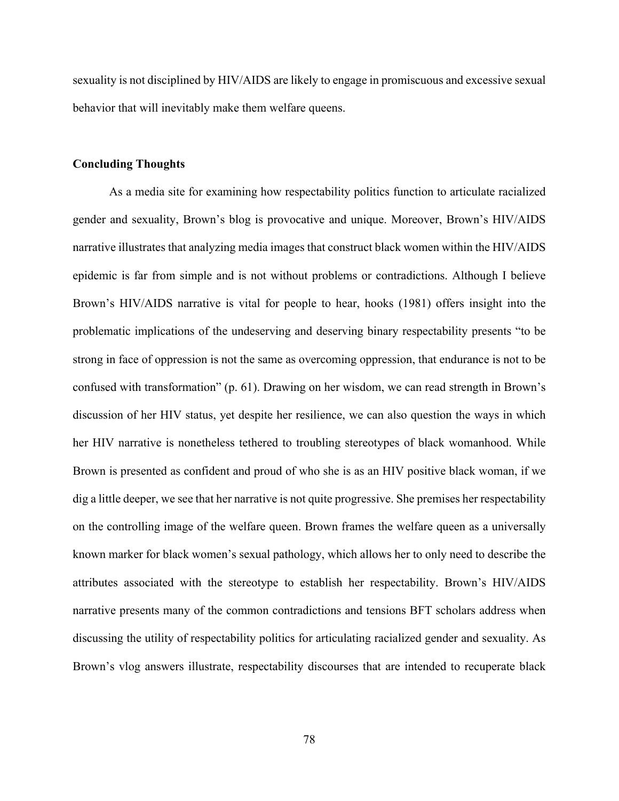sexuality is not disciplined by HIV/AIDS are likely to engage in promiscuous and excessive sexual behavior that will inevitably make them welfare queens.

### **Concluding Thoughts**

As a media site for examining how respectability politics function to articulate racialized gender and sexuality, Brown's blog is provocative and unique. Moreover, Brown's HIV/AIDS narrative illustrates that analyzing media images that construct black women within the HIV/AIDS epidemic is far from simple and is not without problems or contradictions. Although I believe Brown's HIV/AIDS narrative is vital for people to hear, hooks (1981) offers insight into the problematic implications of the undeserving and deserving binary respectability presents "to be strong in face of oppression is not the same as overcoming oppression, that endurance is not to be confused with transformation" (p. 61). Drawing on her wisdom, we can read strength in Brown's discussion of her HIV status, yet despite her resilience, we can also question the ways in which her HIV narrative is nonetheless tethered to troubling stereotypes of black womanhood. While Brown is presented as confident and proud of who she is as an HIV positive black woman, if we dig a little deeper, we see that her narrative is not quite progressive. She premises her respectability on the controlling image of the welfare queen. Brown frames the welfare queen as a universally known marker for black women's sexual pathology, which allows her to only need to describe the attributes associated with the stereotype to establish her respectability. Brown's HIV/AIDS narrative presents many of the common contradictions and tensions BFT scholars address when discussing the utility of respectability politics for articulating racialized gender and sexuality. As Brown's vlog answers illustrate, respectability discourses that are intended to recuperate black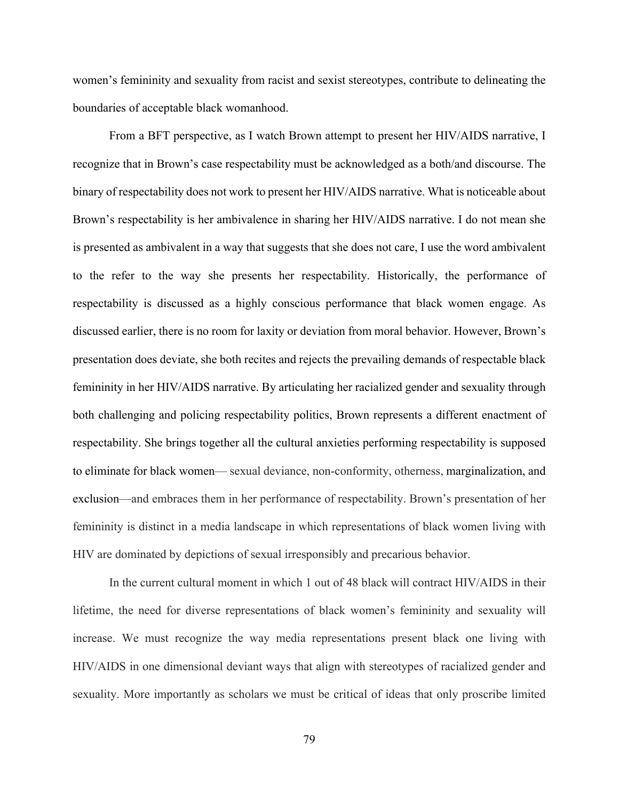women's femininity and sexuality from racist and sexist stereotypes, contribute to delineating the boundaries of acceptable black womanhood.

From a BFT perspective, as I watch Brown attempt to present her HIV/AIDS narrative, I recognize that in Brown's case respectability must be acknowledged as a both/and discourse. The binary of respectability does not work to present her HIV/AIDS narrative. What is noticeable about Brown's respectability is her ambivalence in sharing her HIV/AIDS narrative. I do not mean she is presented as ambivalent in a way that suggests that she does not care, I use the word ambivalent to the refer to the way she presents her respectability. Historically, the performance of respectability is discussed as a highly conscious performance that black women engage. As discussed earlier, there is no room for laxity or deviation from moral behavior. However, Brown's presentation does deviate, she both recites and rejects the prevailing demands of respectable black femininity in her HIV/AIDS narrative. By articulating her racialized gender and sexuality through both challenging and policing respectability politics, Brown represents a different enactment of respectability. She brings together all the cultural anxieties performing respectability is supposed to eliminate for black women— sexual deviance, non-conformity, otherness, marginalization, and exclusion—and embraces them in her performance of respectability. Brown's presentation of her femininity is distinct in a media landscape in which representations of black women living with HIV are dominated by depictions of sexual irresponsibly and precarious behavior.

In the current cultural moment in which 1 out of 48 black will contract HIV/AIDS in their lifetime, the need for diverse representations of black women's femininity and sexuality will increase. We must recognize the way media representations present black one living with HIV/AIDS in one dimensional deviant ways that align with stereotypes of racialized gender and sexuality. More importantly as scholars we must be critical of ideas that only proscribe limited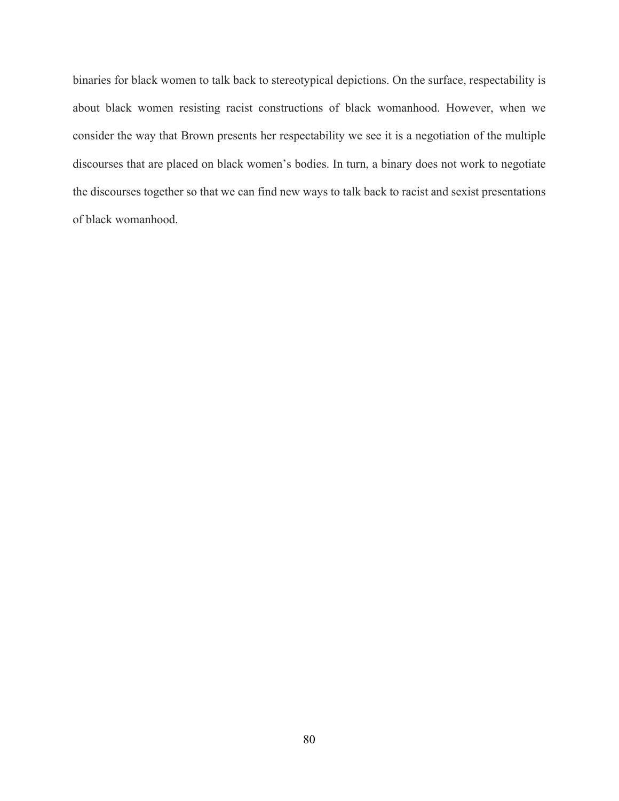binaries for black women to talk back to stereotypical depictions. On the surface, respectability is about black women resisting racist constructions of black womanhood. However, when we consider the way that Brown presents her respectability we see it is a negotiation of the multiple discourses that are placed on black women's bodies. In turn, a binary does not work to negotiate the discourses together so that we can find new ways to talk back to racist and sexist presentations of black womanhood.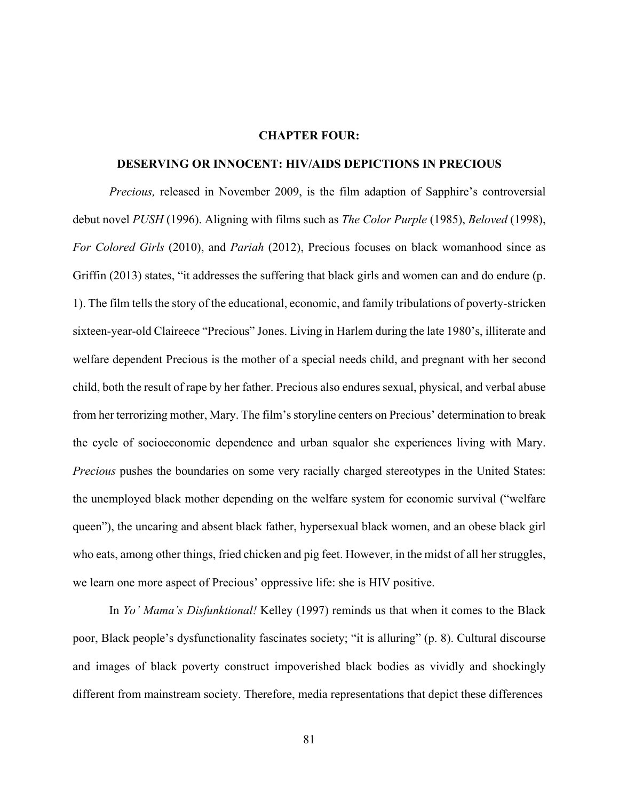# **CHAPTER FOUR:**

### **DESERVING OR INNOCENT: HIV/AIDS DEPICTIONS IN PRECIOUS**

*Precious,* released in November 2009, is the film adaption of Sapphire's controversial debut novel *PUSH* (1996). Aligning with films such as *The Color Purple* (1985), *Beloved* (1998), *For Colored Girls* (2010), and *Pariah* (2012), Precious focuses on black womanhood since as Griffin (2013) states, "it addresses the suffering that black girls and women can and do endure (p. 1). The film tells the story of the educational, economic, and family tribulations of poverty-stricken sixteen-year-old Claireece "Precious" Jones. Living in Harlem during the late 1980's, illiterate and welfare dependent Precious is the mother of a special needs child, and pregnant with her second child, both the result of rape by her father. Precious also endures sexual, physical, and verbal abuse from her terrorizing mother, Mary. The film's storyline centers on Precious' determination to break the cycle of socioeconomic dependence and urban squalor she experiences living with Mary. *Precious* pushes the boundaries on some very racially charged stereotypes in the United States: the unemployed black mother depending on the welfare system for economic survival ("welfare queen"), the uncaring and absent black father, hypersexual black women, and an obese black girl who eats, among other things, fried chicken and pig feet. However, in the midst of all her struggles, we learn one more aspect of Precious' oppressive life: she is HIV positive.

In *Yo' Mama's Disfunktional!* Kelley (1997) reminds us that when it comes to the Black poor, Black people's dysfunctionality fascinates society; "it is alluring" (p. 8). Cultural discourse and images of black poverty construct impoverished black bodies as vividly and shockingly different from mainstream society. Therefore, media representations that depict these differences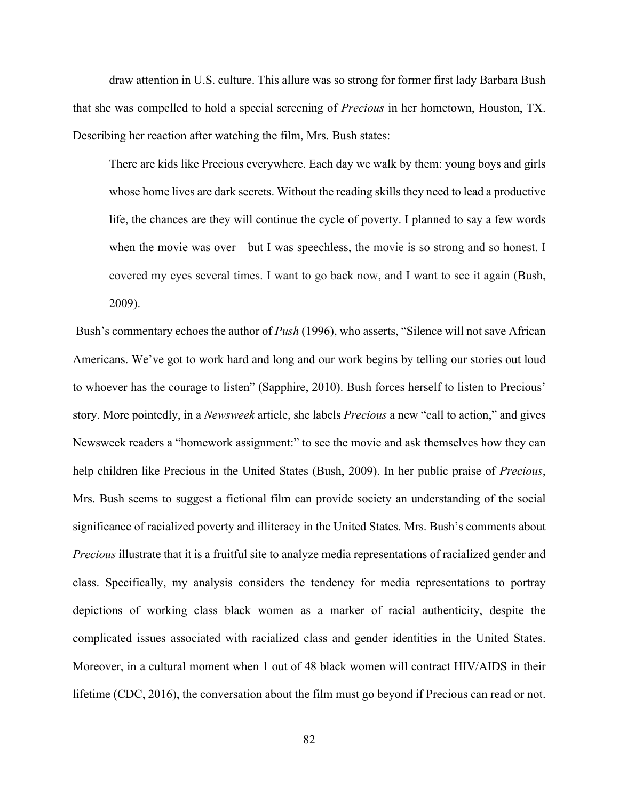draw attention in U.S. culture. This allure was so strong for former first lady Barbara Bush that she was compelled to hold a special screening of *Precious* in her hometown, Houston, TX. Describing her reaction after watching the film, Mrs. Bush states:

There are kids like Precious everywhere. Each day we walk by them: young boys and girls whose home lives are dark secrets. Without the reading skills they need to lead a productive life, the chances are they will continue the cycle of poverty. I planned to say a few words when the movie was over—but I was speechless, the movie is so strong and so honest. I covered my eyes several times. I want to go back now, and I want to see it again (Bush, 2009).

Bush's commentary echoes the author of *Push* (1996), who asserts, "Silence will not save African Americans. We've got to work hard and long and our work begins by telling our stories out loud to whoever has the courage to listen" (Sapphire, 2010). Bush forces herself to listen to Precious' story. More pointedly, in a *Newsweek* article, she labels *Precious* a new "call to action," and gives Newsweek readers a "homework assignment:" to see the movie and ask themselves how they can help children like Precious in the United States (Bush, 2009). In her public praise of *Precious*, Mrs. Bush seems to suggest a fictional film can provide society an understanding of the social significance of racialized poverty and illiteracy in the United States. Mrs. Bush's comments about *Precious* illustrate that it is a fruitful site to analyze media representations of racialized gender and class. Specifically, my analysis considers the tendency for media representations to portray depictions of working class black women as a marker of racial authenticity, despite the complicated issues associated with racialized class and gender identities in the United States. Moreover, in a cultural moment when 1 out of 48 black women will contract HIV/AIDS in their lifetime (CDC, 2016), the conversation about the film must go beyond if Precious can read or not.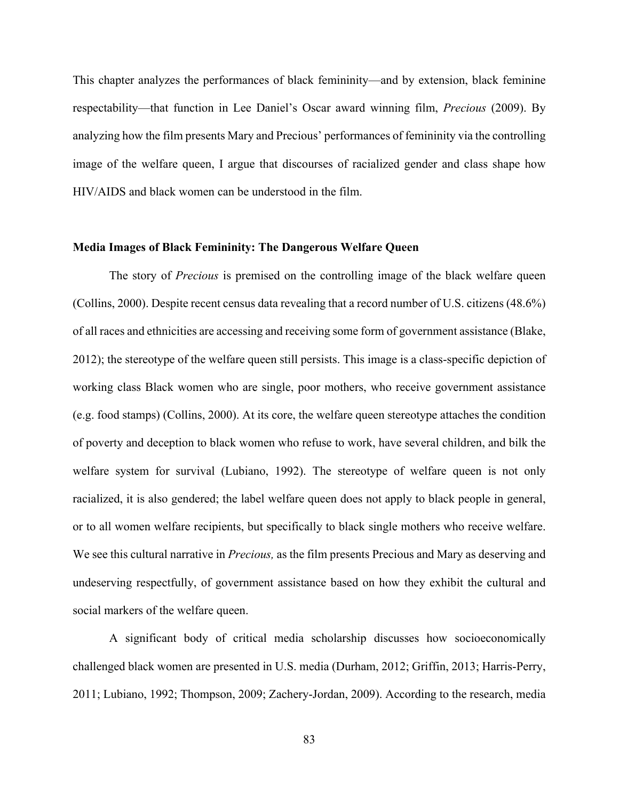This chapter analyzes the performances of black femininity—and by extension, black feminine respectability—that function in Lee Daniel's Oscar award winning film, *Precious* (2009). By analyzing how the film presents Mary and Precious' performances of femininity via the controlling image of the welfare queen, I argue that discourses of racialized gender and class shape how HIV/AIDS and black women can be understood in the film.

# **Media Images of Black Femininity: The Dangerous Welfare Queen**

The story of *Precious* is premised on the controlling image of the black welfare queen (Collins, 2000). Despite recent census data revealing that a record number of U.S. citizens (48.6%) of all races and ethnicities are accessing and receiving some form of government assistance (Blake, 2012); the stereotype of the welfare queen still persists. This image is a class-specific depiction of working class Black women who are single, poor mothers, who receive government assistance (e.g. food stamps) (Collins, 2000). At its core, the welfare queen stereotype attaches the condition of poverty and deception to black women who refuse to work, have several children, and bilk the welfare system for survival (Lubiano, 1992). The stereotype of welfare queen is not only racialized, it is also gendered; the label welfare queen does not apply to black people in general, or to all women welfare recipients, but specifically to black single mothers who receive welfare. We see this cultural narrative in *Precious,* as the film presents Precious and Mary as deserving and undeserving respectfully, of government assistance based on how they exhibit the cultural and social markers of the welfare queen.

A significant body of critical media scholarship discusses how socioeconomically challenged black women are presented in U.S. media (Durham, 2012; Griffin, 2013; Harris-Perry, 2011; Lubiano, 1992; Thompson, 2009; Zachery-Jordan, 2009). According to the research, media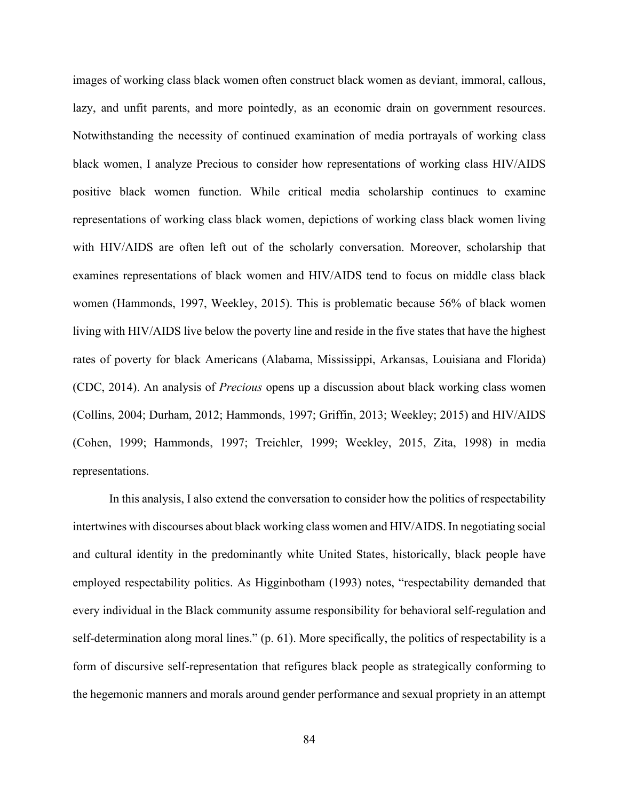images of working class black women often construct black women as deviant, immoral, callous, lazy, and unfit parents, and more pointedly, as an economic drain on government resources. Notwithstanding the necessity of continued examination of media portrayals of working class black women, I analyze Precious to consider how representations of working class HIV/AIDS positive black women function. While critical media scholarship continues to examine representations of working class black women, depictions of working class black women living with HIV/AIDS are often left out of the scholarly conversation. Moreover, scholarship that examines representations of black women and HIV/AIDS tend to focus on middle class black women (Hammonds, 1997, Weekley, 2015). This is problematic because 56% of black women living with HIV/AIDS live below the poverty line and reside in the five states that have the highest rates of poverty for black Americans (Alabama, Mississippi, Arkansas, Louisiana and Florida) (CDC, 2014). An analysis of *Precious* opens up a discussion about black working class women (Collins, 2004; Durham, 2012; Hammonds, 1997; Griffin, 2013; Weekley; 2015) and HIV/AIDS (Cohen, 1999; Hammonds, 1997; Treichler, 1999; Weekley, 2015, Zita, 1998) in media representations.

In this analysis, I also extend the conversation to consider how the politics of respectability intertwines with discourses about black working class women and HIV/AIDS. In negotiating social and cultural identity in the predominantly white United States, historically, black people have employed respectability politics. As Higginbotham (1993) notes, "respectability demanded that every individual in the Black community assume responsibility for behavioral self-regulation and self-determination along moral lines." (p. 61). More specifically, the politics of respectability is a form of discursive self-representation that refigures black people as strategically conforming to the hegemonic manners and morals around gender performance and sexual propriety in an attempt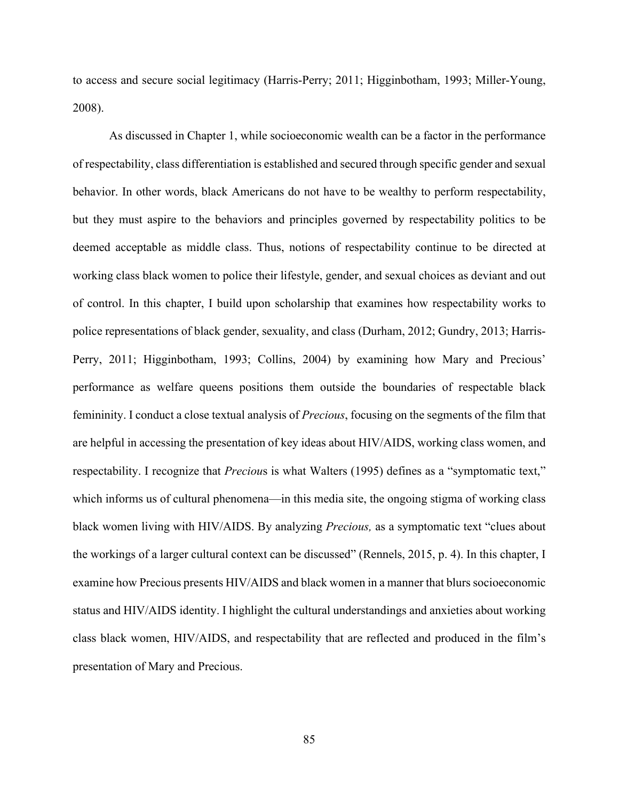to access and secure social legitimacy (Harris-Perry; 2011; Higginbotham, 1993; Miller-Young, 2008).

As discussed in Chapter 1, while socioeconomic wealth can be a factor in the performance of respectability, class differentiation is established and secured through specific gender and sexual behavior. In other words, black Americans do not have to be wealthy to perform respectability, but they must aspire to the behaviors and principles governed by respectability politics to be deemed acceptable as middle class. Thus, notions of respectability continue to be directed at working class black women to police their lifestyle, gender, and sexual choices as deviant and out of control. In this chapter, I build upon scholarship that examines how respectability works to police representations of black gender, sexuality, and class (Durham, 2012; Gundry, 2013; Harris-Perry, 2011; Higginbotham, 1993; Collins, 2004) by examining how Mary and Precious' performance as welfare queens positions them outside the boundaries of respectable black femininity. I conduct a close textual analysis of *Precious*, focusing on the segments of the film that are helpful in accessing the presentation of key ideas about HIV/AIDS, working class women, and respectability. I recognize that *Preciou*s is what Walters (1995) defines as a "symptomatic text," which informs us of cultural phenomena—in this media site, the ongoing stigma of working class black women living with HIV/AIDS. By analyzing *Precious,* as a symptomatic text "clues about the workings of a larger cultural context can be discussed" (Rennels, 2015, p. 4). In this chapter, I examine how Precious presents HIV/AIDS and black women in a manner that blurs socioeconomic status and HIV/AIDS identity. I highlight the cultural understandings and anxieties about working class black women, HIV/AIDS, and respectability that are reflected and produced in the film's presentation of Mary and Precious.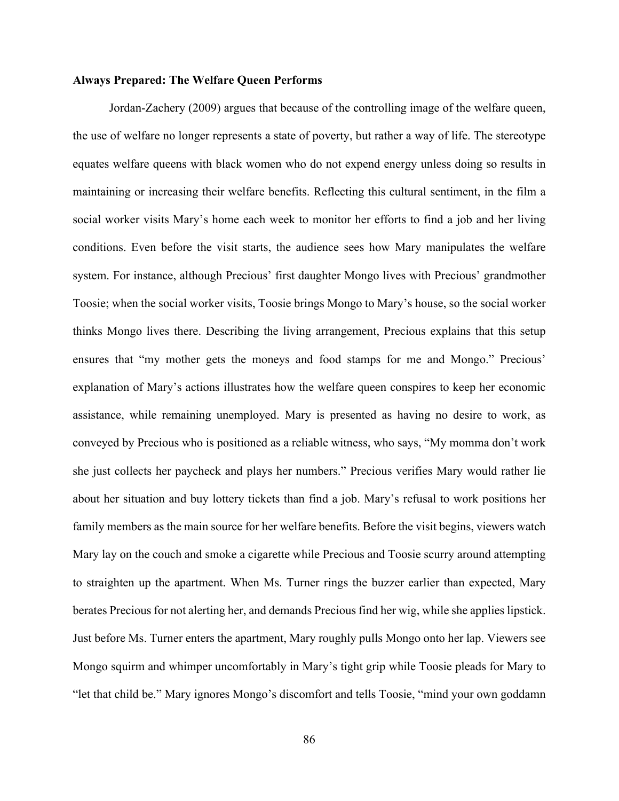## **Always Prepared: The Welfare Queen Performs**

Jordan-Zachery (2009) argues that because of the controlling image of the welfare queen, the use of welfare no longer represents a state of poverty, but rather a way of life. The stereotype equates welfare queens with black women who do not expend energy unless doing so results in maintaining or increasing their welfare benefits. Reflecting this cultural sentiment, in the film a social worker visits Mary's home each week to monitor her efforts to find a job and her living conditions. Even before the visit starts, the audience sees how Mary manipulates the welfare system. For instance, although Precious' first daughter Mongo lives with Precious' grandmother Toosie; when the social worker visits, Toosie brings Mongo to Mary's house, so the social worker thinks Mongo lives there. Describing the living arrangement, Precious explains that this setup ensures that "my mother gets the moneys and food stamps for me and Mongo." Precious' explanation of Mary's actions illustrates how the welfare queen conspires to keep her economic assistance, while remaining unemployed. Mary is presented as having no desire to work, as conveyed by Precious who is positioned as a reliable witness, who says, "My momma don't work she just collects her paycheck and plays her numbers." Precious verifies Mary would rather lie about her situation and buy lottery tickets than find a job. Mary's refusal to work positions her family members as the main source for her welfare benefits. Before the visit begins, viewers watch Mary lay on the couch and smoke a cigarette while Precious and Toosie scurry around attempting to straighten up the apartment. When Ms. Turner rings the buzzer earlier than expected, Mary berates Precious for not alerting her, and demands Precious find her wig, while she applies lipstick. Just before Ms. Turner enters the apartment, Mary roughly pulls Mongo onto her lap. Viewers see Mongo squirm and whimper uncomfortably in Mary's tight grip while Toosie pleads for Mary to "let that child be." Mary ignores Mongo's discomfort and tells Toosie, "mind your own goddamn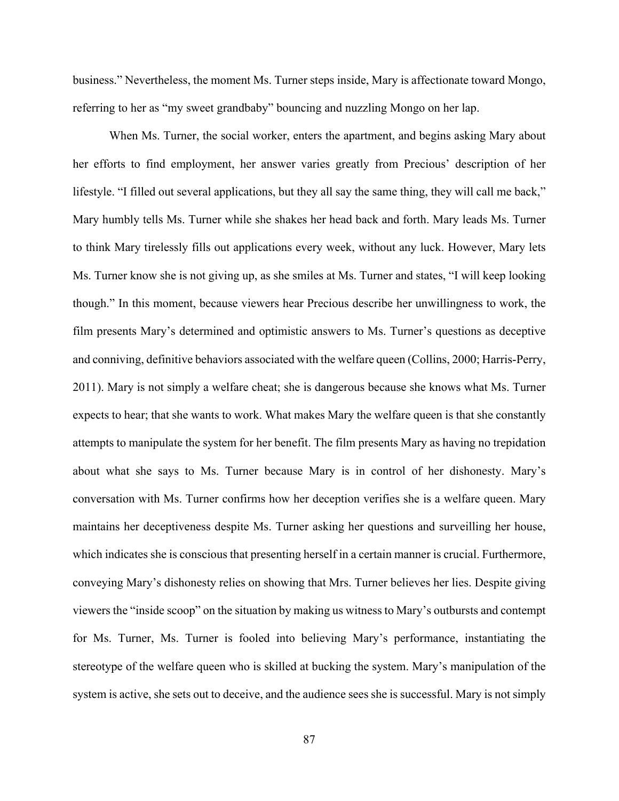business." Nevertheless, the moment Ms. Turner steps inside, Mary is affectionate toward Mongo, referring to her as "my sweet grandbaby" bouncing and nuzzling Mongo on her lap.

When Ms. Turner, the social worker, enters the apartment, and begins asking Mary about her efforts to find employment, her answer varies greatly from Precious' description of her lifestyle. "I filled out several applications, but they all say the same thing, they will call me back," Mary humbly tells Ms. Turner while she shakes her head back and forth. Mary leads Ms. Turner to think Mary tirelessly fills out applications every week, without any luck. However, Mary lets Ms. Turner know she is not giving up, as she smiles at Ms. Turner and states, "I will keep looking though." In this moment, because viewers hear Precious describe her unwillingness to work, the film presents Mary's determined and optimistic answers to Ms. Turner's questions as deceptive and conniving, definitive behaviors associated with the welfare queen (Collins, 2000; Harris-Perry, 2011). Mary is not simply a welfare cheat; she is dangerous because she knows what Ms. Turner expects to hear; that she wants to work. What makes Mary the welfare queen is that she constantly attempts to manipulate the system for her benefit. The film presents Mary as having no trepidation about what she says to Ms. Turner because Mary is in control of her dishonesty. Mary's conversation with Ms. Turner confirms how her deception verifies she is a welfare queen. Mary maintains her deceptiveness despite Ms. Turner asking her questions and surveilling her house, which indicates she is conscious that presenting herself in a certain manner is crucial. Furthermore, conveying Mary's dishonesty relies on showing that Mrs. Turner believes her lies. Despite giving viewers the "inside scoop" on the situation by making us witness to Mary's outbursts and contempt for Ms. Turner, Ms. Turner is fooled into believing Mary's performance, instantiating the stereotype of the welfare queen who is skilled at bucking the system. Mary's manipulation of the system is active, she sets out to deceive, and the audience sees she is successful. Mary is not simply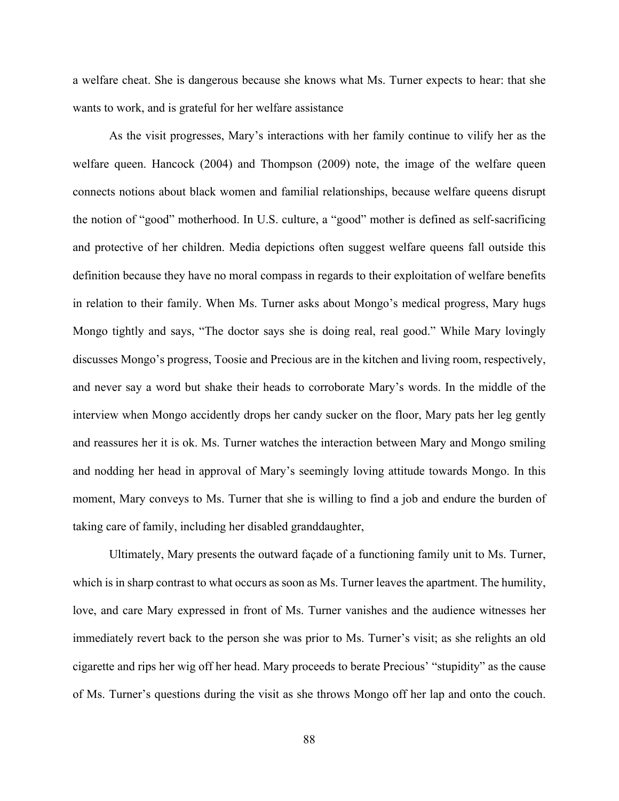a welfare cheat. She is dangerous because she knows what Ms. Turner expects to hear: that she wants to work, and is grateful for her welfare assistance

As the visit progresses, Mary's interactions with her family continue to vilify her as the welfare queen. Hancock (2004) and Thompson (2009) note, the image of the welfare queen connects notions about black women and familial relationships, because welfare queens disrupt the notion of "good" motherhood. In U.S. culture, a "good" mother is defined as self-sacrificing and protective of her children. Media depictions often suggest welfare queens fall outside this definition because they have no moral compass in regards to their exploitation of welfare benefits in relation to their family. When Ms. Turner asks about Mongo's medical progress, Mary hugs Mongo tightly and says, "The doctor says she is doing real, real good." While Mary lovingly discusses Mongo's progress, Toosie and Precious are in the kitchen and living room, respectively, and never say a word but shake their heads to corroborate Mary's words. In the middle of the interview when Mongo accidently drops her candy sucker on the floor, Mary pats her leg gently and reassures her it is ok. Ms. Turner watches the interaction between Mary and Mongo smiling and nodding her head in approval of Mary's seemingly loving attitude towards Mongo. In this moment, Mary conveys to Ms. Turner that she is willing to find a job and endure the burden of taking care of family, including her disabled granddaughter,

Ultimately, Mary presents the outward façade of a functioning family unit to Ms. Turner, which is in sharp contrast to what occurs as soon as Ms. Turner leaves the apartment. The humility, love, and care Mary expressed in front of Ms. Turner vanishes and the audience witnesses her immediately revert back to the person she was prior to Ms. Turner's visit; as she relights an old cigarette and rips her wig off her head. Mary proceeds to berate Precious' "stupidity" as the cause of Ms. Turner's questions during the visit as she throws Mongo off her lap and onto the couch.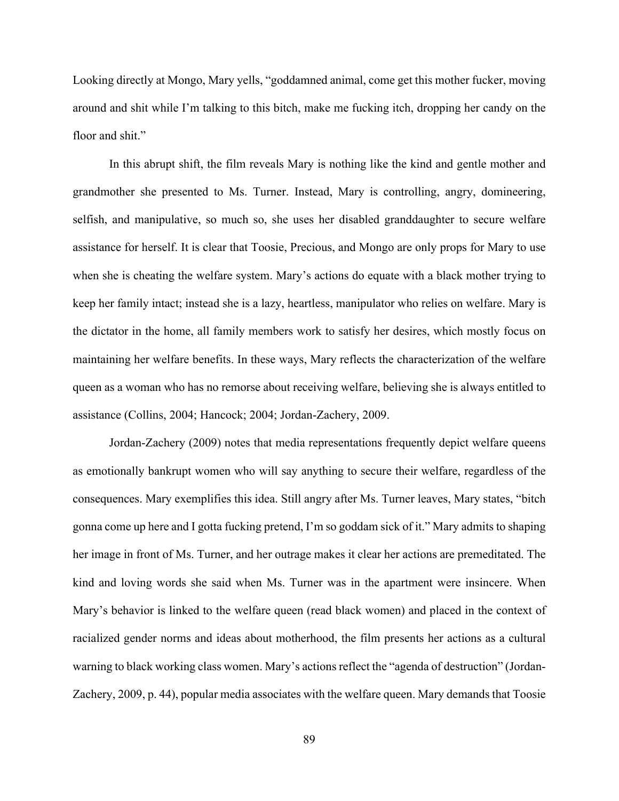Looking directly at Mongo, Mary yells, "goddamned animal, come get this mother fucker, moving around and shit while I'm talking to this bitch, make me fucking itch, dropping her candy on the floor and shit."

In this abrupt shift, the film reveals Mary is nothing like the kind and gentle mother and grandmother she presented to Ms. Turner. Instead, Mary is controlling, angry, domineering, selfish, and manipulative, so much so, she uses her disabled granddaughter to secure welfare assistance for herself. It is clear that Toosie, Precious, and Mongo are only props for Mary to use when she is cheating the welfare system. Mary's actions do equate with a black mother trying to keep her family intact; instead she is a lazy, heartless, manipulator who relies on welfare. Mary is the dictator in the home, all family members work to satisfy her desires, which mostly focus on maintaining her welfare benefits. In these ways, Mary reflects the characterization of the welfare queen as a woman who has no remorse about receiving welfare, believing she is always entitled to assistance (Collins, 2004; Hancock; 2004; Jordan-Zachery, 2009.

Jordan-Zachery (2009) notes that media representations frequently depict welfare queens as emotionally bankrupt women who will say anything to secure their welfare, regardless of the consequences. Mary exemplifies this idea. Still angry after Ms. Turner leaves, Mary states, "bitch gonna come up here and I gotta fucking pretend, I'm so goddam sick of it." Mary admits to shaping her image in front of Ms. Turner, and her outrage makes it clear her actions are premeditated. The kind and loving words she said when Ms. Turner was in the apartment were insincere. When Mary's behavior is linked to the welfare queen (read black women) and placed in the context of racialized gender norms and ideas about motherhood, the film presents her actions as a cultural warning to black working class women. Mary's actions reflect the "agenda of destruction" (Jordan-Zachery, 2009, p. 44), popular media associates with the welfare queen. Mary demands that Toosie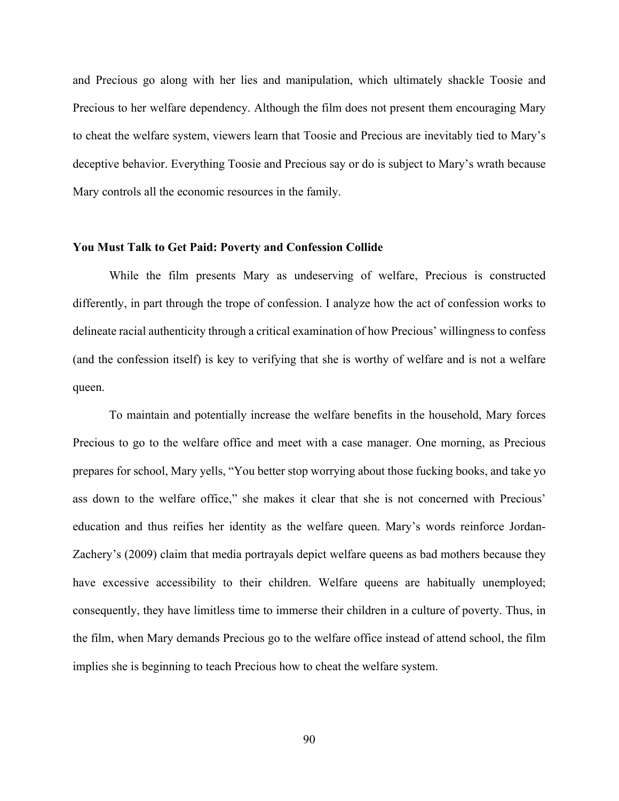and Precious go along with her lies and manipulation, which ultimately shackle Toosie and Precious to her welfare dependency. Although the film does not present them encouraging Mary to cheat the welfare system, viewers learn that Toosie and Precious are inevitably tied to Mary's deceptive behavior. Everything Toosie and Precious say or do is subject to Mary's wrath because Mary controls all the economic resources in the family.

# **You Must Talk to Get Paid: Poverty and Confession Collide**

While the film presents Mary as undeserving of welfare, Precious is constructed differently, in part through the trope of confession. I analyze how the act of confession works to delineate racial authenticity through a critical examination of how Precious' willingness to confess (and the confession itself) is key to verifying that she is worthy of welfare and is not a welfare queen.

To maintain and potentially increase the welfare benefits in the household, Mary forces Precious to go to the welfare office and meet with a case manager. One morning, as Precious prepares for school, Mary yells, "You better stop worrying about those fucking books, and take yo ass down to the welfare office," she makes it clear that she is not concerned with Precious' education and thus reifies her identity as the welfare queen. Mary's words reinforce Jordan-Zachery's (2009) claim that media portrayals depict welfare queens as bad mothers because they have excessive accessibility to their children. Welfare queens are habitually unemployed; consequently, they have limitless time to immerse their children in a culture of poverty. Thus, in the film, when Mary demands Precious go to the welfare office instead of attend school, the film implies she is beginning to teach Precious how to cheat the welfare system.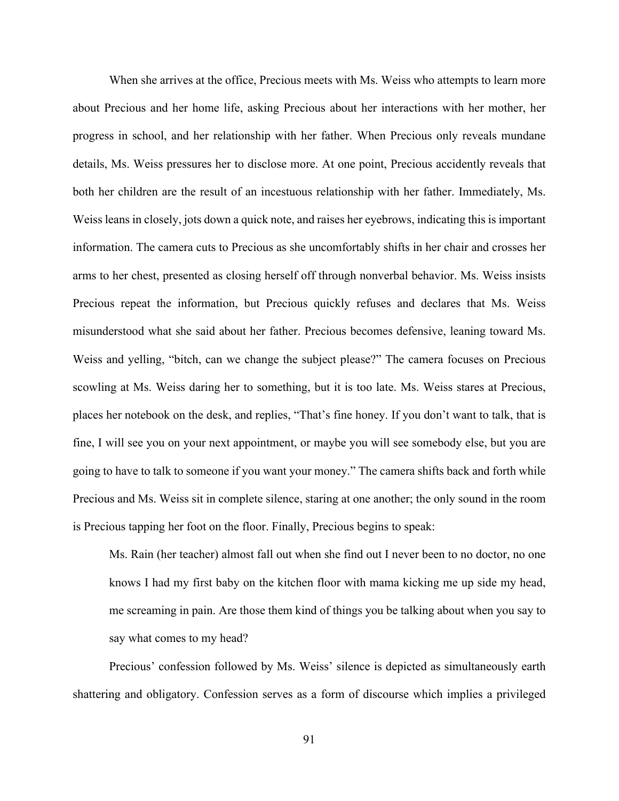When she arrives at the office, Precious meets with Ms. Weiss who attempts to learn more about Precious and her home life, asking Precious about her interactions with her mother, her progress in school, and her relationship with her father. When Precious only reveals mundane details, Ms. Weiss pressures her to disclose more. At one point, Precious accidently reveals that both her children are the result of an incestuous relationship with her father. Immediately, Ms. Weiss leans in closely, jots down a quick note, and raises her eyebrows, indicating this is important information. The camera cuts to Precious as she uncomfortably shifts in her chair and crosses her arms to her chest, presented as closing herself off through nonverbal behavior. Ms. Weiss insists Precious repeat the information, but Precious quickly refuses and declares that Ms. Weiss misunderstood what she said about her father. Precious becomes defensive, leaning toward Ms. Weiss and yelling, "bitch, can we change the subject please?" The camera focuses on Precious scowling at Ms. Weiss daring her to something, but it is too late. Ms. Weiss stares at Precious, places her notebook on the desk, and replies, "That's fine honey. If you don't want to talk, that is fine, I will see you on your next appointment, or maybe you will see somebody else, but you are going to have to talk to someone if you want your money." The camera shifts back and forth while Precious and Ms. Weiss sit in complete silence, staring at one another; the only sound in the room is Precious tapping her foot on the floor. Finally, Precious begins to speak:

Ms. Rain (her teacher) almost fall out when she find out I never been to no doctor, no one knows I had my first baby on the kitchen floor with mama kicking me up side my head, me screaming in pain. Are those them kind of things you be talking about when you say to say what comes to my head?

Precious' confession followed by Ms. Weiss' silence is depicted as simultaneously earth shattering and obligatory. Confession serves as a form of discourse which implies a privileged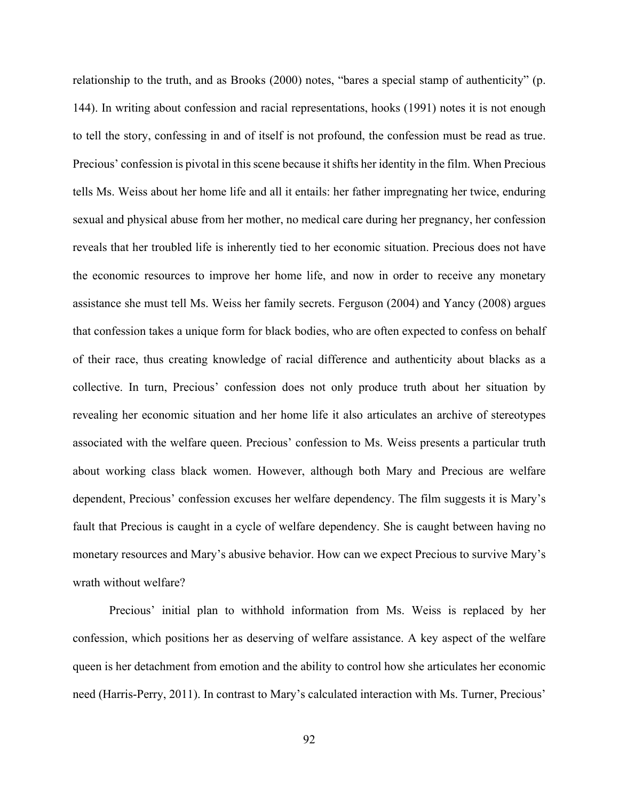relationship to the truth, and as Brooks (2000) notes, "bares a special stamp of authenticity" (p. 144). In writing about confession and racial representations, hooks (1991) notes it is not enough to tell the story, confessing in and of itself is not profound, the confession must be read as true. Precious' confession is pivotal in this scene because it shifts her identity in the film. When Precious tells Ms. Weiss about her home life and all it entails: her father impregnating her twice, enduring sexual and physical abuse from her mother, no medical care during her pregnancy, her confession reveals that her troubled life is inherently tied to her economic situation. Precious does not have the economic resources to improve her home life, and now in order to receive any monetary assistance she must tell Ms. Weiss her family secrets. Ferguson (2004) and Yancy (2008) argues that confession takes a unique form for black bodies, who are often expected to confess on behalf of their race, thus creating knowledge of racial difference and authenticity about blacks as a collective. In turn, Precious' confession does not only produce truth about her situation by revealing her economic situation and her home life it also articulates an archive of stereotypes associated with the welfare queen. Precious' confession to Ms. Weiss presents a particular truth about working class black women. However, although both Mary and Precious are welfare dependent, Precious' confession excuses her welfare dependency. The film suggests it is Mary's fault that Precious is caught in a cycle of welfare dependency. She is caught between having no monetary resources and Mary's abusive behavior. How can we expect Precious to survive Mary's wrath without welfare?

Precious' initial plan to withhold information from Ms. Weiss is replaced by her confession, which positions her as deserving of welfare assistance. A key aspect of the welfare queen is her detachment from emotion and the ability to control how she articulates her economic need (Harris-Perry, 2011). In contrast to Mary's calculated interaction with Ms. Turner, Precious'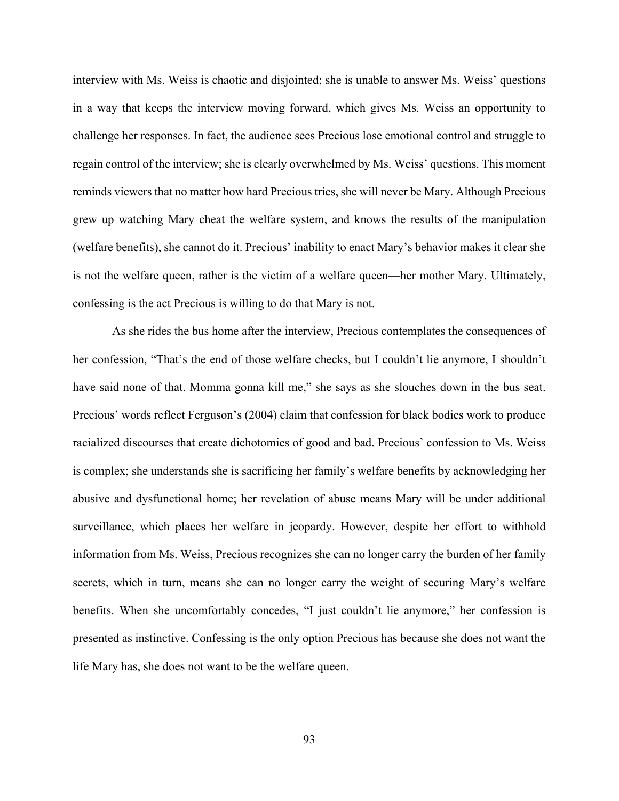interview with Ms. Weiss is chaotic and disjointed; she is unable to answer Ms. Weiss' questions in a way that keeps the interview moving forward, which gives Ms. Weiss an opportunity to challenge her responses. In fact, the audience sees Precious lose emotional control and struggle to regain control of the interview; she is clearly overwhelmed by Ms. Weiss' questions. This moment reminds viewers that no matter how hard Precious tries, she will never be Mary. Although Precious grew up watching Mary cheat the welfare system, and knows the results of the manipulation (welfare benefits), she cannot do it. Precious' inability to enact Mary's behavior makes it clear she is not the welfare queen, rather is the victim of a welfare queen—her mother Mary. Ultimately, confessing is the act Precious is willing to do that Mary is not.

As she rides the bus home after the interview, Precious contemplates the consequences of her confession, "That's the end of those welfare checks, but I couldn't lie anymore, I shouldn't have said none of that. Momma gonna kill me," she says as she slouches down in the bus seat. Precious' words reflect Ferguson's (2004) claim that confession for black bodies work to produce racialized discourses that create dichotomies of good and bad. Precious' confession to Ms. Weiss is complex; she understands she is sacrificing her family's welfare benefits by acknowledging her abusive and dysfunctional home; her revelation of abuse means Mary will be under additional surveillance, which places her welfare in jeopardy. However, despite her effort to withhold information from Ms. Weiss, Precious recognizes she can no longer carry the burden of her family secrets, which in turn, means she can no longer carry the weight of securing Mary's welfare benefits. When she uncomfortably concedes, "I just couldn't lie anymore," her confession is presented as instinctive. Confessing is the only option Precious has because she does not want the life Mary has, she does not want to be the welfare queen.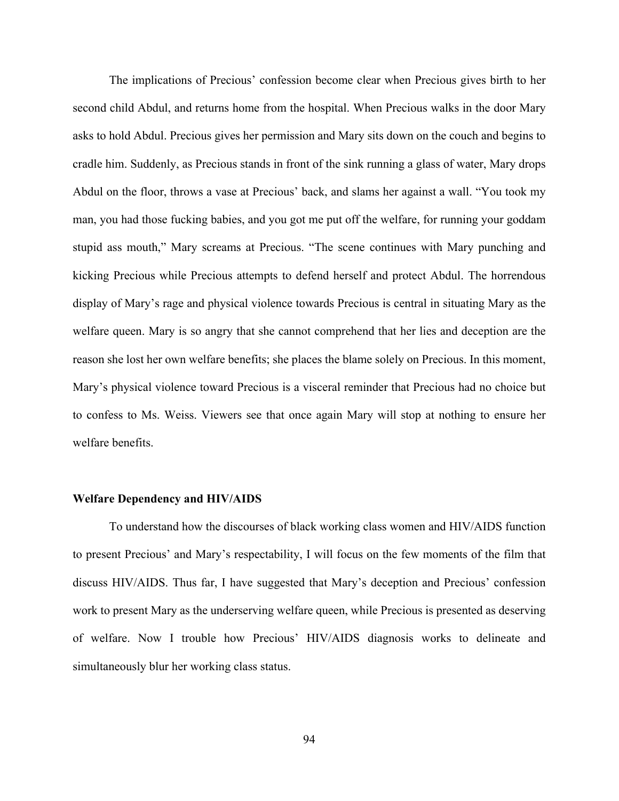The implications of Precious' confession become clear when Precious gives birth to her second child Abdul, and returns home from the hospital. When Precious walks in the door Mary asks to hold Abdul. Precious gives her permission and Mary sits down on the couch and begins to cradle him. Suddenly, as Precious stands in front of the sink running a glass of water, Mary drops Abdul on the floor, throws a vase at Precious' back, and slams her against a wall. "You took my man, you had those fucking babies, and you got me put off the welfare, for running your goddam stupid ass mouth," Mary screams at Precious. "The scene continues with Mary punching and kicking Precious while Precious attempts to defend herself and protect Abdul. The horrendous display of Mary's rage and physical violence towards Precious is central in situating Mary as the welfare queen. Mary is so angry that she cannot comprehend that her lies and deception are the reason she lost her own welfare benefits; she places the blame solely on Precious. In this moment, Mary's physical violence toward Precious is a visceral reminder that Precious had no choice but to confess to Ms. Weiss. Viewers see that once again Mary will stop at nothing to ensure her welfare benefits.

### **Welfare Dependency and HIV/AIDS**

To understand how the discourses of black working class women and HIV/AIDS function to present Precious' and Mary's respectability, I will focus on the few moments of the film that discuss HIV/AIDS. Thus far, I have suggested that Mary's deception and Precious' confession work to present Mary as the underserving welfare queen, while Precious is presented as deserving of welfare. Now I trouble how Precious' HIV/AIDS diagnosis works to delineate and simultaneously blur her working class status.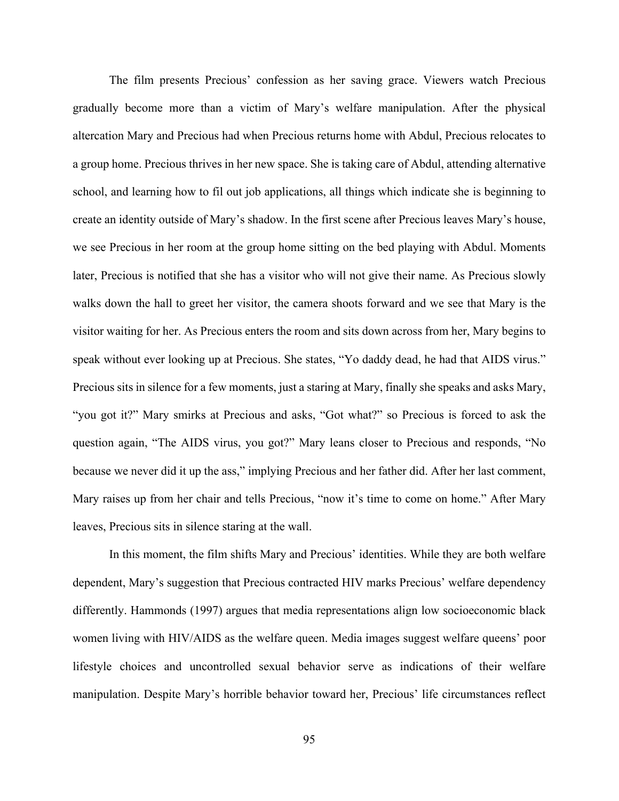The film presents Precious' confession as her saving grace. Viewers watch Precious gradually become more than a victim of Mary's welfare manipulation. After the physical altercation Mary and Precious had when Precious returns home with Abdul, Precious relocates to a group home. Precious thrives in her new space. She is taking care of Abdul, attending alternative school, and learning how to fil out job applications, all things which indicate she is beginning to create an identity outside of Mary's shadow. In the first scene after Precious leaves Mary's house, we see Precious in her room at the group home sitting on the bed playing with Abdul. Moments later, Precious is notified that she has a visitor who will not give their name. As Precious slowly walks down the hall to greet her visitor, the camera shoots forward and we see that Mary is the visitor waiting for her. As Precious enters the room and sits down across from her, Mary begins to speak without ever looking up at Precious. She states, "Yo daddy dead, he had that AIDS virus." Precious sits in silence for a few moments, just a staring at Mary, finally she speaks and asks Mary, "you got it?" Mary smirks at Precious and asks, "Got what?" so Precious is forced to ask the question again, "The AIDS virus, you got?" Mary leans closer to Precious and responds, "No because we never did it up the ass," implying Precious and her father did. After her last comment, Mary raises up from her chair and tells Precious, "now it's time to come on home." After Mary leaves, Precious sits in silence staring at the wall.

In this moment, the film shifts Mary and Precious' identities. While they are both welfare dependent, Mary's suggestion that Precious contracted HIV marks Precious' welfare dependency differently. Hammonds (1997) argues that media representations align low socioeconomic black women living with HIV/AIDS as the welfare queen. Media images suggest welfare queens' poor lifestyle choices and uncontrolled sexual behavior serve as indications of their welfare manipulation. Despite Mary's horrible behavior toward her, Precious' life circumstances reflect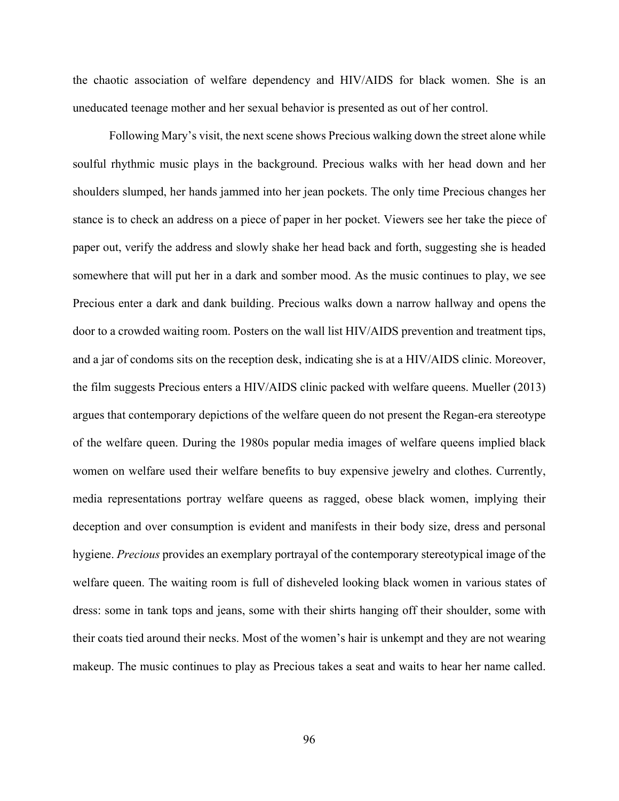the chaotic association of welfare dependency and HIV/AIDS for black women. She is an uneducated teenage mother and her sexual behavior is presented as out of her control.

Following Mary's visit, the next scene shows Precious walking down the street alone while soulful rhythmic music plays in the background. Precious walks with her head down and her shoulders slumped, her hands jammed into her jean pockets. The only time Precious changes her stance is to check an address on a piece of paper in her pocket. Viewers see her take the piece of paper out, verify the address and slowly shake her head back and forth, suggesting she is headed somewhere that will put her in a dark and somber mood. As the music continues to play, we see Precious enter a dark and dank building. Precious walks down a narrow hallway and opens the door to a crowded waiting room. Posters on the wall list HIV/AIDS prevention and treatment tips, and a jar of condoms sits on the reception desk, indicating she is at a HIV/AIDS clinic. Moreover, the film suggests Precious enters a HIV/AIDS clinic packed with welfare queens. Mueller (2013) argues that contemporary depictions of the welfare queen do not present the Regan-era stereotype of the welfare queen. During the 1980s popular media images of welfare queens implied black women on welfare used their welfare benefits to buy expensive jewelry and clothes. Currently, media representations portray welfare queens as ragged, obese black women, implying their deception and over consumption is evident and manifests in their body size, dress and personal hygiene. *Precious* provides an exemplary portrayal of the contemporary stereotypical image of the welfare queen. The waiting room is full of disheveled looking black women in various states of dress: some in tank tops and jeans, some with their shirts hanging off their shoulder, some with their coats tied around their necks. Most of the women's hair is unkempt and they are not wearing makeup. The music continues to play as Precious takes a seat and waits to hear her name called.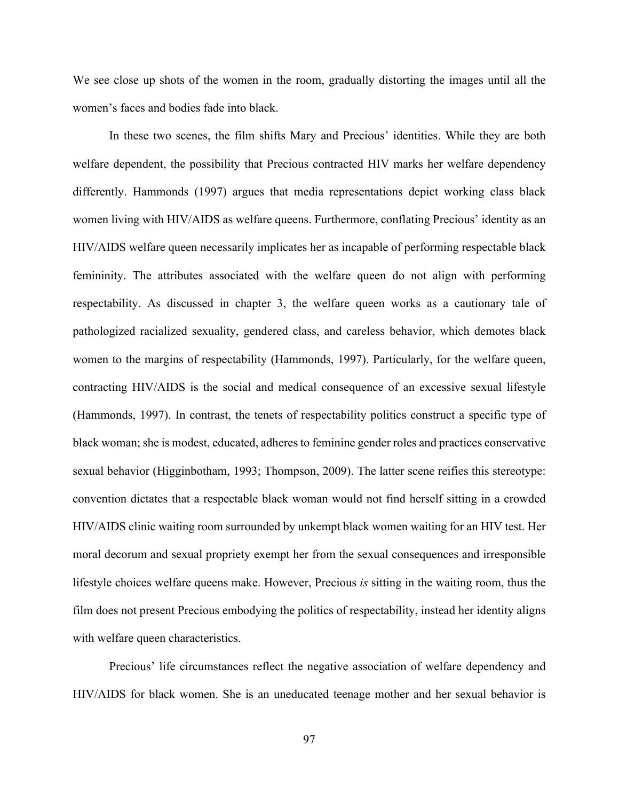We see close up shots of the women in the room, gradually distorting the images until all the women's faces and bodies fade into black.

In these two scenes, the film shifts Mary and Precious' identities. While they are both welfare dependent, the possibility that Precious contracted HIV marks her welfare dependency differently. Hammonds (1997) argues that media representations depict working class black women living with HIV/AIDS as welfare queens. Furthermore, conflating Precious' identity as an HIV/AIDS welfare queen necessarily implicates her as incapable of performing respectable black femininity. The attributes associated with the welfare queen do not align with performing respectability. As discussed in chapter 3, the welfare queen works as a cautionary tale of pathologized racialized sexuality, gendered class, and careless behavior, which demotes black women to the margins of respectability (Hammonds, 1997). Particularly, for the welfare queen, contracting HIV/AIDS is the social and medical consequence of an excessive sexual lifestyle (Hammonds, 1997). In contrast, the tenets of respectability politics construct a specific type of black woman; she is modest, educated, adheres to feminine gender roles and practices conservative sexual behavior (Higginbotham, 1993; Thompson, 2009). The latter scene reifies this stereotype: convention dictates that a respectable black woman would not find herself sitting in a crowded HIV/AIDS clinic waiting room surrounded by unkempt black women waiting for an HIV test. Her moral decorum and sexual propriety exempt her from the sexual consequences and irresponsible lifestyle choices welfare queens make. However, Precious *is* sitting in the waiting room, thus the film does not present Precious embodying the politics of respectability, instead her identity aligns with welfare queen characteristics.

Precious' life circumstances reflect the negative association of welfare dependency and HIV/AIDS for black women. She is an uneducated teenage mother and her sexual behavior is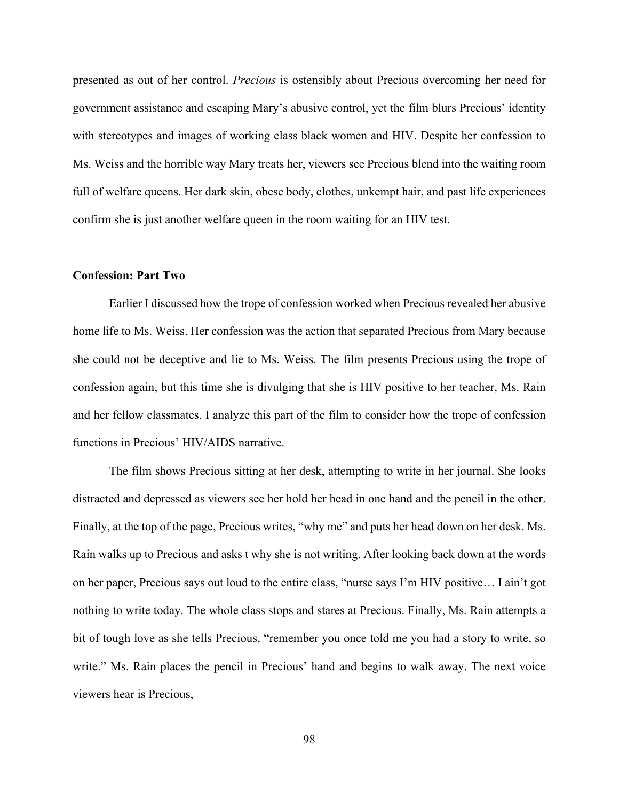presented as out of her control. *Precious* is ostensibly about Precious overcoming her need for government assistance and escaping Mary's abusive control, yet the film blurs Precious' identity with stereotypes and images of working class black women and HIV. Despite her confession to Ms. Weiss and the horrible way Mary treats her, viewers see Precious blend into the waiting room full of welfare queens. Her dark skin, obese body, clothes, unkempt hair, and past life experiences confirm she is just another welfare queen in the room waiting for an HIV test.

### **Confession: Part Two**

Earlier I discussed how the trope of confession worked when Precious revealed her abusive home life to Ms. Weiss. Her confession was the action that separated Precious from Mary because she could not be deceptive and lie to Ms. Weiss. The film presents Precious using the trope of confession again, but this time she is divulging that she is HIV positive to her teacher, Ms. Rain and her fellow classmates. I analyze this part of the film to consider how the trope of confession functions in Precious' HIV/AIDS narrative.

The film shows Precious sitting at her desk, attempting to write in her journal. She looks distracted and depressed as viewers see her hold her head in one hand and the pencil in the other. Finally, at the top of the page, Precious writes, "why me" and puts her head down on her desk. Ms. Rain walks up to Precious and asks t why she is not writing. After looking back down at the words on her paper, Precious says out loud to the entire class, "nurse says I'm HIV positive… I ain't got nothing to write today. The whole class stops and stares at Precious. Finally, Ms. Rain attempts a bit of tough love as she tells Precious, "remember you once told me you had a story to write, so write." Ms. Rain places the pencil in Precious' hand and begins to walk away. The next voice viewers hear is Precious,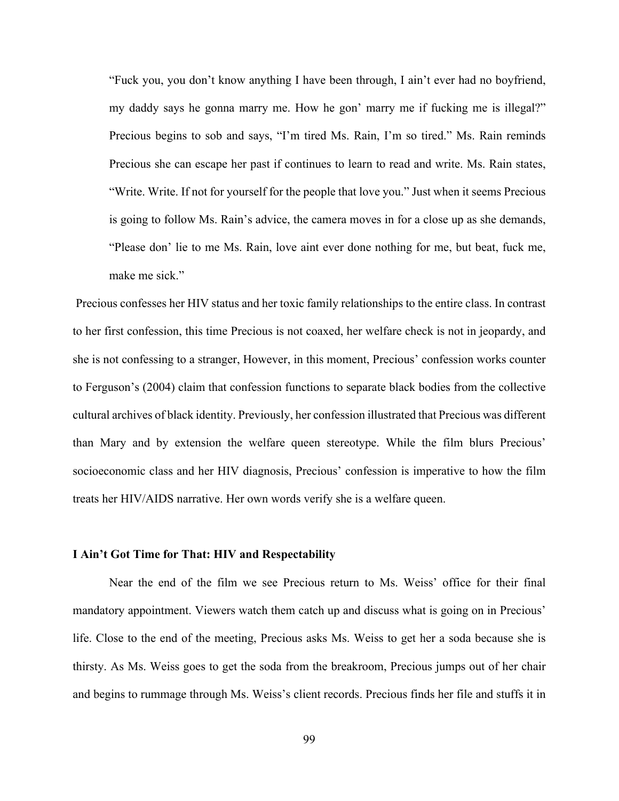"Fuck you, you don't know anything I have been through, I ain't ever had no boyfriend, my daddy says he gonna marry me. How he gon' marry me if fucking me is illegal?" Precious begins to sob and says, "I'm tired Ms. Rain, I'm so tired." Ms. Rain reminds Precious she can escape her past if continues to learn to read and write. Ms. Rain states, "Write. Write. If not for yourself for the people that love you." Just when it seems Precious is going to follow Ms. Rain's advice, the camera moves in for a close up as she demands, "Please don' lie to me Ms. Rain, love aint ever done nothing for me, but beat, fuck me, make me sick."

Precious confesses her HIV status and her toxic family relationships to the entire class. In contrast to her first confession, this time Precious is not coaxed, her welfare check is not in jeopardy, and she is not confessing to a stranger, However, in this moment, Precious' confession works counter to Ferguson's (2004) claim that confession functions to separate black bodies from the collective cultural archives of black identity. Previously, her confession illustrated that Precious was different than Mary and by extension the welfare queen stereotype. While the film blurs Precious' socioeconomic class and her HIV diagnosis, Precious' confession is imperative to how the film treats her HIV/AIDS narrative. Her own words verify she is a welfare queen.

#### **I Ain't Got Time for That: HIV and Respectability**

Near the end of the film we see Precious return to Ms. Weiss' office for their final mandatory appointment. Viewers watch them catch up and discuss what is going on in Precious' life. Close to the end of the meeting, Precious asks Ms. Weiss to get her a soda because she is thirsty. As Ms. Weiss goes to get the soda from the breakroom, Precious jumps out of her chair and begins to rummage through Ms. Weiss's client records. Precious finds her file and stuffs it in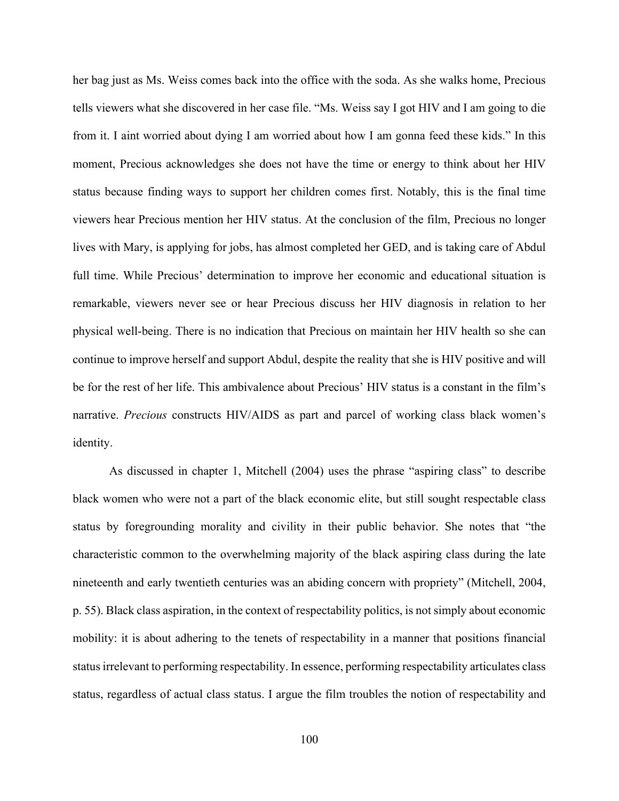her bag just as Ms. Weiss comes back into the office with the soda. As she walks home, Precious tells viewers what she discovered in her case file. "Ms. Weiss say I got HIV and I am going to die from it. I aint worried about dying I am worried about how I am gonna feed these kids." In this moment, Precious acknowledges she does not have the time or energy to think about her HIV status because finding ways to support her children comes first. Notably, this is the final time viewers hear Precious mention her HIV status. At the conclusion of the film, Precious no longer lives with Mary, is applying for jobs, has almost completed her GED, and is taking care of Abdul full time. While Precious' determination to improve her economic and educational situation is remarkable, viewers never see or hear Precious discuss her HIV diagnosis in relation to her physical well-being. There is no indication that Precious on maintain her HIV health so she can continue to improve herself and support Abdul, despite the reality that she is HIV positive and will be for the rest of her life. This ambivalence about Precious' HIV status is a constant in the film's narrative. *Precious* constructs HIV/AIDS as part and parcel of working class black women's identity.

As discussed in chapter 1, Mitchell (2004) uses the phrase "aspiring class" to describe black women who were not a part of the black economic elite, but still sought respectable class status by foregrounding morality and civility in their public behavior. She notes that "the characteristic common to the overwhelming majority of the black aspiring class during the late nineteenth and early twentieth centuries was an abiding concern with propriety" (Mitchell, 2004, p. 55). Black class aspiration, in the context of respectability politics, is not simply about economic mobility: it is about adhering to the tenets of respectability in a manner that positions financial status irrelevant to performing respectability. In essence, performing respectability articulates class status, regardless of actual class status. I argue the film troubles the notion of respectability and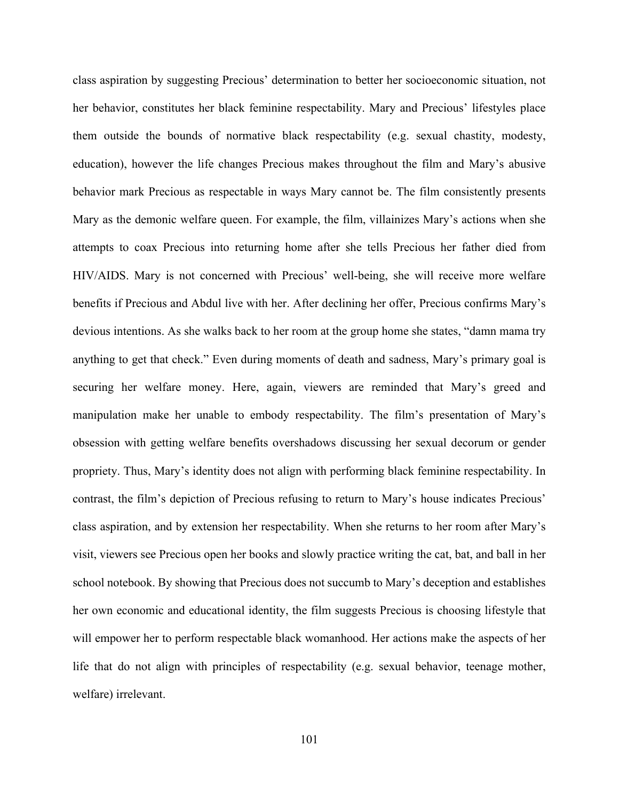class aspiration by suggesting Precious' determination to better her socioeconomic situation, not her behavior, constitutes her black feminine respectability. Mary and Precious' lifestyles place them outside the bounds of normative black respectability (e.g. sexual chastity, modesty, education), however the life changes Precious makes throughout the film and Mary's abusive behavior mark Precious as respectable in ways Mary cannot be. The film consistently presents Mary as the demonic welfare queen. For example, the film, villainizes Mary's actions when she attempts to coax Precious into returning home after she tells Precious her father died from HIV/AIDS. Mary is not concerned with Precious' well-being, she will receive more welfare benefits if Precious and Abdul live with her. After declining her offer, Precious confirms Mary's devious intentions. As she walks back to her room at the group home she states, "damn mama try anything to get that check." Even during moments of death and sadness, Mary's primary goal is securing her welfare money. Here, again, viewers are reminded that Mary's greed and manipulation make her unable to embody respectability. The film's presentation of Mary's obsession with getting welfare benefits overshadows discussing her sexual decorum or gender propriety. Thus, Mary's identity does not align with performing black feminine respectability. In contrast, the film's depiction of Precious refusing to return to Mary's house indicates Precious' class aspiration, and by extension her respectability. When she returns to her room after Mary's visit, viewers see Precious open her books and slowly practice writing the cat, bat, and ball in her school notebook. By showing that Precious does not succumb to Mary's deception and establishes her own economic and educational identity, the film suggests Precious is choosing lifestyle that will empower her to perform respectable black womanhood. Her actions make the aspects of her life that do not align with principles of respectability (e.g. sexual behavior, teenage mother, welfare) irrelevant.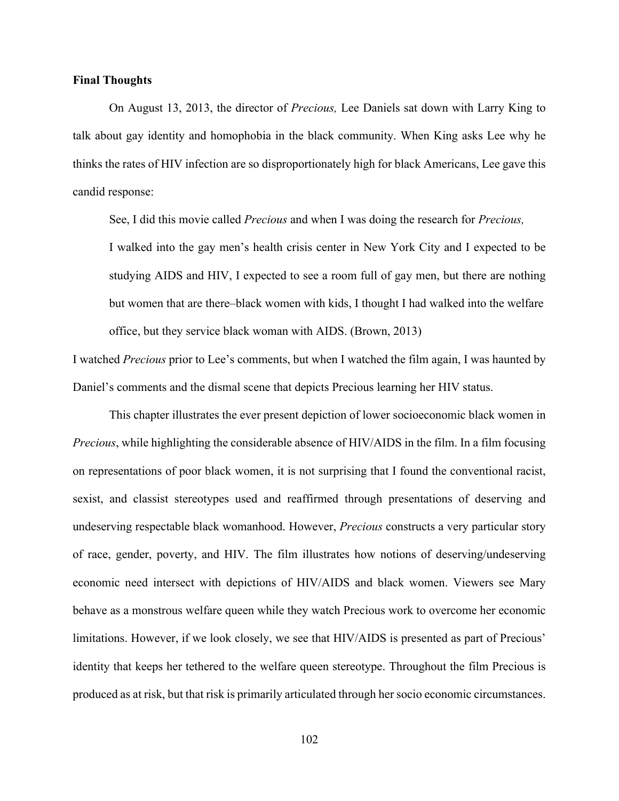#### **Final Thoughts**

On August 13, 2013, the director of *Precious,* Lee Daniels sat down with Larry King to talk about gay identity and homophobia in the black community. When King asks Lee why he thinks the rates of HIV infection are so disproportionately high for black Americans, Lee gave this candid response:

See, I did this movie called *Precious* and when I was doing the research for *Precious,*

I walked into the gay men's health crisis center in New York City and I expected to be studying AIDS and HIV, I expected to see a room full of gay men, but there are nothing but women that are there–black women with kids, I thought I had walked into the welfare office, but they service black woman with AIDS. (Brown, 2013)

I watched *Precious* prior to Lee's comments, but when I watched the film again, I was haunted by Daniel's comments and the dismal scene that depicts Precious learning her HIV status.

This chapter illustrates the ever present depiction of lower socioeconomic black women in *Precious*, while highlighting the considerable absence of HIV/AIDS in the film. In a film focusing on representations of poor black women, it is not surprising that I found the conventional racist, sexist, and classist stereotypes used and reaffirmed through presentations of deserving and undeserving respectable black womanhood. However, *Precious* constructs a very particular story of race, gender, poverty, and HIV. The film illustrates how notions of deserving/undeserving economic need intersect with depictions of HIV/AIDS and black women. Viewers see Mary behave as a monstrous welfare queen while they watch Precious work to overcome her economic limitations. However, if we look closely, we see that HIV/AIDS is presented as part of Precious' identity that keeps her tethered to the welfare queen stereotype. Throughout the film Precious is produced as at risk, but that risk is primarily articulated through her socio economic circumstances.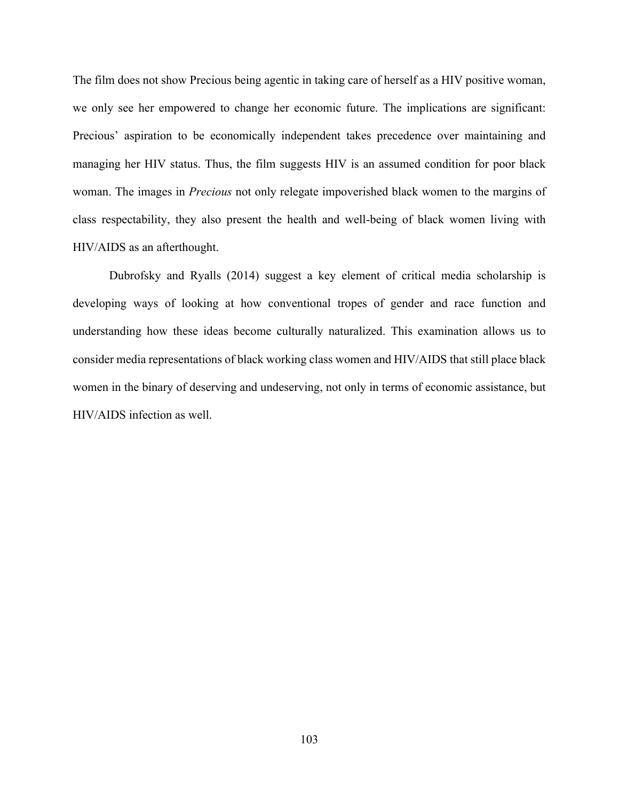The film does not show Precious being agentic in taking care of herself as a HIV positive woman, we only see her empowered to change her economic future. The implications are significant: Precious' aspiration to be economically independent takes precedence over maintaining and managing her HIV status. Thus, the film suggests HIV is an assumed condition for poor black woman. The images in *Precious* not only relegate impoverished black women to the margins of class respectability, they also present the health and well-being of black women living with HIV/AIDS as an afterthought.

Dubrofsky and Ryalls (2014) suggest a key element of critical media scholarship is developing ways of looking at how conventional tropes of gender and race function and understanding how these ideas become culturally naturalized. This examination allows us to consider media representations of black working class women and HIV/AIDS that still place black women in the binary of deserving and undeserving, not only in terms of economic assistance, but HIV/AIDS infection as well.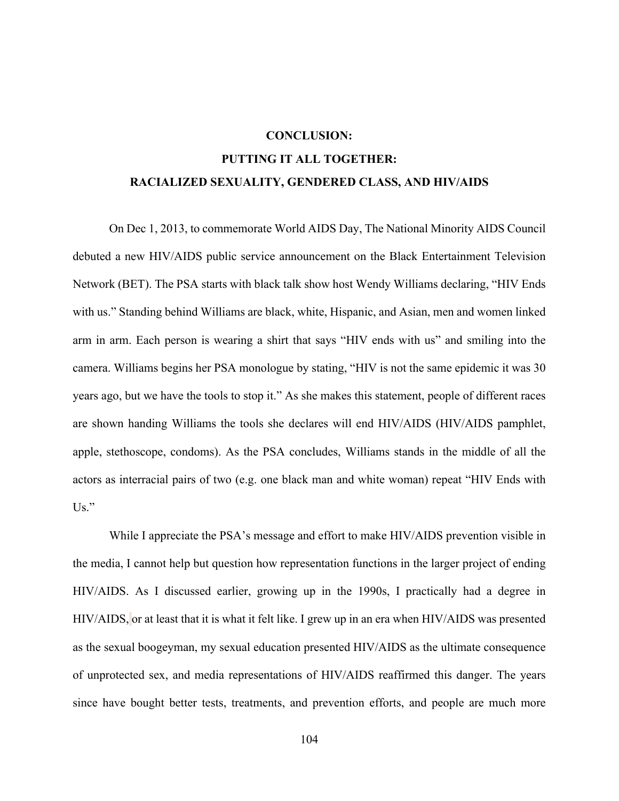### **CONCLUSION:**

# **PUTTING IT ALL TOGETHER: RACIALIZED SEXUALITY, GENDERED CLASS, AND HIV/AIDS**

On Dec 1, 2013, to commemorate World AIDS Day, The National Minority AIDS Council debuted a new HIV/AIDS public service announcement on the Black Entertainment Television Network (BET). The PSA starts with black talk show host Wendy Williams declaring, "HIV Ends with us." Standing behind Williams are black, white, Hispanic, and Asian, men and women linked arm in arm. Each person is wearing a shirt that says "HIV ends with us" and smiling into the camera. Williams begins her PSA monologue by stating, "HIV is not the same epidemic it was 30 years ago, but we have the tools to stop it." As she makes this statement, people of different races are shown handing Williams the tools she declares will end HIV/AIDS (HIV/AIDS pamphlet, apple, stethoscope, condoms). As the PSA concludes, Williams stands in the middle of all the actors as interracial pairs of two (e.g. one black man and white woman) repeat "HIV Ends with  $Us.$ "

While I appreciate the PSA's message and effort to make HIV/AIDS prevention visible in the media, I cannot help but question how representation functions in the larger project of ending HIV/AIDS. As I discussed earlier, growing up in the 1990s, I practically had a degree in HIV/AIDS, or at least that it is what it felt like. I grew up in an era when HIV/AIDS was presented as the sexual boogeyman, my sexual education presented HIV/AIDS as the ultimate consequence of unprotected sex, and media representations of HIV/AIDS reaffirmed this danger. The years since have bought better tests, treatments, and prevention efforts, and people are much more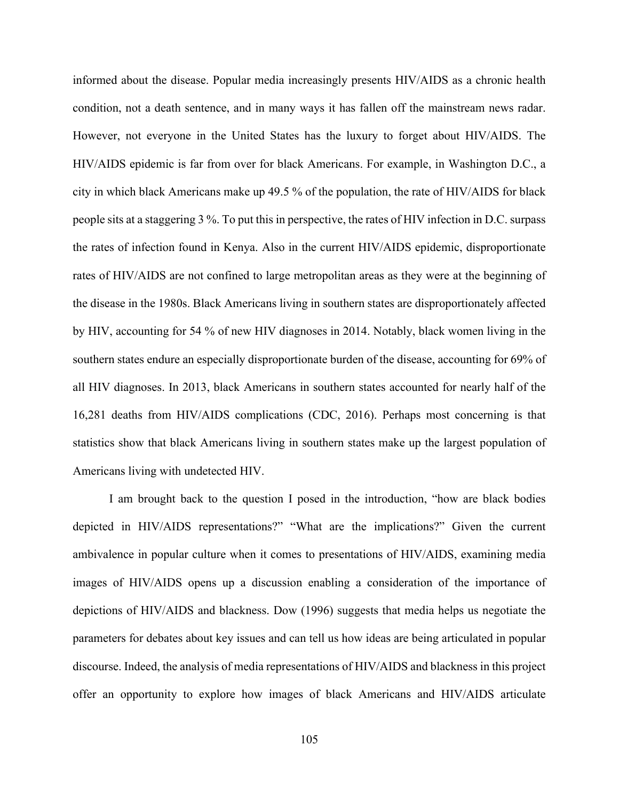informed about the disease. Popular media increasingly presents HIV/AIDS as a chronic health condition, not a death sentence, and in many ways it has fallen off the mainstream news radar. However, not everyone in the United States has the luxury to forget about HIV/AIDS. The HIV/AIDS epidemic is far from over for black Americans. For example, in Washington D.C., a city in which black Americans make up 49.5 % of the population, the rate of HIV/AIDS for black people sits at a staggering 3 %. To put this in perspective, the rates of HIV infection in D.C. surpass the rates of infection found in Kenya. Also in the current HIV/AIDS epidemic, disproportionate rates of HIV/AIDS are not confined to large metropolitan areas as they were at the beginning of the disease in the 1980s. Black Americans living in southern states are disproportionately affected by HIV, accounting for 54 % of new HIV diagnoses in 2014. Notably, black women living in the southern states endure an especially disproportionate burden of the disease, accounting for 69% of all HIV diagnoses. In 2013, black Americans in southern states accounted for nearly half of the 16,281 deaths from HIV/AIDS complications (CDC, 2016). Perhaps most concerning is that statistics show that black Americans living in southern states make up the largest population of Americans living with undetected HIV.

I am brought back to the question I posed in the introduction, "how are black bodies depicted in HIV/AIDS representations?" "What are the implications?" Given the current ambivalence in popular culture when it comes to presentations of HIV/AIDS, examining media images of HIV/AIDS opens up a discussion enabling a consideration of the importance of depictions of HIV/AIDS and blackness. Dow (1996) suggests that media helps us negotiate the parameters for debates about key issues and can tell us how ideas are being articulated in popular discourse. Indeed, the analysis of media representations of HIV/AIDS and blackness in this project offer an opportunity to explore how images of black Americans and HIV/AIDS articulate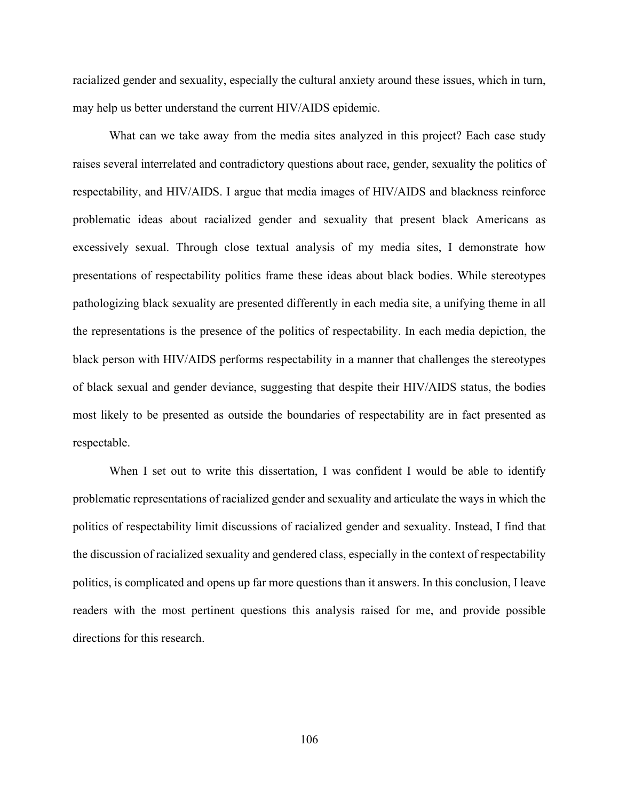racialized gender and sexuality, especially the cultural anxiety around these issues, which in turn, may help us better understand the current HIV/AIDS epidemic.

What can we take away from the media sites analyzed in this project? Each case study raises several interrelated and contradictory questions about race, gender, sexuality the politics of respectability, and HIV/AIDS. I argue that media images of HIV/AIDS and blackness reinforce problematic ideas about racialized gender and sexuality that present black Americans as excessively sexual. Through close textual analysis of my media sites, I demonstrate how presentations of respectability politics frame these ideas about black bodies. While stereotypes pathologizing black sexuality are presented differently in each media site, a unifying theme in all the representations is the presence of the politics of respectability. In each media depiction, the black person with HIV/AIDS performs respectability in a manner that challenges the stereotypes of black sexual and gender deviance, suggesting that despite their HIV/AIDS status, the bodies most likely to be presented as outside the boundaries of respectability are in fact presented as respectable.

When I set out to write this dissertation, I was confident I would be able to identify problematic representations of racialized gender and sexuality and articulate the ways in which the politics of respectability limit discussions of racialized gender and sexuality. Instead, I find that the discussion of racialized sexuality and gendered class, especially in the context of respectability politics, is complicated and opens up far more questions than it answers. In this conclusion, I leave readers with the most pertinent questions this analysis raised for me, and provide possible directions for this research.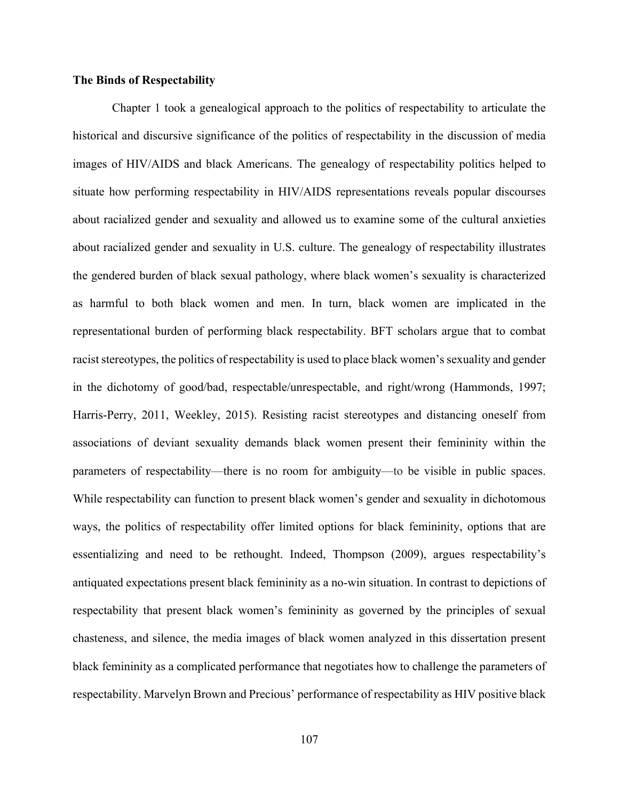### **The Binds of Respectability**

Chapter 1 took a genealogical approach to the politics of respectability to articulate the historical and discursive significance of the politics of respectability in the discussion of media images of HIV/AIDS and black Americans. The genealogy of respectability politics helped to situate how performing respectability in HIV/AIDS representations reveals popular discourses about racialized gender and sexuality and allowed us to examine some of the cultural anxieties about racialized gender and sexuality in U.S. culture. The genealogy of respectability illustrates the gendered burden of black sexual pathology, where black women's sexuality is characterized as harmful to both black women and men. In turn, black women are implicated in the representational burden of performing black respectability. BFT scholars argue that to combat racist stereotypes, the politics of respectability is used to place black women's sexuality and gender in the dichotomy of good/bad, respectable/unrespectable, and right/wrong (Hammonds, 1997; Harris-Perry, 2011, Weekley, 2015). Resisting racist stereotypes and distancing oneself from associations of deviant sexuality demands black women present their femininity within the parameters of respectability—there is no room for ambiguity—to be visible in public spaces. While respectability can function to present black women's gender and sexuality in dichotomous ways, the politics of respectability offer limited options for black femininity, options that are essentializing and need to be rethought. Indeed, Thompson (2009), argues respectability's antiquated expectations present black femininity as a no-win situation. In contrast to depictions of respectability that present black women's femininity as governed by the principles of sexual chasteness, and silence, the media images of black women analyzed in this dissertation present black femininity as a complicated performance that negotiates how to challenge the parameters of respectability. Marvelyn Brown and Precious' performance of respectability as HIV positive black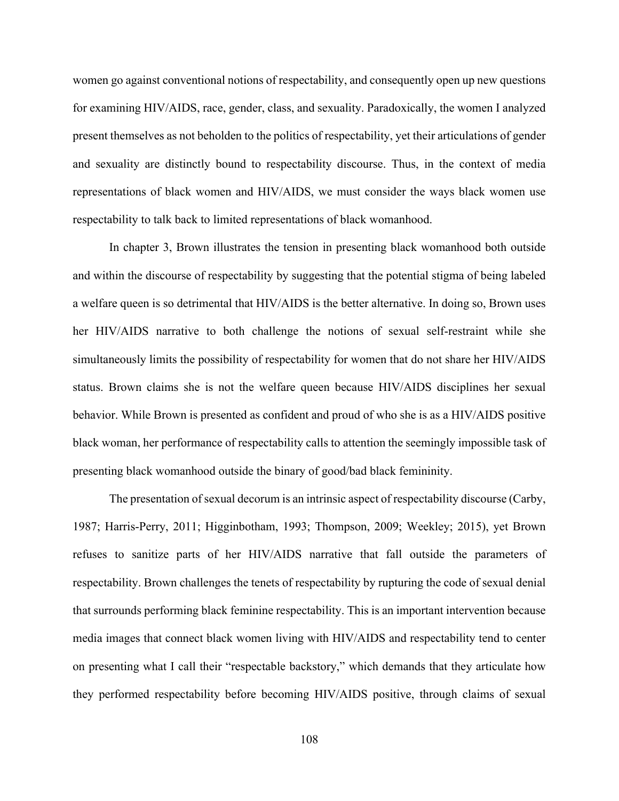women go against conventional notions of respectability, and consequently open up new questions for examining HIV/AIDS, race, gender, class, and sexuality. Paradoxically, the women I analyzed present themselves as not beholden to the politics of respectability, yet their articulations of gender and sexuality are distinctly bound to respectability discourse. Thus, in the context of media representations of black women and HIV/AIDS, we must consider the ways black women use respectability to talk back to limited representations of black womanhood.

In chapter 3, Brown illustrates the tension in presenting black womanhood both outside and within the discourse of respectability by suggesting that the potential stigma of being labeled a welfare queen is so detrimental that HIV/AIDS is the better alternative. In doing so, Brown uses her HIV/AIDS narrative to both challenge the notions of sexual self-restraint while she simultaneously limits the possibility of respectability for women that do not share her HIV/AIDS status. Brown claims she is not the welfare queen because HIV/AIDS disciplines her sexual behavior. While Brown is presented as confident and proud of who she is as a HIV/AIDS positive black woman, her performance of respectability calls to attention the seemingly impossible task of presenting black womanhood outside the binary of good/bad black femininity.

The presentation of sexual decorum is an intrinsic aspect of respectability discourse (Carby, 1987; Harris-Perry, 2011; Higginbotham, 1993; Thompson, 2009; Weekley; 2015), yet Brown refuses to sanitize parts of her HIV/AIDS narrative that fall outside the parameters of respectability. Brown challenges the tenets of respectability by rupturing the code of sexual denial that surrounds performing black feminine respectability. This is an important intervention because media images that connect black women living with HIV/AIDS and respectability tend to center on presenting what I call their "respectable backstory," which demands that they articulate how they performed respectability before becoming HIV/AIDS positive, through claims of sexual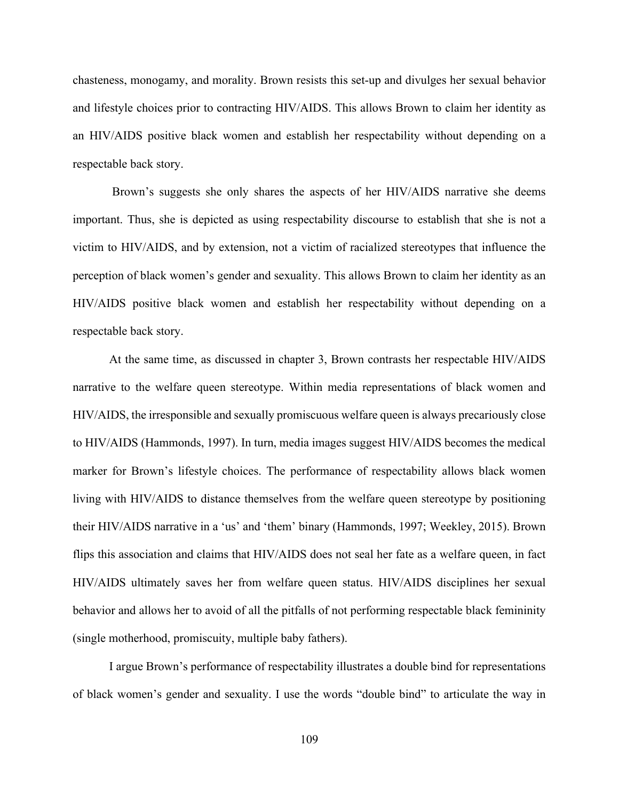chasteness, monogamy, and morality. Brown resists this set-up and divulges her sexual behavior and lifestyle choices prior to contracting HIV/AIDS. This allows Brown to claim her identity as an HIV/AIDS positive black women and establish her respectability without depending on a respectable back story.

Brown's suggests she only shares the aspects of her HIV/AIDS narrative she deems important. Thus, she is depicted as using respectability discourse to establish that she is not a victim to HIV/AIDS, and by extension, not a victim of racialized stereotypes that influence the perception of black women's gender and sexuality. This allows Brown to claim her identity as an HIV/AIDS positive black women and establish her respectability without depending on a respectable back story.

At the same time, as discussed in chapter 3, Brown contrasts her respectable HIV/AIDS narrative to the welfare queen stereotype. Within media representations of black women and HIV/AIDS, the irresponsible and sexually promiscuous welfare queen is always precariously close to HIV/AIDS (Hammonds, 1997). In turn, media images suggest HIV/AIDS becomes the medical marker for Brown's lifestyle choices. The performance of respectability allows black women living with HIV/AIDS to distance themselves from the welfare queen stereotype by positioning their HIV/AIDS narrative in a 'us' and 'them' binary (Hammonds, 1997; Weekley, 2015). Brown flips this association and claims that HIV/AIDS does not seal her fate as a welfare queen, in fact HIV/AIDS ultimately saves her from welfare queen status. HIV/AIDS disciplines her sexual behavior and allows her to avoid of all the pitfalls of not performing respectable black femininity (single motherhood, promiscuity, multiple baby fathers).

I argue Brown's performance of respectability illustrates a double bind for representations of black women's gender and sexuality. I use the words "double bind" to articulate the way in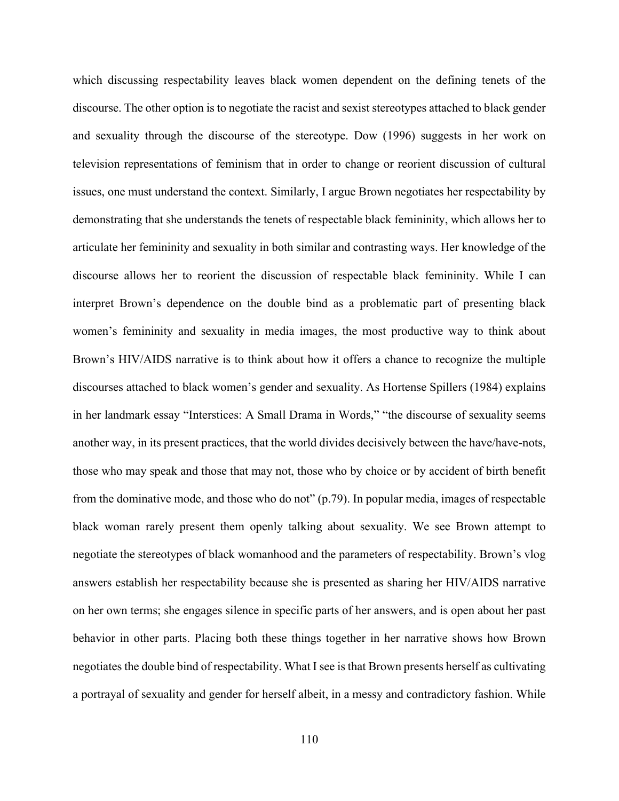which discussing respectability leaves black women dependent on the defining tenets of the discourse. The other option is to negotiate the racist and sexist stereotypes attached to black gender and sexuality through the discourse of the stereotype. Dow (1996) suggests in her work on television representations of feminism that in order to change or reorient discussion of cultural issues, one must understand the context. Similarly, I argue Brown negotiates her respectability by demonstrating that she understands the tenets of respectable black femininity, which allows her to articulate her femininity and sexuality in both similar and contrasting ways. Her knowledge of the discourse allows her to reorient the discussion of respectable black femininity. While I can interpret Brown's dependence on the double bind as a problematic part of presenting black women's femininity and sexuality in media images, the most productive way to think about Brown's HIV/AIDS narrative is to think about how it offers a chance to recognize the multiple discourses attached to black women's gender and sexuality. As Hortense Spillers (1984) explains in her landmark essay "Interstices: A Small Drama in Words," "the discourse of sexuality seems another way, in its present practices, that the world divides decisively between the have/have-nots, those who may speak and those that may not, those who by choice or by accident of birth benefit from the dominative mode, and those who do not" (p.79). In popular media, images of respectable black woman rarely present them openly talking about sexuality. We see Brown attempt to negotiate the stereotypes of black womanhood and the parameters of respectability. Brown's vlog answers establish her respectability because she is presented as sharing her HIV/AIDS narrative on her own terms; she engages silence in specific parts of her answers, and is open about her past behavior in other parts. Placing both these things together in her narrative shows how Brown negotiates the double bind of respectability. What I see is that Brown presents herself as cultivating a portrayal of sexuality and gender for herself albeit, in a messy and contradictory fashion. While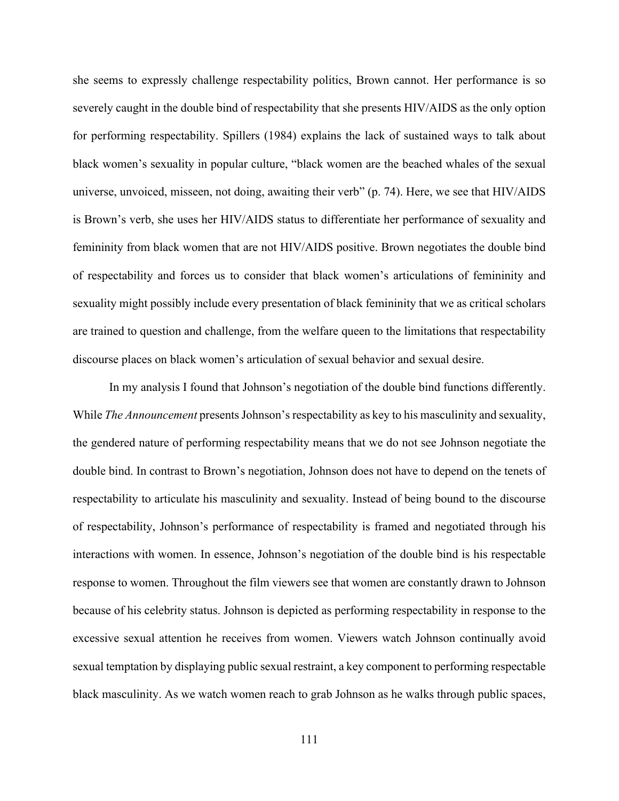she seems to expressly challenge respectability politics, Brown cannot. Her performance is so severely caught in the double bind of respectability that she presents HIV/AIDS as the only option for performing respectability. Spillers (1984) explains the lack of sustained ways to talk about black women's sexuality in popular culture, "black women are the beached whales of the sexual universe, unvoiced, misseen, not doing, awaiting their verb" (p. 74). Here, we see that HIV/AIDS is Brown's verb, she uses her HIV/AIDS status to differentiate her performance of sexuality and femininity from black women that are not HIV/AIDS positive. Brown negotiates the double bind of respectability and forces us to consider that black women's articulations of femininity and sexuality might possibly include every presentation of black femininity that we as critical scholars are trained to question and challenge, from the welfare queen to the limitations that respectability discourse places on black women's articulation of sexual behavior and sexual desire.

In my analysis I found that Johnson's negotiation of the double bind functions differently. While *The Announcement* presents Johnson's respectability as key to his masculinity and sexuality, the gendered nature of performing respectability means that we do not see Johnson negotiate the double bind. In contrast to Brown's negotiation, Johnson does not have to depend on the tenets of respectability to articulate his masculinity and sexuality. Instead of being bound to the discourse of respectability, Johnson's performance of respectability is framed and negotiated through his interactions with women. In essence, Johnson's negotiation of the double bind is his respectable response to women. Throughout the film viewers see that women are constantly drawn to Johnson because of his celebrity status. Johnson is depicted as performing respectability in response to the excessive sexual attention he receives from women. Viewers watch Johnson continually avoid sexual temptation by displaying public sexual restraint, a key component to performing respectable black masculinity. As we watch women reach to grab Johnson as he walks through public spaces,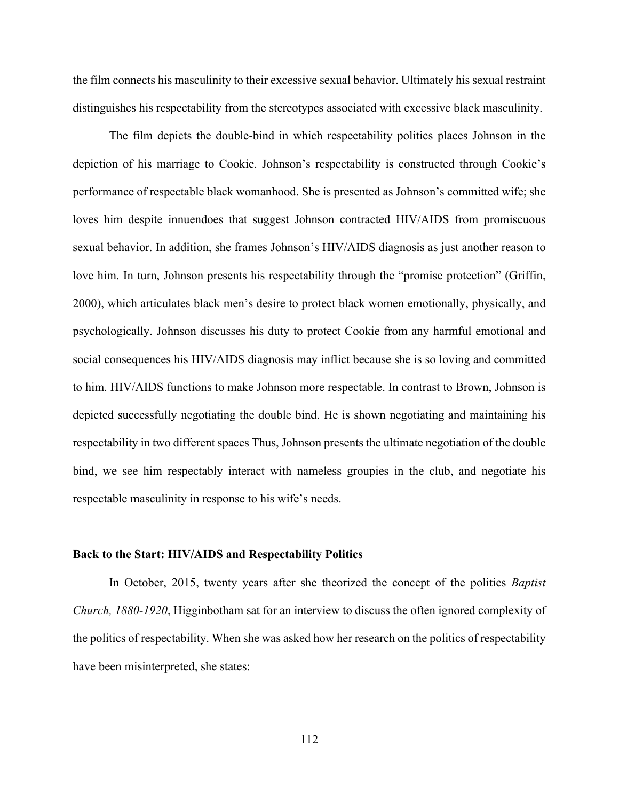the film connects his masculinity to their excessive sexual behavior. Ultimately his sexual restraint distinguishes his respectability from the stereotypes associated with excessive black masculinity.

The film depicts the double-bind in which respectability politics places Johnson in the depiction of his marriage to Cookie. Johnson's respectability is constructed through Cookie's performance of respectable black womanhood. She is presented as Johnson's committed wife; she loves him despite innuendoes that suggest Johnson contracted HIV/AIDS from promiscuous sexual behavior. In addition, she frames Johnson's HIV/AIDS diagnosis as just another reason to love him. In turn, Johnson presents his respectability through the "promise protection" (Griffin, 2000), which articulates black men's desire to protect black women emotionally, physically, and psychologically. Johnson discusses his duty to protect Cookie from any harmful emotional and social consequences his HIV/AIDS diagnosis may inflict because she is so loving and committed to him. HIV/AIDS functions to make Johnson more respectable. In contrast to Brown, Johnson is depicted successfully negotiating the double bind. He is shown negotiating and maintaining his respectability in two different spaces Thus, Johnson presents the ultimate negotiation of the double bind, we see him respectably interact with nameless groupies in the club, and negotiate his respectable masculinity in response to his wife's needs.

#### **Back to the Start: HIV/AIDS and Respectability Politics**

In October, 2015, twenty years after she theorized the concept of the politics *Baptist Church, 1880-1920*, Higginbotham sat for an interview to discuss the often ignored complexity of the politics of respectability. When she was asked how her research on the politics of respectability have been misinterpreted, she states: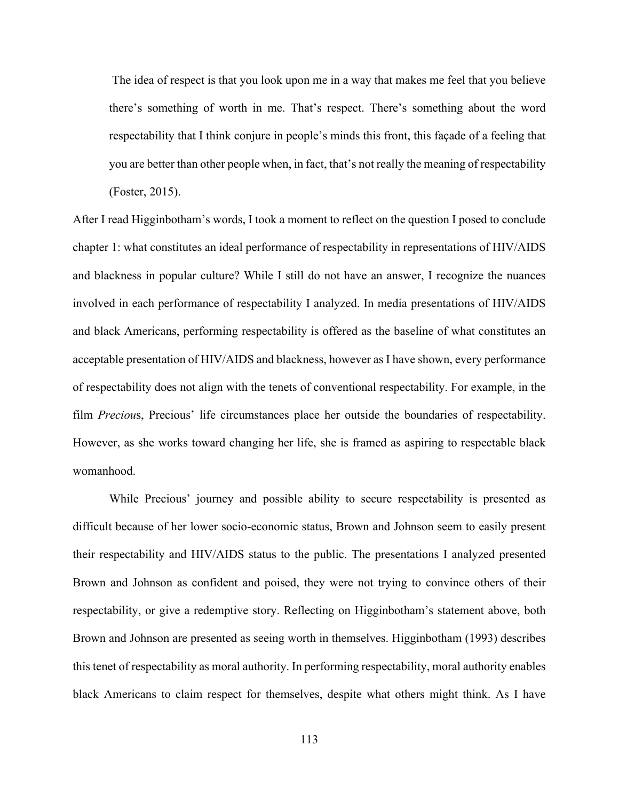The idea of respect is that you look upon me in a way that makes me feel that you believe there's something of worth in me. That's respect. There's something about the word respectability that I think conjure in people's minds this front, this façade of a feeling that you are better than other people when, in fact, that's not really the meaning of respectability (Foster, 2015).

After I read Higginbotham's words, I took a moment to reflect on the question I posed to conclude chapter 1: what constitutes an ideal performance of respectability in representations of HIV/AIDS and blackness in popular culture? While I still do not have an answer, I recognize the nuances involved in each performance of respectability I analyzed. In media presentations of HIV/AIDS and black Americans, performing respectability is offered as the baseline of what constitutes an acceptable presentation of HIV/AIDS and blackness, however as I have shown, every performance of respectability does not align with the tenets of conventional respectability. For example, in the film *Preciou*s, Precious' life circumstances place her outside the boundaries of respectability. However, as she works toward changing her life, she is framed as aspiring to respectable black womanhood.

While Precious' journey and possible ability to secure respectability is presented as difficult because of her lower socio-economic status, Brown and Johnson seem to easily present their respectability and HIV/AIDS status to the public. The presentations I analyzed presented Brown and Johnson as confident and poised, they were not trying to convince others of their respectability, or give a redemptive story. Reflecting on Higginbotham's statement above, both Brown and Johnson are presented as seeing worth in themselves. Higginbotham (1993) describes this tenet of respectability as moral authority. In performing respectability, moral authority enables black Americans to claim respect for themselves, despite what others might think. As I have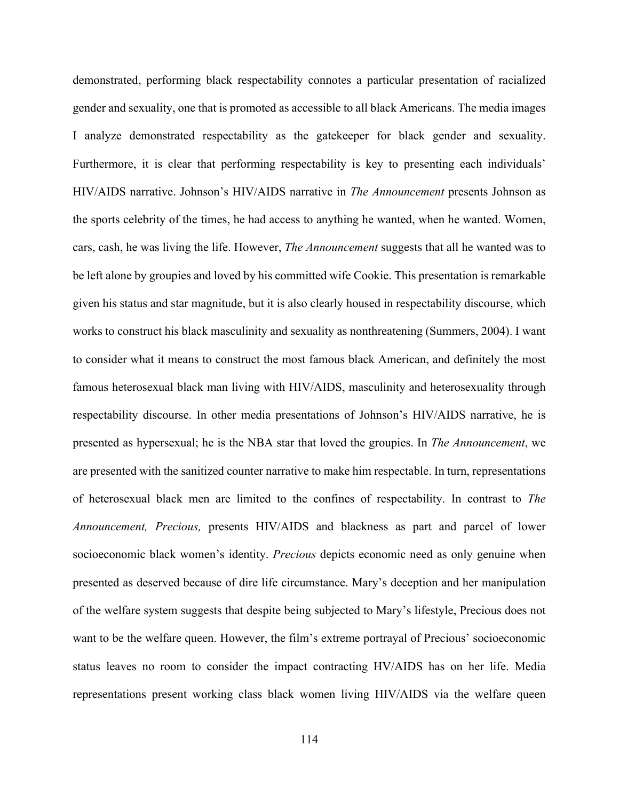demonstrated, performing black respectability connotes a particular presentation of racialized gender and sexuality, one that is promoted as accessible to all black Americans. The media images I analyze demonstrated respectability as the gatekeeper for black gender and sexuality. Furthermore, it is clear that performing respectability is key to presenting each individuals' HIV/AIDS narrative. Johnson's HIV/AIDS narrative in *The Announcement* presents Johnson as the sports celebrity of the times, he had access to anything he wanted, when he wanted. Women, cars, cash, he was living the life. However, *The Announcement* suggests that all he wanted was to be left alone by groupies and loved by his committed wife Cookie. This presentation is remarkable given his status and star magnitude, but it is also clearly housed in respectability discourse, which works to construct his black masculinity and sexuality as nonthreatening (Summers, 2004). I want to consider what it means to construct the most famous black American, and definitely the most famous heterosexual black man living with HIV/AIDS, masculinity and heterosexuality through respectability discourse. In other media presentations of Johnson's HIV/AIDS narrative, he is presented as hypersexual; he is the NBA star that loved the groupies. In *The Announcement*, we are presented with the sanitized counter narrative to make him respectable. In turn, representations of heterosexual black men are limited to the confines of respectability. In contrast to *The Announcement, Precious,* presents HIV/AIDS and blackness as part and parcel of lower socioeconomic black women's identity. *Precious* depicts economic need as only genuine when presented as deserved because of dire life circumstance. Mary's deception and her manipulation of the welfare system suggests that despite being subjected to Mary's lifestyle, Precious does not want to be the welfare queen. However, the film's extreme portrayal of Precious' socioeconomic status leaves no room to consider the impact contracting HV/AIDS has on her life. Media representations present working class black women living HIV/AIDS via the welfare queen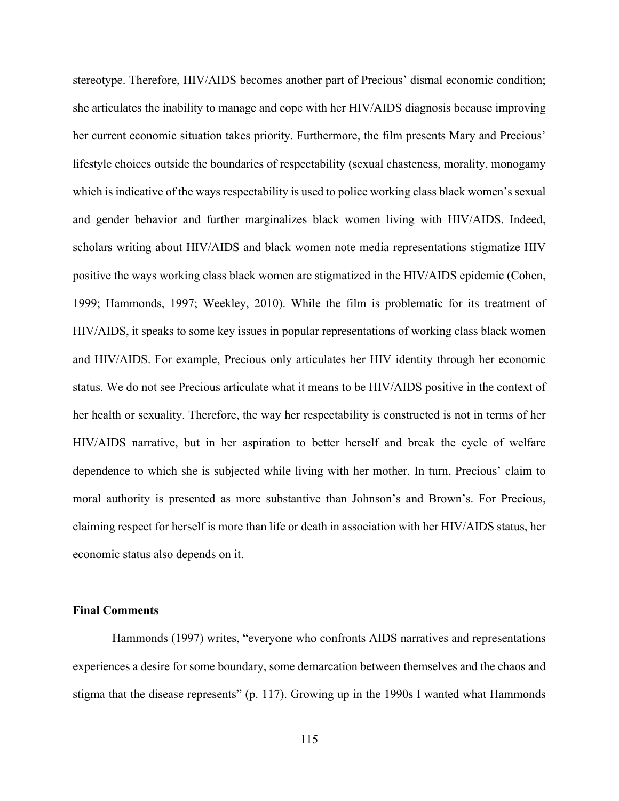stereotype. Therefore, HIV/AIDS becomes another part of Precious' dismal economic condition; she articulates the inability to manage and cope with her HIV/AIDS diagnosis because improving her current economic situation takes priority. Furthermore, the film presents Mary and Precious' lifestyle choices outside the boundaries of respectability (sexual chasteness, morality, monogamy which is indicative of the ways respectability is used to police working class black women's sexual and gender behavior and further marginalizes black women living with HIV/AIDS. Indeed, scholars writing about HIV/AIDS and black women note media representations stigmatize HIV positive the ways working class black women are stigmatized in the HIV/AIDS epidemic (Cohen, 1999; Hammonds, 1997; Weekley, 2010). While the film is problematic for its treatment of HIV/AIDS, it speaks to some key issues in popular representations of working class black women and HIV/AIDS. For example, Precious only articulates her HIV identity through her economic status. We do not see Precious articulate what it means to be HIV/AIDS positive in the context of her health or sexuality. Therefore, the way her respectability is constructed is not in terms of her HIV/AIDS narrative, but in her aspiration to better herself and break the cycle of welfare dependence to which she is subjected while living with her mother. In turn, Precious' claim to moral authority is presented as more substantive than Johnson's and Brown's. For Precious, claiming respect for herself is more than life or death in association with her HIV/AIDS status, her economic status also depends on it.

### **Final Comments**

Hammonds (1997) writes, "everyone who confronts AIDS narratives and representations experiences a desire for some boundary, some demarcation between themselves and the chaos and stigma that the disease represents" (p. 117). Growing up in the 1990s I wanted what Hammonds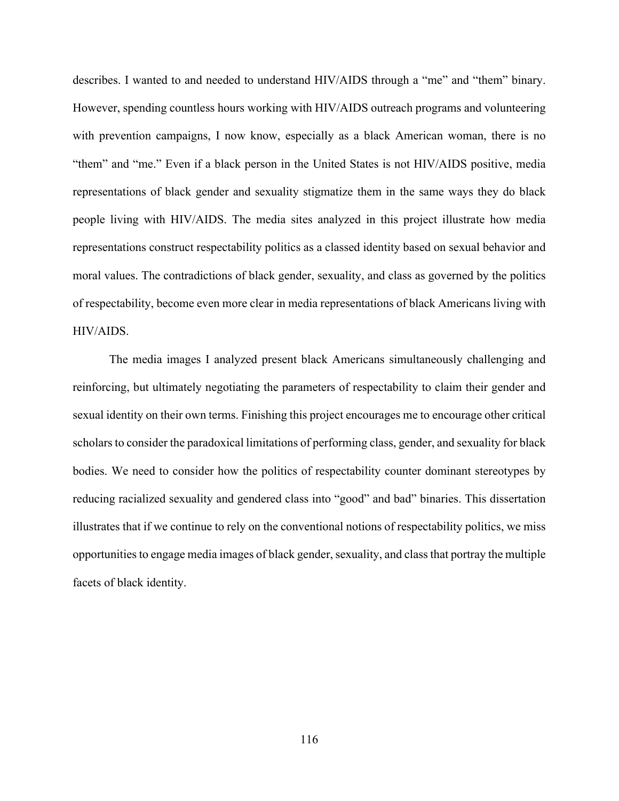describes. I wanted to and needed to understand HIV/AIDS through a "me" and "them" binary. However, spending countless hours working with HIV/AIDS outreach programs and volunteering with prevention campaigns, I now know, especially as a black American woman, there is no "them" and "me." Even if a black person in the United States is not HIV/AIDS positive, media representations of black gender and sexuality stigmatize them in the same ways they do black people living with HIV/AIDS. The media sites analyzed in this project illustrate how media representations construct respectability politics as a classed identity based on sexual behavior and moral values. The contradictions of black gender, sexuality, and class as governed by the politics of respectability, become even more clear in media representations of black Americans living with HIV/AIDS.

The media images I analyzed present black Americans simultaneously challenging and reinforcing, but ultimately negotiating the parameters of respectability to claim their gender and sexual identity on their own terms. Finishing this project encourages me to encourage other critical scholars to consider the paradoxical limitations of performing class, gender, and sexuality for black bodies. We need to consider how the politics of respectability counter dominant stereotypes by reducing racialized sexuality and gendered class into "good" and bad" binaries. This dissertation illustrates that if we continue to rely on the conventional notions of respectability politics, we miss opportunities to engage media images of black gender, sexuality, and class that portray the multiple facets of black identity.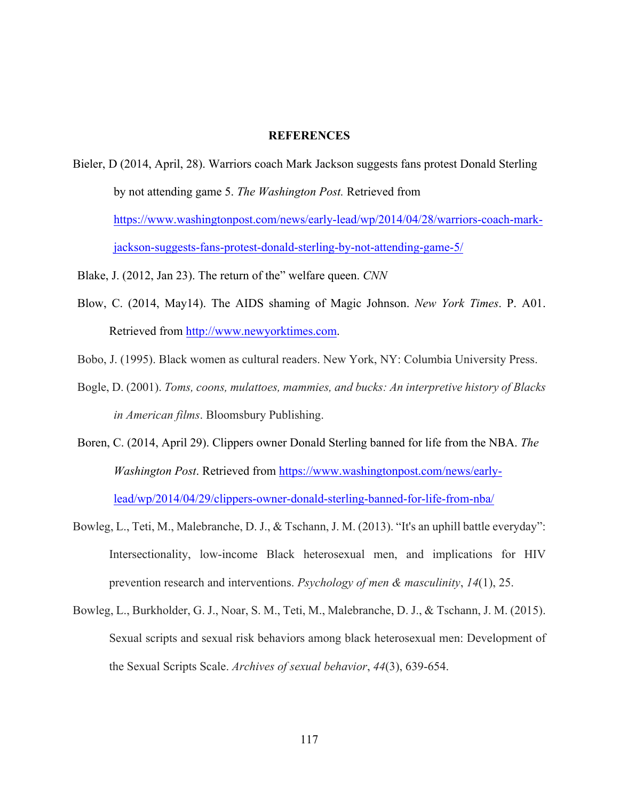## **REFERENCES**

- Bieler, D (2014, April, 28). Warriors coach Mark Jackson suggests fans protest Donald Sterling by not attending game 5. *The Washington Post.* Retrieved from https://www.washingtonpost.com/news/early-lead/wp/2014/04/28/warriors-coach-markjackson-suggests-fans-protest-donald-sterling-by-not-attending-game-5/
- Blake, J. (2012, Jan 23). The return of the" welfare queen. *CNN*
- Blow, C. (2014, May14). The AIDS shaming of Magic Johnson. *New York Times*. P. A01. Retrieved from http://www.newyorktimes.com.
- Bobo, J. (1995). Black women as cultural readers. New York, NY: Columbia University Press.
- Bogle, D. (2001). *Toms, coons, mulattoes, mammies, and bucks: An interpretive history of Blacks in American films*. Bloomsbury Publishing.
- Boren, C. (2014, April 29). Clippers owner Donald Sterling banned for life from the NBA. *The Washington Post*. Retrieved from https://www.washingtonpost.com/news/earlylead/wp/2014/04/29/clippers-owner-donald-sterling-banned-for-life-from-nba/
- Bowleg, L., Teti, M., Malebranche, D. J., & Tschann, J. M. (2013). "It's an uphill battle everyday": Intersectionality, low-income Black heterosexual men, and implications for HIV prevention research and interventions. *Psychology of men & masculinity*, *14*(1), 25.
- Bowleg, L., Burkholder, G. J., Noar, S. M., Teti, M., Malebranche, D. J., & Tschann, J. M. (2015). Sexual scripts and sexual risk behaviors among black heterosexual men: Development of the Sexual Scripts Scale. *Archives of sexual behavior*, *44*(3), 639-654.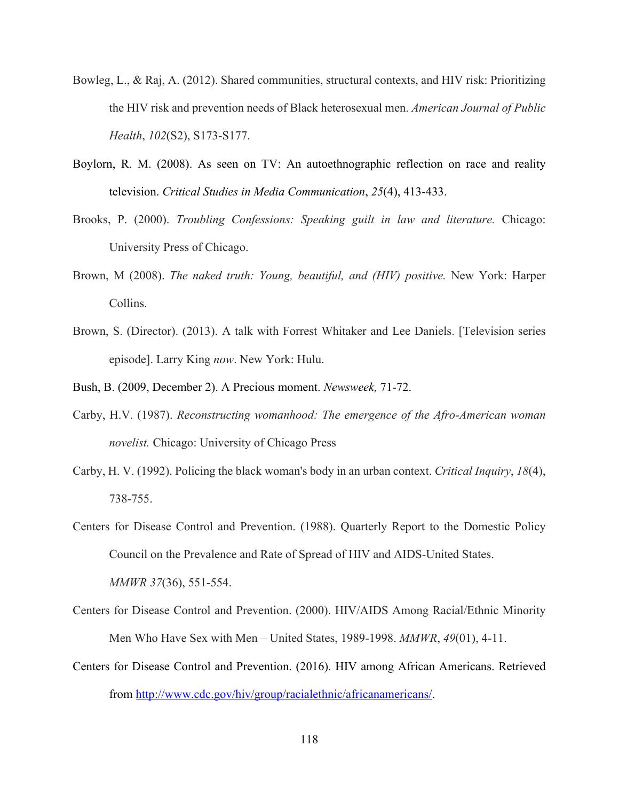- Bowleg, L., & Raj, A. (2012). Shared communities, structural contexts, and HIV risk: Prioritizing the HIV risk and prevention needs of Black heterosexual men. *American Journal of Public Health*, *102*(S2), S173-S177.
- Boylorn, R. M. (2008). As seen on TV: An autoethnographic reflection on race and reality television. *Critical Studies in Media Communication*, *25*(4), 413-433.
- Brooks, P. (2000). *Troubling Confessions: Speaking guilt in law and literature.* Chicago: University Press of Chicago.
- Brown, M (2008). *The naked truth: Young, beautiful, and (HIV) positive.* New York: Harper Collins.
- Brown, S. (Director). (2013). A talk with Forrest Whitaker and Lee Daniels. [Television series episode]. Larry King *now*. New York: Hulu.
- Bush, B. (2009, December 2). A Precious moment. *Newsweek,* 71-72.
- Carby, H.V. (1987). *Reconstructing womanhood: The emergence of the Afro-American woman novelist.* Chicago: University of Chicago Press
- Carby, H. V. (1992). Policing the black woman's body in an urban context. *Critical Inquiry*, *18*(4), 738-755.
- Centers for Disease Control and Prevention. (1988). Quarterly Report to the Domestic Policy Council on the Prevalence and Rate of Spread of HIV and AIDS-United States. *MMWR 37*(36), 551-554.
- Centers for Disease Control and Prevention. (2000). HIV/AIDS Among Racial/Ethnic Minority Men Who Have Sex with Men – United States, 1989-1998. *MMWR*, *49*(01), 4-11.
- Centers for Disease Control and Prevention. (2016). HIV among African Americans. Retrieved from http://www.cdc.gov/hiv/group/racialethnic/africanamericans/.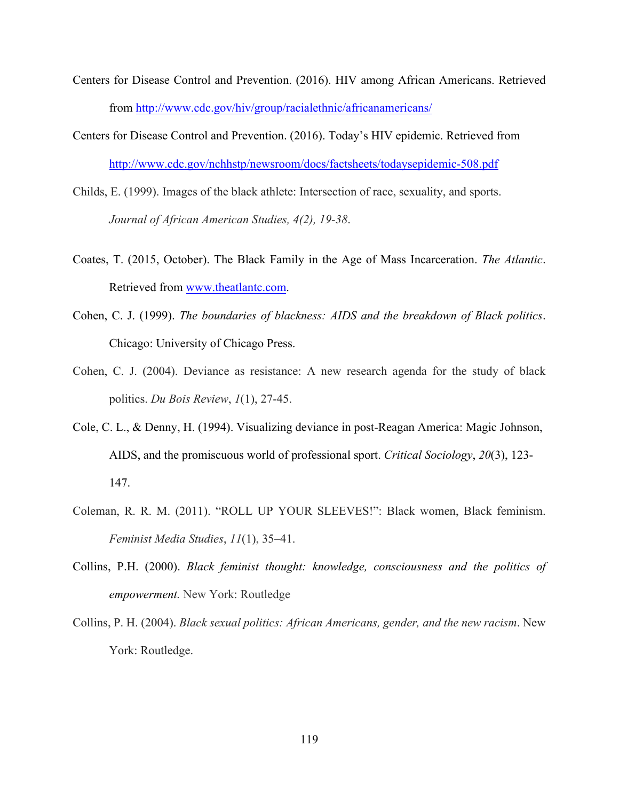- Centers for Disease Control and Prevention. (2016). HIV among African Americans. Retrieved from http://www.cdc.gov/hiv/group/racialethnic/africanamericans/
- Centers for Disease Control and Prevention. (2016). Today's HIV epidemic. Retrieved from http://www.cdc.gov/nchhstp/newsroom/docs/factsheets/todaysepidemic-508.pdf
- Childs, E. (1999). Images of the black athlete: Intersection of race, sexuality, and sports. *Journal of African American Studies, 4(2), 19-38*.
- Coates, T. (2015, October). The Black Family in the Age of Mass Incarceration. *The Atlantic*. Retrieved from www.theatlantc.com.
- Cohen, C. J. (1999). *The boundaries of blackness: AIDS and the breakdown of Black politics*. Chicago: University of Chicago Press.
- Cohen, C. J. (2004). Deviance as resistance: A new research agenda for the study of black politics. *Du Bois Review*, *1*(1), 27-45.
- Cole, C. L., & Denny, H. (1994). Visualizing deviance in post-Reagan America: Magic Johnson, AIDS, and the promiscuous world of professional sport. *Critical Sociology*, *20*(3), 123- 147.
- Coleman, R. R. M. (2011). "ROLL UP YOUR SLEEVES!": Black women, Black feminism. *Feminist Media Studies*, *11*(1), 35–41.
- Collins, P.H. (2000). *Black feminist thought: knowledge, consciousness and the politics of empowerment.* New York: Routledge
- Collins, P. H. (2004). *Black sexual politics: African Americans, gender, and the new racism*. New York: Routledge.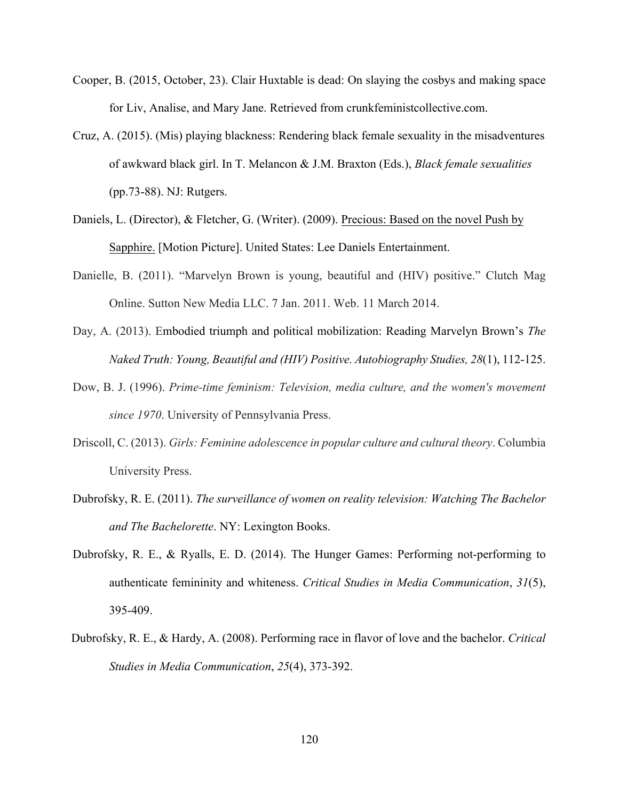- Cooper, B. (2015, October, 23). Clair Huxtable is dead: On slaying the cosbys and making space for Liv, Analise, and Mary Jane. Retrieved from crunkfeministcollective.com.
- Cruz, A. (2015). (Mis) playing blackness: Rendering black female sexuality in the misadventures of awkward black girl. In T. Melancon & J.M. Braxton (Eds.), *Black female sexualities* (pp.73-88). NJ: Rutgers.
- Daniels, L. (Director), & Fletcher, G. (Writer). (2009). Precious: Based on the novel Push by Sapphire. [Motion Picture]. United States: Lee Daniels Entertainment.
- Danielle, B. (2011). "Marvelyn Brown is young, beautiful and (HIV) positive." Clutch Mag Online. Sutton New Media LLC. 7 Jan. 2011. Web. 11 March 2014.
- Day, A. (2013). Embodied triumph and political mobilization: Reading Marvelyn Brown's *The Naked Truth: Young, Beautiful and (HIV) Positive. Autobiography Studies, 28*(1), 112-125.
- Dow, B. J. (1996). *Prime-time feminism: Television, media culture, and the women's movement since 1970*. University of Pennsylvania Press.
- Driscoll, C. (2013). *Girls: Feminine adolescence in popular culture and cultural theory*. Columbia University Press.
- Dubrofsky, R. E. (2011). *The surveillance of women on reality television: Watching The Bachelor and The Bachelorette*. NY: Lexington Books.
- Dubrofsky, R. E., & Ryalls, E. D. (2014). The Hunger Games: Performing not-performing to authenticate femininity and whiteness. *Critical Studies in Media Communication*, *31*(5), 395-409.
- Dubrofsky, R. E., & Hardy, A. (2008). Performing race in flavor of love and the bachelor. *Critical Studies in Media Communication*, *25*(4), 373-392.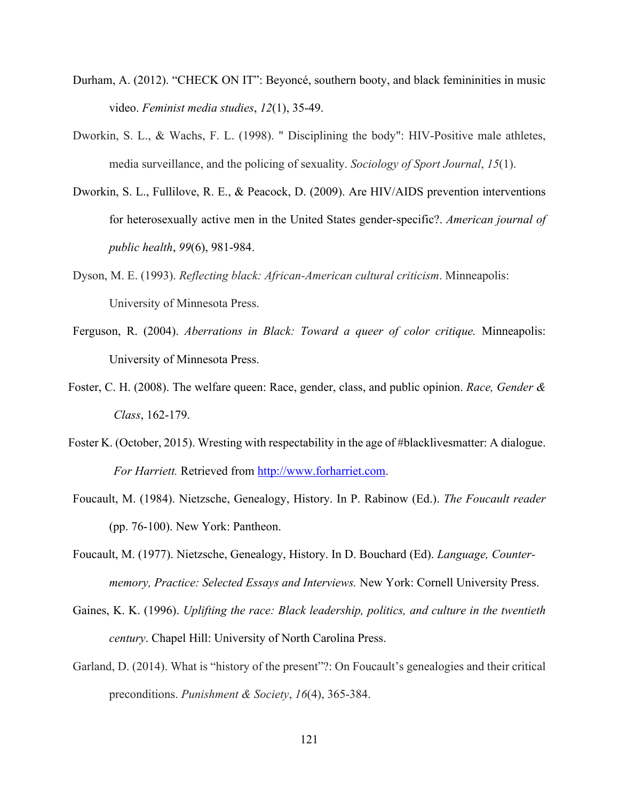- Durham, A. (2012). "CHECK ON IT": Beyoncé, southern booty, and black femininities in music video. *Feminist media studies*, *12*(1), 35-49.
- Dworkin, S. L., & Wachs, F. L. (1998). " Disciplining the body": HIV-Positive male athletes, media surveillance, and the policing of sexuality. *Sociology of Sport Journal*, *15*(1).
- Dworkin, S. L., Fullilove, R. E., & Peacock, D. (2009). Are HIV/AIDS prevention interventions for heterosexually active men in the United States gender-specific?. *American journal of public health*, *99*(6), 981-984.
- Dyson, M. E. (1993). *Reflecting black: African-American cultural criticism*. Minneapolis: University of Minnesota Press.
- Ferguson, R. (2004). *Aberrations in Black: Toward a queer of color critique.* Minneapolis: University of Minnesota Press.
- Foster, C. H. (2008). The welfare queen: Race, gender, class, and public opinion. *Race, Gender & Class*, 162-179.
- Foster K. (October, 2015). Wresting with respectability in the age of #blacklivesmatter: A dialogue. *For Harriett.* Retrieved from http://www.forharriet.com.
- Foucault, M. (1984). Nietzsche, Genealogy, History. In P. Rabinow (Ed.). *The Foucault reader* (pp. 76-100). New York: Pantheon.
- Foucault, M. (1977). Nietzsche, Genealogy, History. In D. Bouchard (Ed). *Language, Countermemory, Practice: Selected Essays and Interviews.* New York: Cornell University Press.
- Gaines, K. K. (1996). *Uplifting the race: Black leadership, politics, and culture in the twentieth century*. Chapel Hill: University of North Carolina Press.
- Garland, D. (2014). What is "history of the present"?: On Foucault's genealogies and their critical preconditions. *Punishment & Society*, *16*(4), 365-384.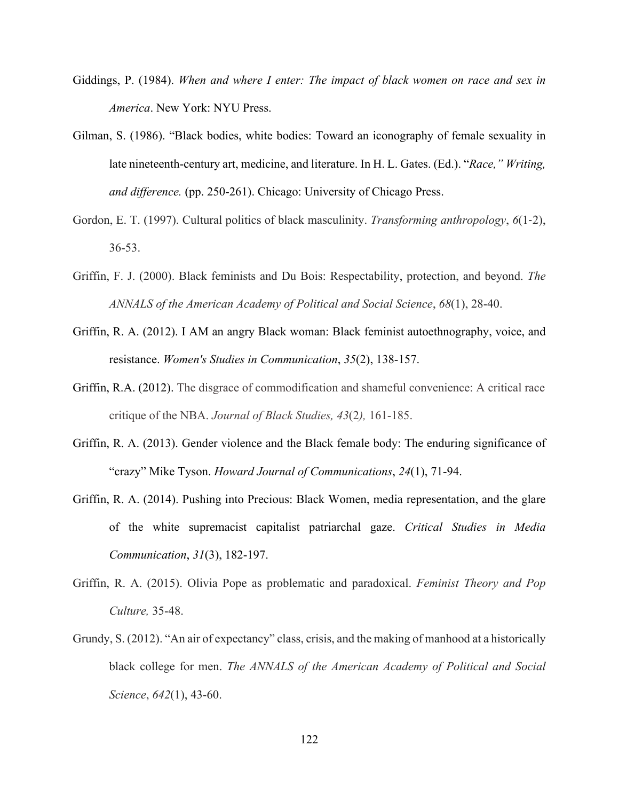- Giddings, P. (1984). *When and where I enter: The impact of black women on race and sex in America*. New York: NYU Press.
- Gilman, S. (1986). "Black bodies, white bodies: Toward an iconography of female sexuality in late nineteenth-century art, medicine, and literature. In H. L. Gates. (Ed.). "*Race," Writing, and difference.* (pp. 250-261). Chicago: University of Chicago Press.
- Gordon, E. T. (1997). Cultural politics of black masculinity. *Transforming anthropology*, *6*(1-2), 36-53.
- Griffin, F. J. (2000). Black feminists and Du Bois: Respectability, protection, and beyond. *The ANNALS of the American Academy of Political and Social Science*, *68*(1), 28-40.
- Griffin, R. A. (2012). I AM an angry Black woman: Black feminist autoethnography, voice, and resistance. *Women's Studies in Communication*, *35*(2), 138-157.
- Griffin, R.A. (2012). The disgrace of commodification and shameful convenience: A critical race critique of the NBA. *Journal of Black Studies, 43*(2*),* 161-185.
- Griffin, R. A. (2013). Gender violence and the Black female body: The enduring significance of "crazy" Mike Tyson. *Howard Journal of Communications*, *24*(1), 71-94.
- Griffin, R. A. (2014). Pushing into Precious: Black Women, media representation, and the glare of the white supremacist capitalist patriarchal gaze. *Critical Studies in Media Communication*, *31*(3), 182-197.
- Griffin, R. A. (2015). Olivia Pope as problematic and paradoxical. *Feminist Theory and Pop Culture,* 35-48.
- Grundy, S. (2012). "An air of expectancy" class, crisis, and the making of manhood at a historically black college for men. *The ANNALS of the American Academy of Political and Social Science*, *642*(1), 43-60.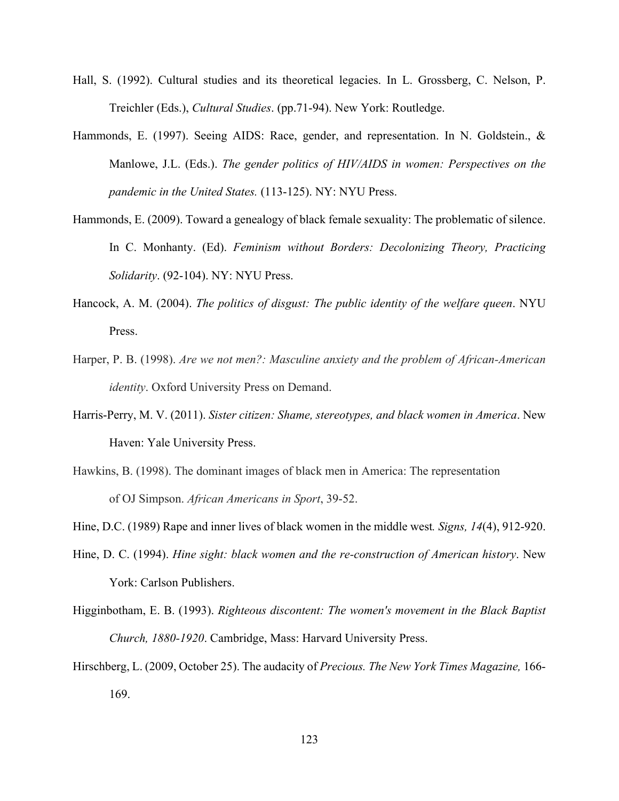- Hall, S. (1992). Cultural studies and its theoretical legacies. In L. Grossberg, C. Nelson, P. Treichler (Eds.), *Cultural Studies*. (pp.71-94). New York: Routledge.
- Hammonds, E. (1997). Seeing AIDS: Race, gender, and representation. In N. Goldstein., & Manlowe, J.L. (Eds.). *The gender politics of HIV/AIDS in women: Perspectives on the pandemic in the United States.* (113-125). NY: NYU Press.
- Hammonds, E. (2009). Toward a genealogy of black female sexuality: The problematic of silence. In C. Monhanty. (Ed). *Feminism without Borders: Decolonizing Theory, Practicing Solidarity*. (92-104). NY: NYU Press.
- Hancock, A. M. (2004). *The politics of disgust: The public identity of the welfare queen*. NYU **Press**.
- Harper, P. B. (1998). *Are we not men?: Masculine anxiety and the problem of African-American identity*. Oxford University Press on Demand.
- Harris-Perry, M. V. (2011). *Sister citizen: Shame, stereotypes, and black women in America*. New Haven: Yale University Press.
- Hawkins, B. (1998). The dominant images of black men in America: The representation of OJ Simpson. *African Americans in Sport*, 39-52.
- Hine, D.C. (1989) Rape and inner lives of black women in the middle west*. Signs, 14*(4), 912-920.
- Hine, D. C. (1994). *Hine sight: black women and the re-construction of American history*. New York: Carlson Publishers.
- Higginbotham, E. B. (1993). *Righteous discontent: The women's movement in the Black Baptist Church, 1880-1920*. Cambridge, Mass: Harvard University Press.
- Hirschberg, L. (2009, October 25). The audacity of *Precious. The New York Times Magazine,* 166- 169.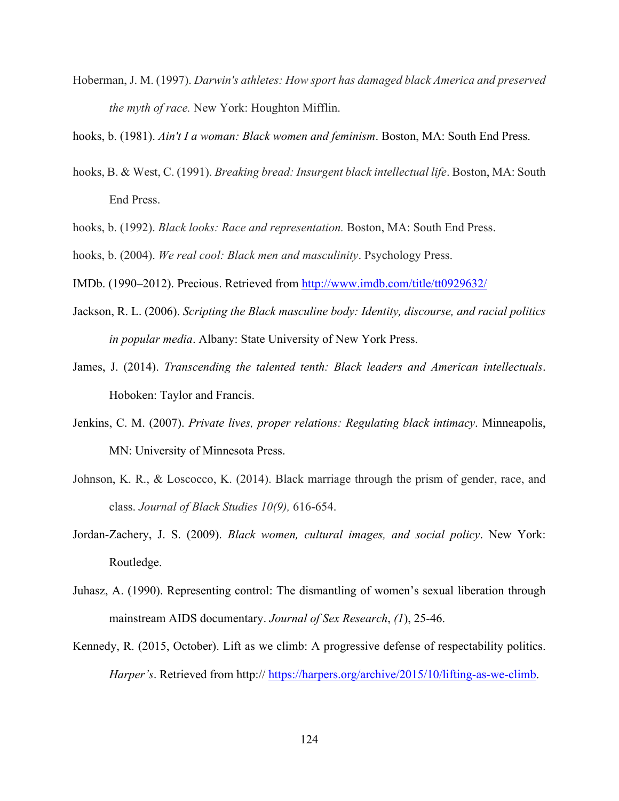Hoberman, J. M. (1997). *Darwin's athletes: How sport has damaged black America and preserved the myth of race.* New York: Houghton Mifflin.

hooks, b. (1981). *Ain't I a woman: Black women and feminism*. Boston, MA: South End Press.

- hooks, B. & West, C. (1991). *Breaking bread: Insurgent black intellectual life*. Boston, MA: South End Press.
- hooks, b. (1992). *Black looks: Race and representation.* Boston, MA: South End Press.
- hooks, b. (2004). *We real cool: Black men and masculinity*. Psychology Press.
- IMDb. (1990–2012). Precious. Retrieved from http://www.imdb.com/title/tt0929632/
- Jackson, R. L. (2006). *Scripting the Black masculine body: Identity, discourse, and racial politics in popular media*. Albany: State University of New York Press.
- James, J. (2014). *Transcending the talented tenth: Black leaders and American intellectuals*. Hoboken: Taylor and Francis.
- Jenkins, C. M. (2007). *Private lives, proper relations: Regulating black intimacy*. Minneapolis, MN: University of Minnesota Press.
- Johnson, K. R., & Loscocco, K. (2014). Black marriage through the prism of gender, race, and class. *Journal of Black Studies 10(9),* 616-654.
- Jordan-Zachery, J. S. (2009). *Black women, cultural images, and social policy*. New York: Routledge.
- Juhasz, A. (1990). Representing control: The dismantling of women's sexual liberation through mainstream AIDS documentary. *Journal of Sex Research*, *(1*), 25-46.
- Kennedy, R. (2015, October). Lift as we climb: A progressive defense of respectability politics. *Harper's*. Retrieved from http:// https://harpers.org/archive/2015/10/lifting-as-we-climb.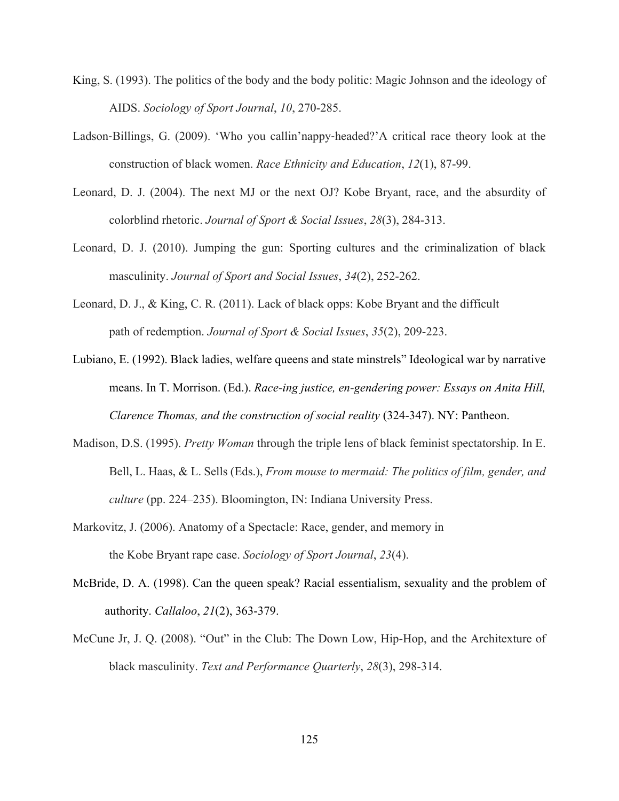- King, S. (1993). The politics of the body and the body politic: Magic Johnson and the ideology of AIDS. *Sociology of Sport Journal*, *10*, 270-285.
- Ladson-Billings, G. (2009). 'Who you callin'nappy-headed?'A critical race theory look at the construction of black women. *Race Ethnicity and Education*, *12*(1), 87-99.
- Leonard, D. J. (2004). The next MJ or the next OJ? Kobe Bryant, race, and the absurdity of colorblind rhetoric. *Journal of Sport & Social Issues*, *28*(3), 284-313.
- Leonard, D. J. (2010). Jumping the gun: Sporting cultures and the criminalization of black masculinity. *Journal of Sport and Social Issues*, *34*(2), 252-262.
- Leonard, D. J., & King, C. R. (2011). Lack of black opps: Kobe Bryant and the difficult path of redemption. *Journal of Sport & Social Issues*, *35*(2), 209-223.
- Lubiano, E. (1992). Black ladies, welfare queens and state minstrels" Ideological war by narrative means. In T. Morrison. (Ed.). *Race-ing justice, en-gendering power: Essays on Anita Hill, Clarence Thomas, and the construction of social reality* (324-347). NY: Pantheon.
- Madison, D.S. (1995). *Pretty Woman* through the triple lens of black feminist spectatorship. In E. Bell, L. Haas, & L. Sells (Eds.), *From mouse to mermaid: The politics of film, gender, and culture* (pp. 224–235). Bloomington, IN: Indiana University Press.
- Markovitz, J. (2006). Anatomy of a Spectacle: Race, gender, and memory in the Kobe Bryant rape case. *Sociology of Sport Journal*, *23*(4).
- McBride, D. A. (1998). Can the queen speak? Racial essentialism, sexuality and the problem of authority. *Callaloo*, *21*(2), 363-379.
- McCune Jr, J. Q. (2008). "Out" in the Club: The Down Low, Hip-Hop, and the Architexture of black masculinity. *Text and Performance Quarterly*, *28*(3), 298-314.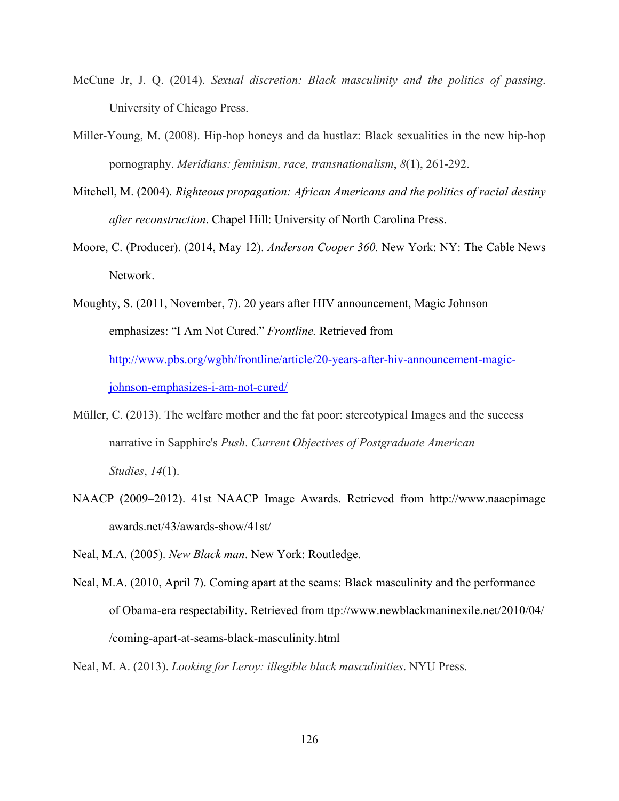- McCune Jr, J. Q. (2014). *Sexual discretion: Black masculinity and the politics of passing*. University of Chicago Press.
- Miller-Young, M. (2008). Hip-hop honeys and da hustlaz: Black sexualities in the new hip-hop pornography. *Meridians: feminism, race, transnationalism*, *8*(1), 261-292.
- Mitchell, M. (2004). *Righteous propagation: African Americans and the politics of racial destiny after reconstruction*. Chapel Hill: University of North Carolina Press.
- Moore, C. (Producer). (2014, May 12). *Anderson Cooper 360.* New York: NY: The Cable News Network.

Moughty, S. (2011, November, 7). 20 years after HIV announcement, Magic Johnson emphasizes: "I Am Not Cured." *Frontline.* Retrieved from http://www.pbs.org/wgbh/frontline/article/20-years-after-hiv-announcement-magicjohnson-emphasizes-i-am-not-cured/

- Müller, C. (2013). The welfare mother and the fat poor: stereotypical Images and the success narrative in Sapphire's *Push*. *Current Objectives of Postgraduate American Studies*, *14*(1).
- NAACP (2009–2012). 41st NAACP Image Awards. Retrieved from http://www.naacpimage awards.net/43/awards-show/41st/

Neal, M.A. (2005). *New Black man*. New York: Routledge.

Neal, M.A. (2010, April 7). Coming apart at the seams: Black masculinity and the performance of Obama-era respectability. Retrieved from ttp://www.newblackmaninexile.net/2010/04/ /coming-apart-at-seams-black-masculinity.html

Neal, M. A. (2013). *Looking for Leroy: illegible black masculinities*. NYU Press.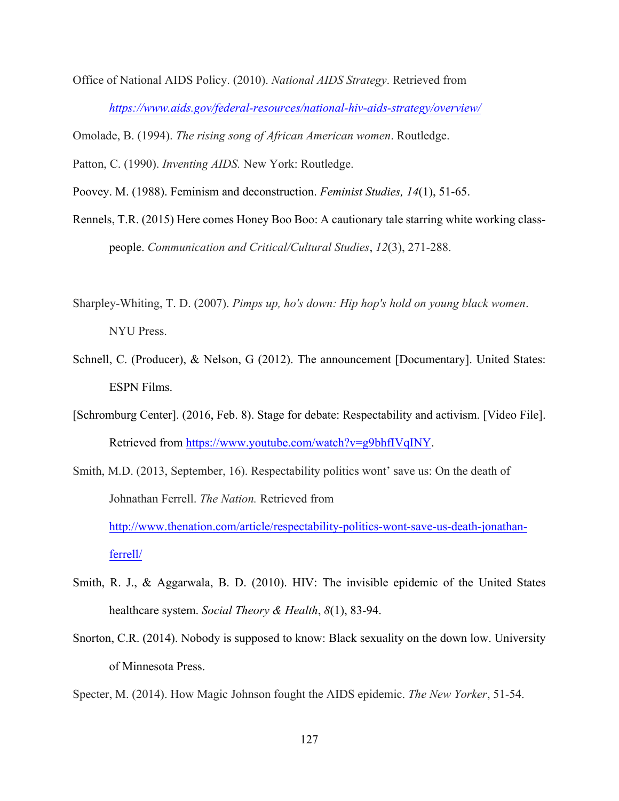Office of National AIDS Policy. (2010). *National AIDS Strategy*. Retrieved from *https://www.aids.gov/federal-resources/national-hiv-aids-strategy/overview/*

Omolade, B. (1994). *The rising song of African American women*. Routledge.

Patton, C. (1990). *Inventing AIDS.* New York: Routledge.

Poovey. M. (1988). Feminism and deconstruction. *Feminist Studies, 14*(1), 51-65.

- Rennels, T.R. (2015) Here comes Honey Boo Boo: A cautionary tale starring white working classpeople. *Communication and Critical/Cultural Studies*, *12*(3), 271-288.
- Sharpley-Whiting, T. D. (2007). *Pimps up, ho's down: Hip hop's hold on young black women*. NYU Press.
- Schnell, C. (Producer), & Nelson, G (2012). The announcement [Documentary]. United States: ESPN Films.
- [Schromburg Center]. (2016, Feb. 8). Stage for debate: Respectability and activism. [Video File]. Retrieved from https://www.youtube.com/watch?v=g9bhfIVqINY.
- Smith, M.D. (2013, September, 16). Respectability politics wont' save us: On the death of Johnathan Ferrell. *The Nation.* Retrieved from http://www.thenation.com/article/respectability-politics-wont-save-us-death-jonathanferrell/
- Smith, R. J., & Aggarwala, B. D. (2010). HIV: The invisible epidemic of the United States healthcare system. *Social Theory & Health*, *8*(1), 83-94.
- Snorton, C.R. (2014). Nobody is supposed to know: Black sexuality on the down low. University of Minnesota Press.

Specter, M. (2014). How Magic Johnson fought the AIDS epidemic. *The New Yorker*, 51-54.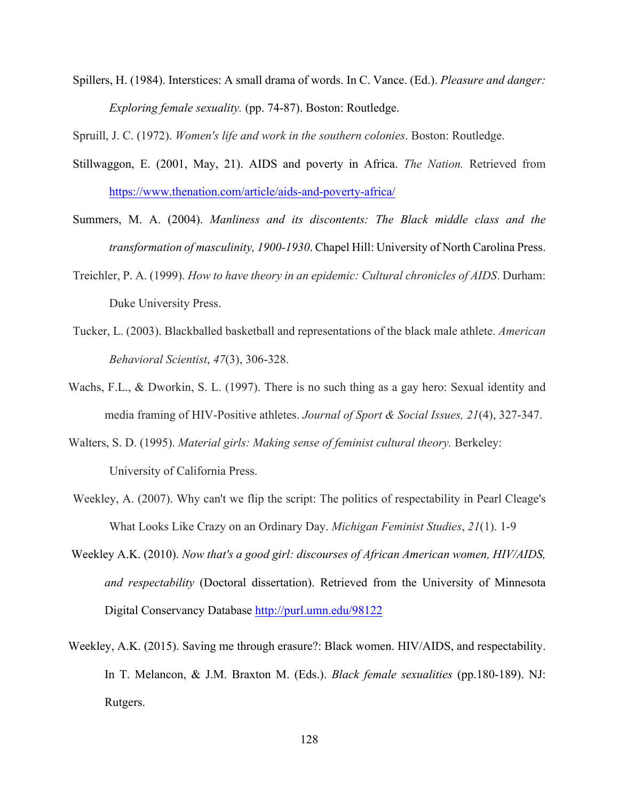Spillers, H. (1984). Interstices: A small drama of words. In C. Vance. (Ed.). *Pleasure and danger: Exploring female sexuality.* (pp. 74-87). Boston: Routledge.

Spruill, J. C. (1972). *Women's life and work in the southern colonies*. Boston: Routledge.

- Stillwaggon, E. (2001, May, 21). AIDS and poverty in Africa. *The Nation.* Retrieved from https://www.thenation.com/article/aids-and-poverty-africa/
- Summers, M. A. (2004). *Manliness and its discontents: The Black middle class and the transformation of masculinity, 1900-1930*. Chapel Hill: University of North Carolina Press.
- Treichler, P. A. (1999). *How to have theory in an epidemic: Cultural chronicles of AIDS*. Durham: Duke University Press.
- Tucker, L. (2003). Blackballed basketball and representations of the black male athlete. *American Behavioral Scientist*, *47*(3), 306-328.
- Wachs, F.L., & Dworkin, S. L. (1997). There is no such thing as a gay hero: Sexual identity and media framing of HIV-Positive athletes. *Journal of Sport & Social Issues, 21*(4), 327-347.
- Walters, S. D. (1995). *Material girls: Making sense of feminist cultural theory.* Berkeley: University of California Press.
- Weekley, A. (2007). Why can't we flip the script: The politics of respectability in Pearl Cleage's What Looks Like Crazy on an Ordinary Day. *Michigan Feminist Studies*, *21*(1). 1-9
- Weekley A.K. (2010). *Now that's a good girl: discourses of African American women, HIV/AIDS, and respectability* (Doctoral dissertation). Retrieved from the University of Minnesota Digital Conservancy Database http://purl.umn.edu/98122
- Weekley, A.K. (2015). Saving me through erasure?: Black women. HIV/AIDS, and respectability. In T. Melancon, & J.M. Braxton M. (Eds.). *Black female sexualities* (pp.180-189). NJ: Rutgers.